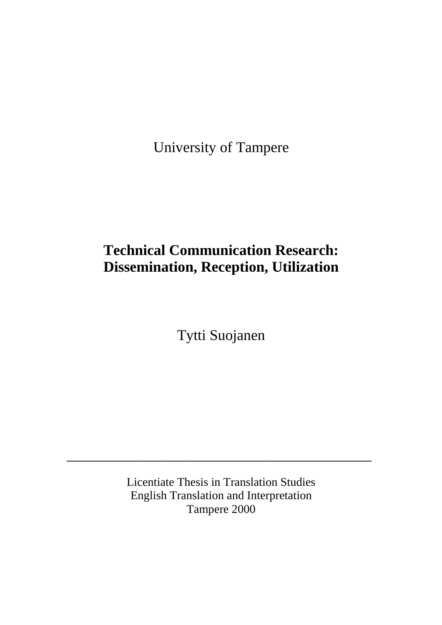University of Tampere

# **Technical Communication Research: Dissemination, Reception, Utilization**

Tytti Suojanen

Licentiate Thesis in Translation Studies English Translation and Interpretation Tampere 2000

 $\mathcal{L}_\text{max}$  , and the contract of the contract of the contract of the contract of the contract of the contract of the contract of the contract of the contract of the contract of the contract of the contract of the contr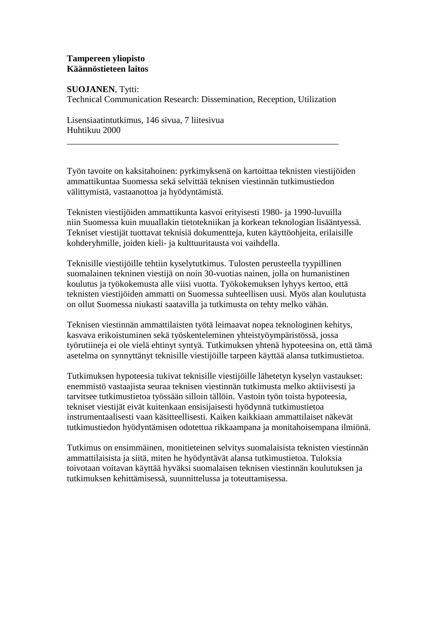#### **Tampereen yliopisto Käännöstieteen laitos**

**SUOJANEN**, Tytti:

Technical Communication Research: Dissemination, Reception, Utilization

\_\_\_\_\_\_\_\_\_\_\_\_\_\_\_\_\_\_\_\_\_\_\_\_\_\_\_\_\_\_\_\_\_\_\_\_\_\_\_\_\_\_\_\_\_\_\_\_\_\_\_\_\_\_\_\_\_\_\_\_\_

Lisensiaatintutkimus, 146 sivua, 7 liitesivua Huhtikuu 2000

Työn tavoite on kaksitahoinen: pyrkimyksenä on kartoittaa teknisten viestijöiden ammattikuntaa Suomessa sekä selvittää teknisen viestinnän tutkimustiedon välittymistä, vastaanottoa ja hyödyntämistä.

Teknisten viestijöiden ammattikunta kasvoi erityisesti 1980- ja 1990-luvuilla niin Suomessa kuin muuallakin tietotekniikan ja korkean teknologian lisääntyessä. Tekniset viestijät tuottavat teknisiä dokumentteja, kuten käyttöohjeita, erilaisille kohderyhmille, joiden kieli- ja kulttuuritausta voi vaihdella.

Teknisille viestijöille tehtiin kyselytutkimus. Tulosten perusteella tyypillinen suomalainen tekninen viestijä on noin 30-vuotias nainen, jolla on humanistinen koulutus ja työkokemusta alle viisi vuotta. Työkokemuksen lyhyys kertoo, että teknisten viestijöiden ammatti on Suomessa suhteellisen uusi. Myös alan koulutusta on ollut Suomessa niukasti saatavilla ja tutkimusta on tehty melko vähän.

Teknisen viestinnän ammattilaisten työtä leimaavat nopea teknologinen kehitys, kasvava erikoistuminen sekä työskenteleminen yhteistyöympäristössä, jossa työrutiineja ei ole vielä ehtinyt syntyä. Tutkimuksen yhtenä hypoteesina on, että tämä asetelma on synnyttänyt teknisille viestijöille tarpeen käyttää alansa tutkimustietoa.

Tutkimuksen hypoteesia tukivat teknisille viestijöille lähetetyn kyselyn vastaukset: enemmistö vastaajista seuraa teknisen viestinnän tutkimusta melko aktiivisesti ja tarvitsee tutkimustietoa työssään silloin tällöin. Vastoin työn toista hypoteesia, tekniset viestijät eivät kuitenkaan ensisijaisesti hyödynnä tutkimustietoa instrumentaalisesti vaan käsitteellisesti. Kaiken kaikkiaan ammattilaiset näkevät tutkimustiedon hyödyntämisen odotettua rikkaampana ja monitahoisempana ilmiönä.

Tutkimus on ensimmäinen, monitieteinen selvitys suomalaisista teknisten viestinnän ammattilaisista ja siitä, miten he hyödyntävät alansa tutkimustietoa. Tuloksia toivotaan voitavan käyttää hyväksi suomalaisen teknisen viestinnän koulutuksen ja tutkimuksen kehittämisessä, suunnittelussa ja toteuttamisessa.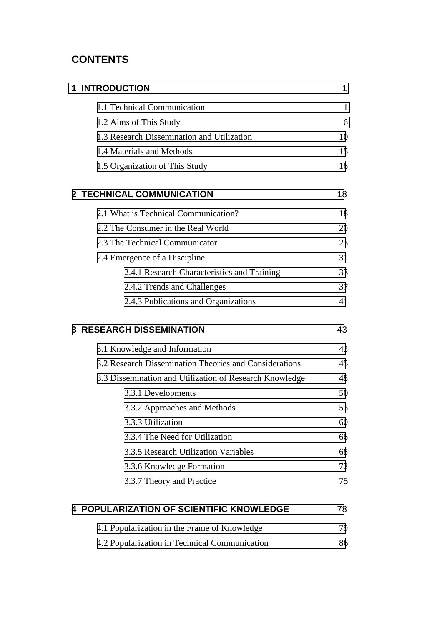# **CONTENTS**

| <b>1 INTRODUCTION</b>                                   | 1  |
|---------------------------------------------------------|----|
| 1.1 Technical Communication                             | 1  |
| 1.2 Aims of This Study                                  | 6  |
| 1.3 Research Dissemination and Utilization              | 10 |
| 1.4 Materials and Methods                               | 15 |
| 1.5 Organization of This Study                          | 16 |
| <b>2 TECHNICAL COMMUNICATION</b>                        | 18 |
| 2.1 What is Technical Communication?                    | 18 |
| 2.2 The Consumer in the Real World                      | 20 |
| 2.3 The Technical Communicator                          | 23 |
| 2.4 Emergence of a Discipline                           | 31 |
| 2.4.1 Research Characteristics and Training             | 33 |
| 2.4.2 Trends and Challenges                             | 37 |
| 2.4.3 Publications and Organizations                    | 41 |
| <b>3 RESEARCH DISSEMINATION</b>                         | 43 |
| 3.1 Knowledge and Information                           | 43 |
| 3.2 Research Dissemination Theories and Considerations  | 45 |
| 3.3 Dissemination and Utilization of Research Knowledge | 48 |
| 3.3.1 Developments                                      | 50 |
| 3.3.2 Approaches and Methods                            | 53 |
| 3.3.3 Utilization                                       | 60 |
| 3.3.4 The Need for Utilization                          | 66 |
| 3.3.5 Research Utilization Variables                    | 68 |
| 3.3.6 Knowledge Formation                               | 72 |
| 3.3.7 Theory and Practice                               | 75 |
| <b>4 POPULARIZATION OF SCIENTIFIC KNOWLEDGE</b>         | 78 |
| 4.1 Popularization in the Frame of Knowledge            | 79 |
| 4.2 Popularization in Technical Communication           | 86 |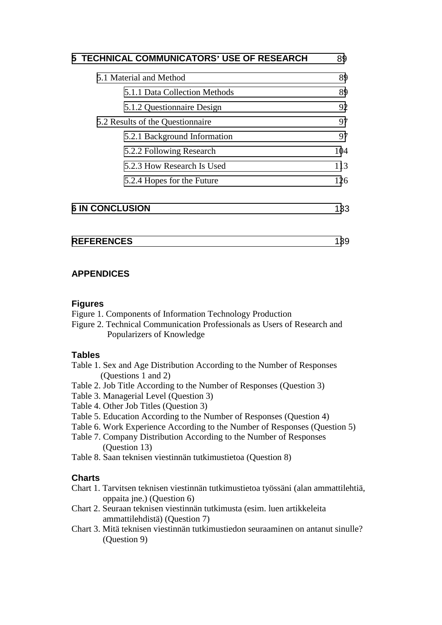| 5 TECHNICAL COMMUNICATORS' USE OF RESEARCH | 89  |
|--------------------------------------------|-----|
| 5.1 Material and Method                    | 89  |
| 5.1.1 Data Collection Methods              | 89  |
| 5.1.2 Questionnaire Design                 | 92  |
| 5.2 Results of the Questionnaire           | 97  |
| 5.2.1 Background Information               | 97  |
| 5.2.2 Following Research                   | 104 |
| 5.2.3 How Research Is Used                 | 113 |
| 5.2.4 Hopes for the Future                 | 126 |
| <b>6 IN CONCLUSION</b>                     |     |

# **REFERENCES** 139

# **APPENDICES**

#### **Figures**

- Figure 1. Components of Information Technology Production
- Figure 2. Technical Communication Professionals as Users of Research and Popularizers of Knowledge

#### **Tables**

- Table 1. Sex and Age Distribution According to the Number of Responses (Questions 1 and 2)
- Table 2. Job Title According to the Number of Responses (Question 3)
- Table 3. Managerial Level (Question 3)
- Table 4. Other Job Titles (Question 3)
- Table 5. Education According to the Number of Responses (Question 4)
- Table 6. Work Experience According to the Number of Responses (Question 5)
- Table 7. Company Distribution According to the Number of Responses (Question 13)
- Table 8. Saan teknisen viestinnän tutkimustietoa (Question 8)

#### **Charts**

- Chart 1. Tarvitsen teknisen viestinnän tutkimustietoa työssäni (alan ammattilehtiä, oppaita jne.) (Question 6)
- Chart 2. Seuraan teknisen viestinnän tutkimusta (esim. luen artikkeleita ammattilehdistä) (Question 7)
- Chart 3. Mitä teknisen viestinnän tutkimustiedon seuraaminen on antanut sinulle? (Question 9)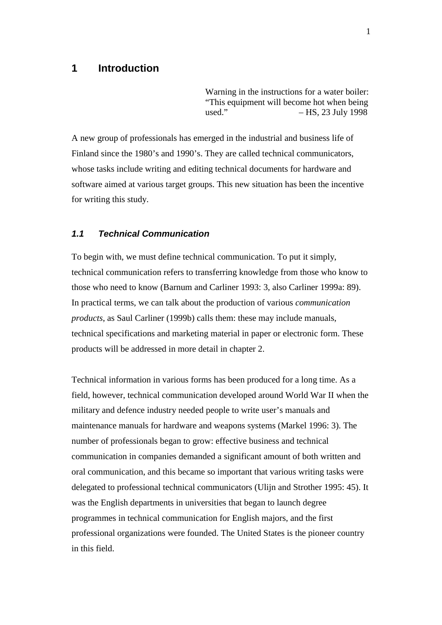# **1 Introduction**

Warning in the instructions for a water boiler: "This equipment will become hot when being used." – HS, 23 July 1998

A new group of professionals has emerged in the industrial and business life of Finland since the 1980's and 1990's. They are called technical communicators, whose tasks include writing and editing technical documents for hardware and software aimed at various target groups. This new situation has been the incentive for writing this study.

#### **1.1 Technical Communication**

To begin with, we must define technical communication. To put it simply, technical communication refers to transferring knowledge from those who know to those who need to know (Barnum and Carliner 1993: 3, also Carliner 1999a: 89). In practical terms, we can talk about the production of various *communication products*, as Saul Carliner (1999b) calls them: these may include manuals, technical specifications and marketing material in paper or electronic form. These products will be addressed in more detail in chapter 2.

Technical information in various forms has been produced for a long time. As a field, however, technical communication developed around World War II when the military and defence industry needed people to write user's manuals and maintenance manuals for hardware and weapons systems (Markel 1996: 3). The number of professionals began to grow: effective business and technical communication in companies demanded a significant amount of both written and oral communication, and this became so important that various writing tasks were delegated to professional technical communicators (Ulijn and Strother 1995: 45). It was the English departments in universities that began to launch degree programmes in technical communication for English majors, and the first professional organizations were founded. The United States is the pioneer country in this field.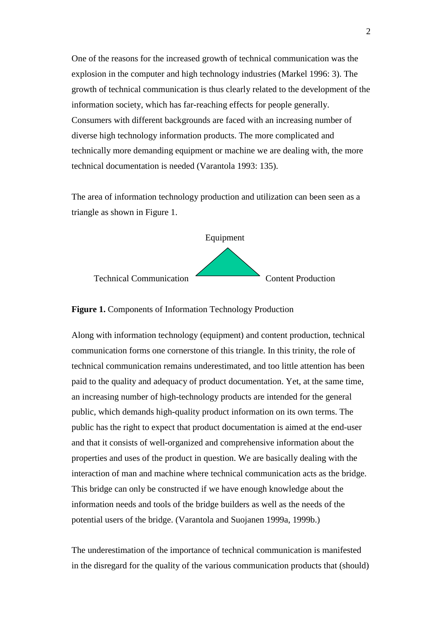One of the reasons for the increased growth of technical communication was the explosion in the computer and high technology industries (Markel 1996: 3). The growth of technical communication is thus clearly related to the development of the information society, which has far-reaching effects for people generally. Consumers with different backgrounds are faced with an increasing number of diverse high technology information products. The more complicated and technically more demanding equipment or machine we are dealing with, the more technical documentation is needed (Varantola 1993: 135).

The area of information technology production and utilization can been seen as a triangle as shown in Figure 1.



**Figure 1.** Components of Information Technology Production

Along with information technology (equipment) and content production, technical communication forms one cornerstone of this triangle. In this trinity, the role of technical communication remains underestimated, and too little attention has been paid to the quality and adequacy of product documentation. Yet, at the same time, an increasing number of high-technology products are intended for the general public, which demands high-quality product information on its own terms. The public has the right to expect that product documentation is aimed at the end-user and that it consists of well-organized and comprehensive information about the properties and uses of the product in question. We are basically dealing with the interaction of man and machine where technical communication acts as the bridge. This bridge can only be constructed if we have enough knowledge about the information needs and tools of the bridge builders as well as the needs of the potential users of the bridge. (Varantola and Suojanen 1999a, 1999b.)

The underestimation of the importance of technical communication is manifested in the disregard for the quality of the various communication products that (should)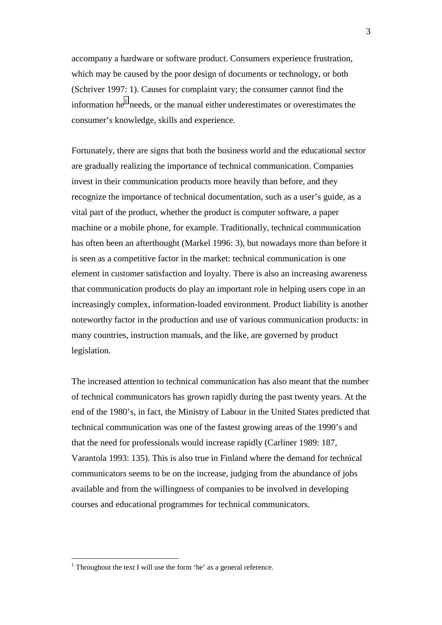accompany a hardware or software product. Consumers experience frustration, which may be caused by the poor design of documents or technology, or both (Schriver 1997: 1). Causes for complaint vary; the consumer cannot find the information he<sup>1</sup> needs, or the manual either underestimates or overestimates the consumer's knowledge, skills and experience.

Fortunately, there are signs that both the business world and the educational sector are gradually realizing the importance of technical communication. Companies invest in their communication products more heavily than before, and they recognize the importance of technical documentation, such as a user's guide, as a vital part of the product, whether the product is computer software, a paper machine or a mobile phone, for example. Traditionally, technical communication has often been an afterthought (Markel 1996: 3), but nowadays more than before it is seen as a competitive factor in the market: technical communication is one element in customer satisfaction and loyalty. There is also an increasing awareness that communication products do play an important role in helping users cope in an increasingly complex, information-loaded environment. Product liability is another noteworthy factor in the production and use of various communication products: in many countries, instruction manuals, and the like, are governed by product legislation.

The increased attention to technical communication has also meant that the number of technical communicators has grown rapidly during the past twenty years. At the end of the 1980's, in fact, the Ministry of Labour in the United States predicted that technical communication was one of the fastest growing areas of the 1990's and that the need for professionals would increase rapidly (Carliner 1989: 187, Varantola 1993: 135). This is also true in Finland where the demand for technical communicators seems to be on the increase, judging from the abundance of jobs available and from the willingness of companies to be involved in developing courses and educational programmes for technical communicators.

 $\overline{a}$ 

<sup>&</sup>lt;sup>1</sup> Throughout the text I will use the form 'he' as a general reference.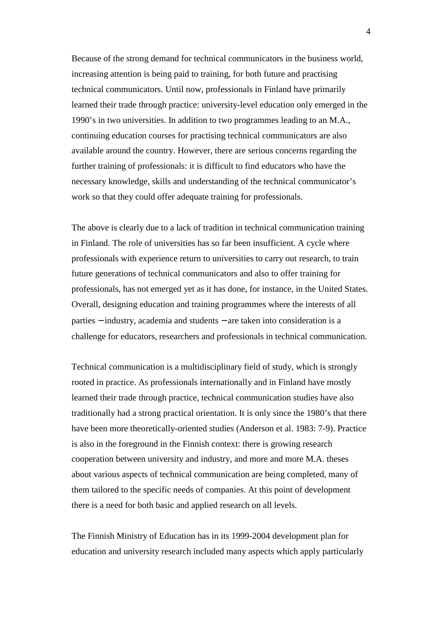Because of the strong demand for technical communicators in the business world, increasing attention is being paid to training, for both future and practising technical communicators. Until now, professionals in Finland have primarily learned their trade through practice: university-level education only emerged in the 1990's in two universities. In addition to two programmes leading to an M.A., continuing education courses for practising technical communicators are also available around the country. However, there are serious concerns regarding the further training of professionals: it is difficult to find educators who have the necessary knowledge, skills and understanding of the technical communicator's work so that they could offer adequate training for professionals.

The above is clearly due to a lack of tradition in technical communication training in Finland. The role of universities has so far been insufficient. A cycle where professionals with experience return to universities to carry out research, to train future generations of technical communicators and also to offer training for professionals, has not emerged yet as it has done, for instance, in the United States. Overall, designing education and training programmes where the interests of all parties − industry, academia and students − are taken into consideration is a challenge for educators, researchers and professionals in technical communication.

Technical communication is a multidisciplinary field of study, which is strongly rooted in practice. As professionals internationally and in Finland have mostly learned their trade through practice, technical communication studies have also traditionally had a strong practical orientation. It is only since the 1980's that there have been more theoretically-oriented studies (Anderson et al. 1983: 7-9). Practice is also in the foreground in the Finnish context: there is growing research cooperation between university and industry, and more and more M.A. theses about various aspects of technical communication are being completed, many of them tailored to the specific needs of companies. At this point of development there is a need for both basic and applied research on all levels.

The Finnish Ministry of Education has in its 1999-2004 development plan for education and university research included many aspects which apply particularly

4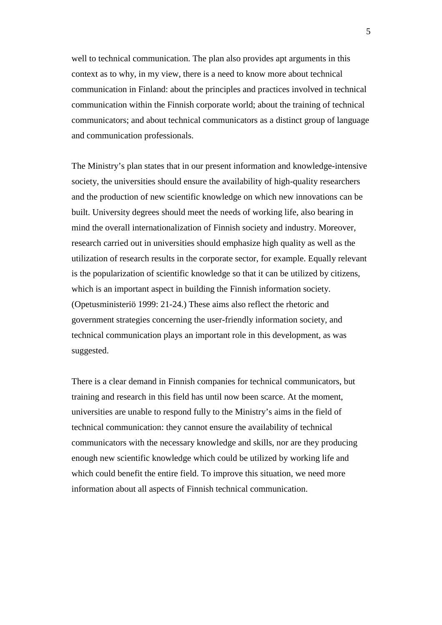well to technical communication. The plan also provides apt arguments in this context as to why, in my view, there is a need to know more about technical communication in Finland: about the principles and practices involved in technical communication within the Finnish corporate world; about the training of technical communicators; and about technical communicators as a distinct group of language and communication professionals.

The Ministry's plan states that in our present information and knowledge-intensive society, the universities should ensure the availability of high-quality researchers and the production of new scientific knowledge on which new innovations can be built. University degrees should meet the needs of working life, also bearing in mind the overall internationalization of Finnish society and industry. Moreover, research carried out in universities should emphasize high quality as well as the utilization of research results in the corporate sector, for example. Equally relevant is the popularization of scientific knowledge so that it can be utilized by citizens, which is an important aspect in building the Finnish information society. (Opetusministeriö 1999: 21-24.) These aims also reflect the rhetoric and government strategies concerning the user-friendly information society, and technical communication plays an important role in this development, as was suggested.

There is a clear demand in Finnish companies for technical communicators, but training and research in this field has until now been scarce. At the moment, universities are unable to respond fully to the Ministry's aims in the field of technical communication: they cannot ensure the availability of technical communicators with the necessary knowledge and skills, nor are they producing enough new scientific knowledge which could be utilized by working life and which could benefit the entire field. To improve this situation, we need more information about all aspects of Finnish technical communication.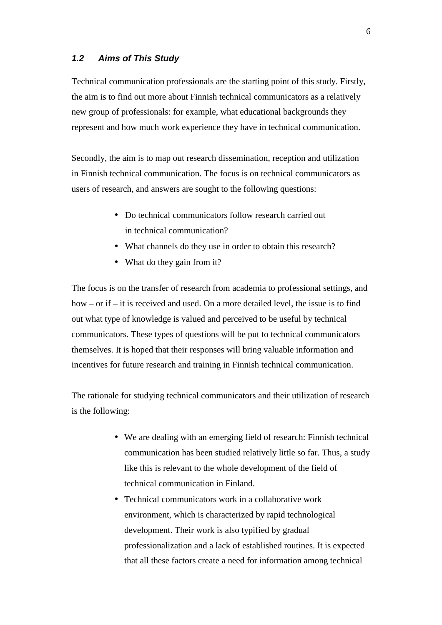#### **1.2 Aims of This Study**

Technical communication professionals are the starting point of this study. Firstly, the aim is to find out more about Finnish technical communicators as a relatively new group of professionals: for example, what educational backgrounds they represent and how much work experience they have in technical communication.

Secondly, the aim is to map out research dissemination, reception and utilization in Finnish technical communication. The focus is on technical communicators as users of research, and answers are sought to the following questions:

- Do technical communicators follow research carried out in technical communication?
- What channels do they use in order to obtain this research?
- What do they gain from it?

The focus is on the transfer of research from academia to professional settings, and how – or if – it is received and used. On a more detailed level, the issue is to find out what type of knowledge is valued and perceived to be useful by technical communicators. These types of questions will be put to technical communicators themselves. It is hoped that their responses will bring valuable information and incentives for future research and training in Finnish technical communication.

The rationale for studying technical communicators and their utilization of research is the following:

- We are dealing with an emerging field of research: Finnish technical communication has been studied relatively little so far. Thus, a study like this is relevant to the whole development of the field of technical communication in Finland.
- Technical communicators work in a collaborative work environment, which is characterized by rapid technological development. Their work is also typified by gradual professionalization and a lack of established routines. It is expected that all these factors create a need for information among technical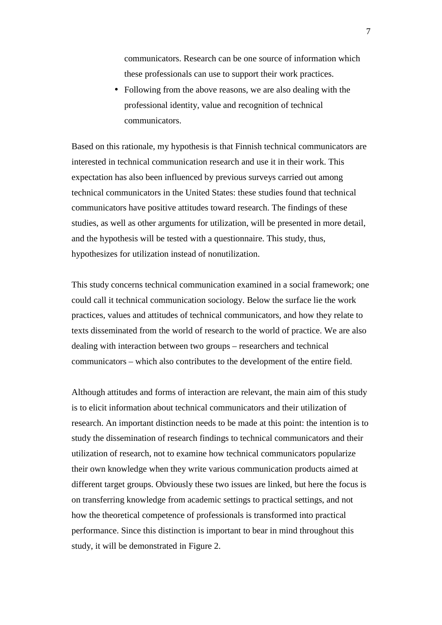communicators. Research can be one source of information which these professionals can use to support their work practices.

• Following from the above reasons, we are also dealing with the professional identity, value and recognition of technical communicators.

Based on this rationale, my hypothesis is that Finnish technical communicators are interested in technical communication research and use it in their work. This expectation has also been influenced by previous surveys carried out among technical communicators in the United States: these studies found that technical communicators have positive attitudes toward research. The findings of these studies, as well as other arguments for utilization, will be presented in more detail, and the hypothesis will be tested with a questionnaire. This study, thus, hypothesizes for utilization instead of nonutilization.

This study concerns technical communication examined in a social framework; one could call it technical communication sociology. Below the surface lie the work practices, values and attitudes of technical communicators, and how they relate to texts disseminated from the world of research to the world of practice. We are also dealing with interaction between two groups – researchers and technical communicators – which also contributes to the development of the entire field.

Although attitudes and forms of interaction are relevant, the main aim of this study is to elicit information about technical communicators and their utilization of research. An important distinction needs to be made at this point: the intention is to study the dissemination of research findings to technical communicators and their utilization of research, not to examine how technical communicators popularize their own knowledge when they write various communication products aimed at different target groups. Obviously these two issues are linked, but here the focus is on transferring knowledge from academic settings to practical settings, and not how the theoretical competence of professionals is transformed into practical performance. Since this distinction is important to bear in mind throughout this study, it will be demonstrated in Figure 2.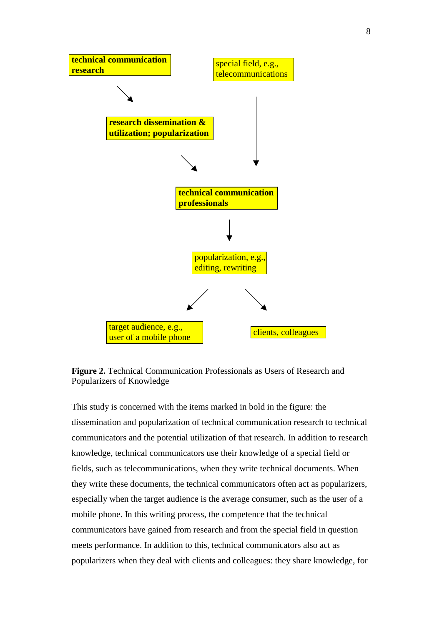

Figure 2. Technical Communication Professionals as Users of Research and Popularizers of Knowledge

This study is concerned with the items marked in bold in the figure: the dissemination and popularization of technical communication research to technical communicators and the potential utilization of that research. In addition to research knowledge, technical communicators use their knowledge of a special field or fields, such as telecommunications, when they write technical documents. When they write these documents, the technical communicators often act as popularizers, especially when the target audience is the average consumer, such as the user of a mobile phone. In this writing process, the competence that the technical communicators have gained from research and from the special field in question meets performance. In addition to this, technical communicators also act as popularizers when they deal with clients and colleagues: they share knowledge, for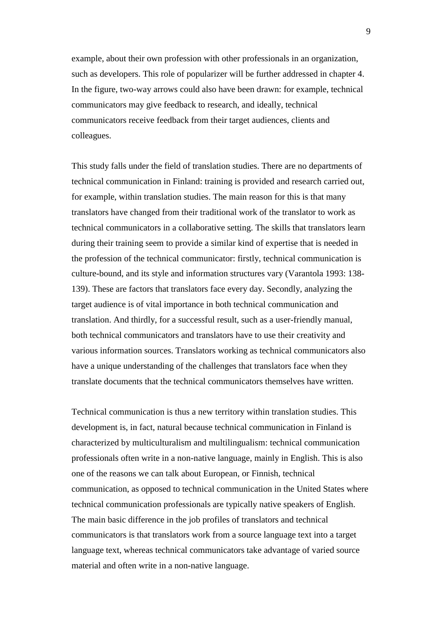example, about their own profession with other professionals in an organization, such as developers. This role of popularizer will be further addressed in chapter 4. In the figure, two-way arrows could also have been drawn: for example, technical communicators may give feedback to research, and ideally, technical communicators receive feedback from their target audiences, clients and colleagues.

This study falls under the field of translation studies. There are no departments of technical communication in Finland: training is provided and research carried out, for example, within translation studies. The main reason for this is that many translators have changed from their traditional work of the translator to work as technical communicators in a collaborative setting. The skills that translators learn during their training seem to provide a similar kind of expertise that is needed in the profession of the technical communicator: firstly, technical communication is culture-bound, and its style and information structures vary (Varantola 1993: 138- 139). These are factors that translators face every day. Secondly, analyzing the target audience is of vital importance in both technical communication and translation. And thirdly, for a successful result, such as a user-friendly manual, both technical communicators and translators have to use their creativity and various information sources. Translators working as technical communicators also have a unique understanding of the challenges that translators face when they translate documents that the technical communicators themselves have written.

Technical communication is thus a new territory within translation studies. This development is, in fact, natural because technical communication in Finland is characterized by multiculturalism and multilingualism: technical communication professionals often write in a non-native language, mainly in English. This is also one of the reasons we can talk about European, or Finnish, technical communication, as opposed to technical communication in the United States where technical communication professionals are typically native speakers of English. The main basic difference in the job profiles of translators and technical communicators is that translators work from a source language text into a target language text, whereas technical communicators take advantage of varied source material and often write in a non-native language.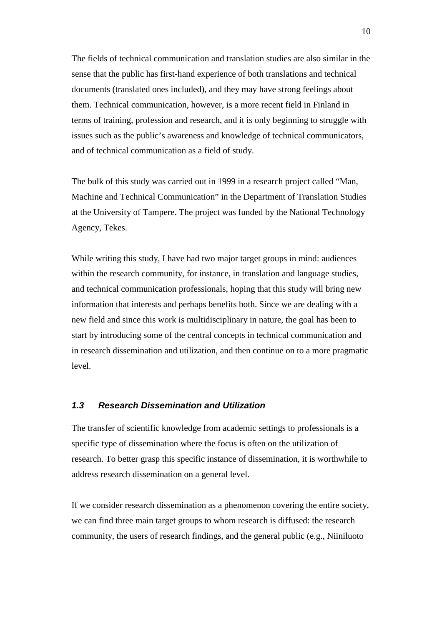The fields of technical communication and translation studies are also similar in the sense that the public has first-hand experience of both translations and technical documents (translated ones included), and they may have strong feelings about them. Technical communication, however, is a more recent field in Finland in terms of training, profession and research, and it is only beginning to struggle with issues such as the public's awareness and knowledge of technical communicators, and of technical communication as a field of study.

The bulk of this study was carried out in 1999 in a research project called "Man, Machine and Technical Communication" in the Department of Translation Studies at the University of Tampere. The project was funded by the National Technology Agency, Tekes.

While writing this study, I have had two major target groups in mind: audiences within the research community, for instance, in translation and language studies, and technical communication professionals, hoping that this study will bring new information that interests and perhaps benefits both. Since we are dealing with a new field and since this work is multidisciplinary in nature, the goal has been to start by introducing some of the central concepts in technical communication and in research dissemination and utilization, and then continue on to a more pragmatic level.

# **1.3 Research Dissemination and Utilization**

The transfer of scientific knowledge from academic settings to professionals is a specific type of dissemination where the focus is often on the utilization of research. To better grasp this specific instance of dissemination, it is worthwhile to address research dissemination on a general level.

If we consider research dissemination as a phenomenon covering the entire society, we can find three main target groups to whom research is diffused: the research community, the users of research findings, and the general public (e.g., Niiniluoto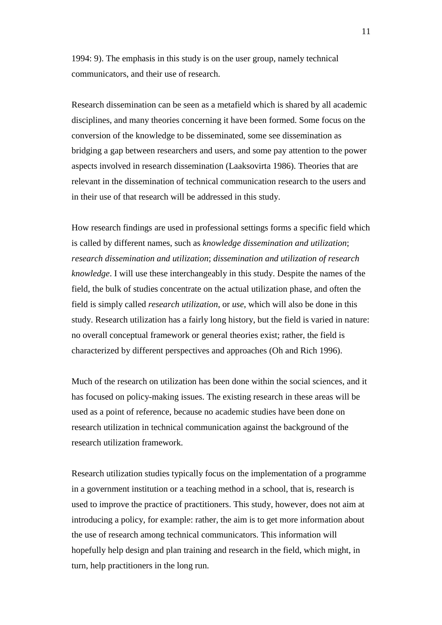1994: 9). The emphasis in this study is on the user group, namely technical communicators, and their use of research.

Research dissemination can be seen as a metafield which is shared by all academic disciplines, and many theories concerning it have been formed. Some focus on the conversion of the knowledge to be disseminated, some see dissemination as bridging a gap between researchers and users, and some pay attention to the power aspects involved in research dissemination (Laaksovirta 1986). Theories that are relevant in the dissemination of technical communication research to the users and in their use of that research will be addressed in this study.

How research findings are used in professional settings forms a specific field which is called by different names, such as *knowledge dissemination and utilization*; *research dissemination and utilization*; *dissemination and utilization of research knowledge*. I will use these interchangeably in this study. Despite the names of the field, the bulk of studies concentrate on the actual utilization phase, and often the field is simply called *research utilization*, or *use*, which will also be done in this study. Research utilization has a fairly long history, but the field is varied in nature: no overall conceptual framework or general theories exist; rather, the field is characterized by different perspectives and approaches (Oh and Rich 1996).

Much of the research on utilization has been done within the social sciences, and it has focused on policy-making issues. The existing research in these areas will be used as a point of reference, because no academic studies have been done on research utilization in technical communication against the background of the research utilization framework.

Research utilization studies typically focus on the implementation of a programme in a government institution or a teaching method in a school, that is, research is used to improve the practice of practitioners. This study, however, does not aim at introducing a policy, for example: rather, the aim is to get more information about the use of research among technical communicators. This information will hopefully help design and plan training and research in the field, which might, in turn, help practitioners in the long run.

11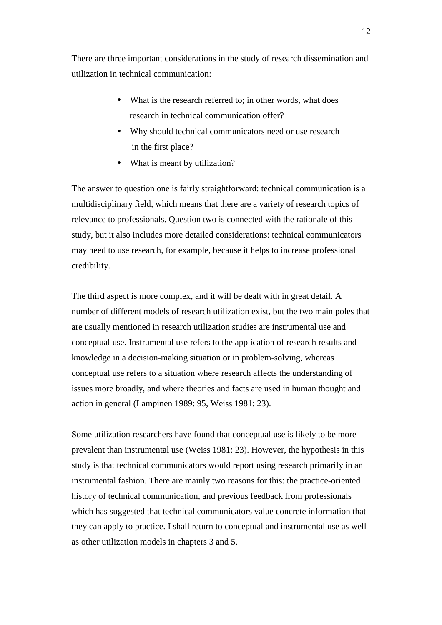There are three important considerations in the study of research dissemination and utilization in technical communication:

- What is the research referred to; in other words, what does research in technical communication offer?
- Why should technical communicators need or use research in the first place?
- What is meant by utilization?

The answer to question one is fairly straightforward: technical communication is a multidisciplinary field, which means that there are a variety of research topics of relevance to professionals. Question two is connected with the rationale of this study, but it also includes more detailed considerations: technical communicators may need to use research, for example, because it helps to increase professional credibility.

The third aspect is more complex, and it will be dealt with in great detail. A number of different models of research utilization exist, but the two main poles that are usually mentioned in research utilization studies are instrumental use and conceptual use. Instrumental use refers to the application of research results and knowledge in a decision-making situation or in problem-solving, whereas conceptual use refers to a situation where research affects the understanding of issues more broadly, and where theories and facts are used in human thought and action in general (Lampinen 1989: 95, Weiss 1981: 23).

Some utilization researchers have found that conceptual use is likely to be more prevalent than instrumental use (Weiss 1981: 23). However, the hypothesis in this study is that technical communicators would report using research primarily in an instrumental fashion. There are mainly two reasons for this: the practice-oriented history of technical communication, and previous feedback from professionals which has suggested that technical communicators value concrete information that they can apply to practice. I shall return to conceptual and instrumental use as well as other utilization models in chapters 3 and 5.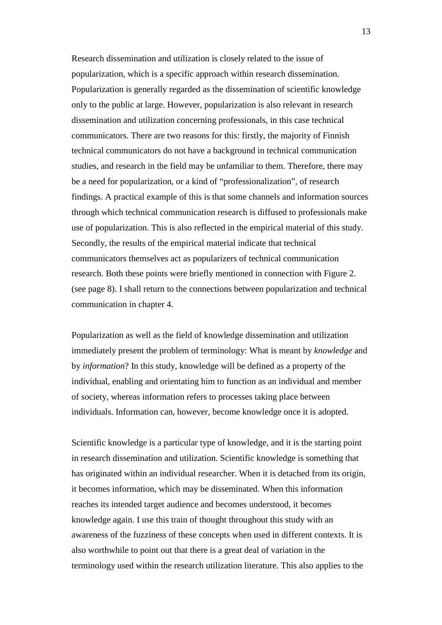Research dissemination and utilization is closely related to the issue of popularization, which is a specific approach within research dissemination. Popularization is generally regarded as the dissemination of scientific knowledge only to the public at large. However, popularization is also relevant in research dissemination and utilization concerning professionals, in this case technical communicators. There are two reasons for this: firstly, the majority of Finnish technical communicators do not have a background in technical communication studies, and research in the field may be unfamiliar to them. Therefore, there may be a need for popularization, or a kind of "professionalization", of research findings. A practical example of this is that some channels and information sources through which technical communication research is diffused to professionals make use of popularization. This is also reflected in the empirical material of this study. Secondly, the results of the empirical material indicate that technical communicators themselves act as popularizers of technical communication research. Both these points were briefly mentioned in connection with Figure 2. (see page 8). I shall return to the connections between popularization and technical communication in chapter 4.

Popularization as well as the field of knowledge dissemination and utilization immediately present the problem of terminology: What is meant by *knowledge* and by *information*? In this study, knowledge will be defined as a property of the individual, enabling and orientating him to function as an individual and member of society, whereas information refers to processes taking place between individuals. Information can, however, become knowledge once it is adopted.

Scientific knowledge is a particular type of knowledge, and it is the starting point in research dissemination and utilization. Scientific knowledge is something that has originated within an individual researcher. When it is detached from its origin, it becomes information, which may be disseminated. When this information reaches its intended target audience and becomes understood, it becomes knowledge again. I use this train of thought throughout this study with an awareness of the fuzziness of these concepts when used in different contexts. It is also worthwhile to point out that there is a great deal of variation in the terminology used within the research utilization literature. This also applies to the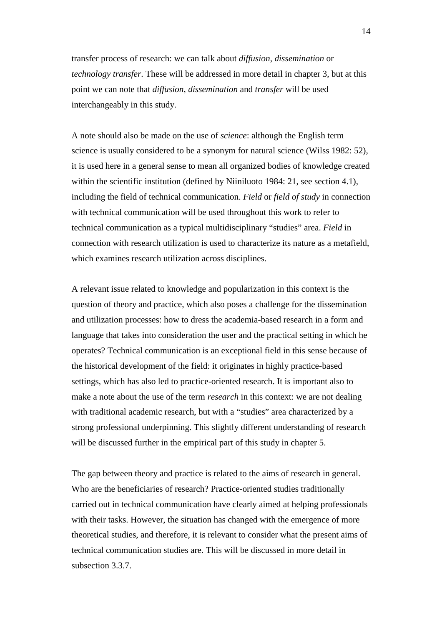transfer process of research: we can talk about *diffusion*, *dissemination* or *technology transfer*. These will be addressed in more detail in chapter 3, but at this point we can note that *diffusion*, *dissemination* and *transfer* will be used interchangeably in this study.

A note should also be made on the use of *science*: although the English term science is usually considered to be a synonym for natural science (Wilss 1982: 52), it is used here in a general sense to mean all organized bodies of knowledge created within the scientific institution (defined by Niiniluoto 1984: 21, see section 4.1), including the field of technical communication. *Field* or *field of study* in connection with technical communication will be used throughout this work to refer to technical communication as a typical multidisciplinary "studies" area. *Field* in connection with research utilization is used to characterize its nature as a metafield, which examines research utilization across disciplines.

A relevant issue related to knowledge and popularization in this context is the question of theory and practice, which also poses a challenge for the dissemination and utilization processes: how to dress the academia-based research in a form and language that takes into consideration the user and the practical setting in which he operates? Technical communication is an exceptional field in this sense because of the historical development of the field: it originates in highly practice-based settings, which has also led to practice-oriented research. It is important also to make a note about the use of the term *research* in this context: we are not dealing with traditional academic research, but with a "studies" area characterized by a strong professional underpinning. This slightly different understanding of research will be discussed further in the empirical part of this study in chapter 5.

The gap between theory and practice is related to the aims of research in general. Who are the beneficiaries of research? Practice-oriented studies traditionally carried out in technical communication have clearly aimed at helping professionals with their tasks. However, the situation has changed with the emergence of more theoretical studies, and therefore, it is relevant to consider what the present aims of technical communication studies are. This will be discussed in more detail in subsection 3.3.7.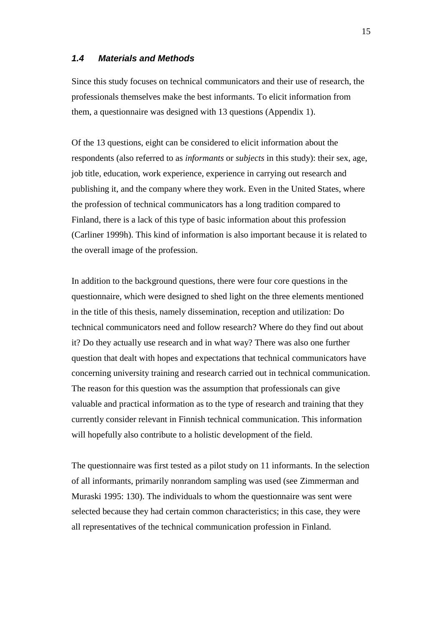#### **1.4 Materials and Methods**

Since this study focuses on technical communicators and their use of research, the professionals themselves make the best informants. To elicit information from them, a questionnaire was designed with 13 questions (Appendix 1).

Of the 13 questions, eight can be considered to elicit information about the respondents (also referred to as *informants* or *subjects* in this study): their sex, age, job title, education, work experience, experience in carrying out research and publishing it, and the company where they work. Even in the United States, where the profession of technical communicators has a long tradition compared to Finland, there is a lack of this type of basic information about this profession (Carliner 1999h). This kind of information is also important because it is related to the overall image of the profession.

In addition to the background questions, there were four core questions in the questionnaire, which were designed to shed light on the three elements mentioned in the title of this thesis, namely dissemination, reception and utilization: Do technical communicators need and follow research? Where do they find out about it? Do they actually use research and in what way? There was also one further question that dealt with hopes and expectations that technical communicators have concerning university training and research carried out in technical communication. The reason for this question was the assumption that professionals can give valuable and practical information as to the type of research and training that they currently consider relevant in Finnish technical communication. This information will hopefully also contribute to a holistic development of the field.

The questionnaire was first tested as a pilot study on 11 informants. In the selection of all informants, primarily nonrandom sampling was used (see Zimmerman and Muraski 1995: 130). The individuals to whom the questionnaire was sent were selected because they had certain common characteristics; in this case, they were all representatives of the technical communication profession in Finland.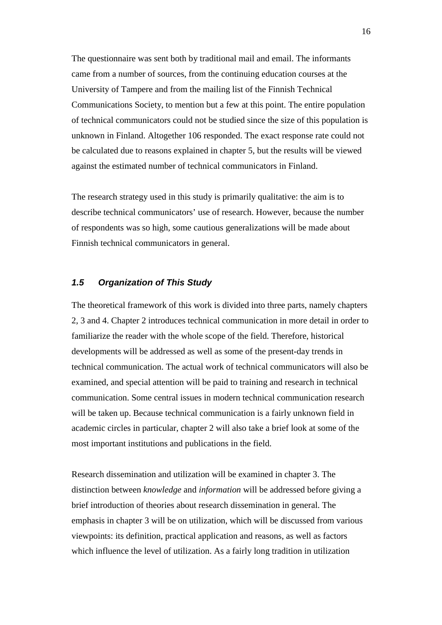The questionnaire was sent both by traditional mail and email. The informants came from a number of sources, from the continuing education courses at the University of Tampere and from the mailing list of the Finnish Technical Communications Society, to mention but a few at this point. The entire population of technical communicators could not be studied since the size of this population is unknown in Finland. Altogether 106 responded. The exact response rate could not be calculated due to reasons explained in chapter 5, but the results will be viewed against the estimated number of technical communicators in Finland.

The research strategy used in this study is primarily qualitative: the aim is to describe technical communicators' use of research. However, because the number of respondents was so high, some cautious generalizations will be made about Finnish technical communicators in general.

# **1.5 Organization of This Study**

The theoretical framework of this work is divided into three parts, namely chapters 2, 3 and 4. Chapter 2 introduces technical communication in more detail in order to familiarize the reader with the whole scope of the field. Therefore, historical developments will be addressed as well as some of the present-day trends in technical communication. The actual work of technical communicators will also be examined, and special attention will be paid to training and research in technical communication. Some central issues in modern technical communication research will be taken up. Because technical communication is a fairly unknown field in academic circles in particular, chapter 2 will also take a brief look at some of the most important institutions and publications in the field.

Research dissemination and utilization will be examined in chapter 3. The distinction between *knowledge* and *information* will be addressed before giving a brief introduction of theories about research dissemination in general. The emphasis in chapter 3 will be on utilization, which will be discussed from various viewpoints: its definition, practical application and reasons, as well as factors which influence the level of utilization. As a fairly long tradition in utilization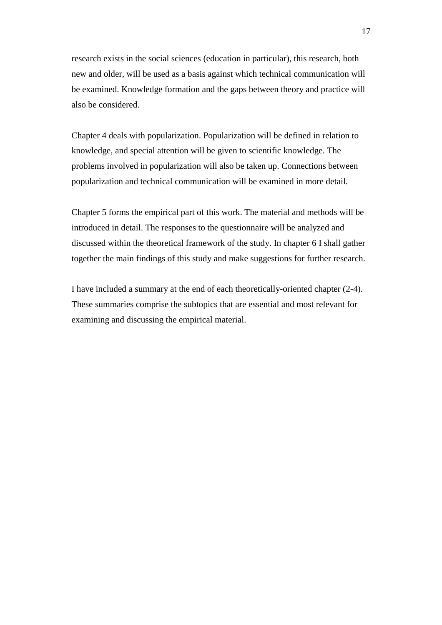research exists in the social sciences (education in particular), this research, both new and older, will be used as a basis against which technical communication will be examined. Knowledge formation and the gaps between theory and practice will also be considered.

Chapter 4 deals with popularization. Popularization will be defined in relation to knowledge, and special attention will be given to scientific knowledge. The problems involved in popularization will also be taken up. Connections between popularization and technical communication will be examined in more detail.

Chapter 5 forms the empirical part of this work. The material and methods will be introduced in detail. The responses to the questionnaire will be analyzed and discussed within the theoretical framework of the study. In chapter 6 I shall gather together the main findings of this study and make suggestions for further research.

I have included a summary at the end of each theoretically-oriented chapter (2-4). These summaries comprise the subtopics that are essential and most relevant for examining and discussing the empirical material.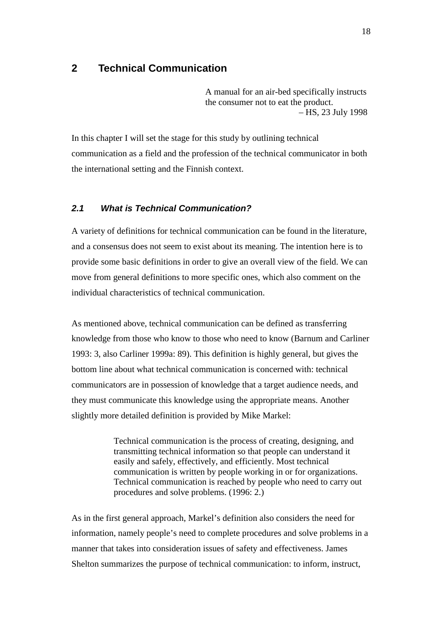# **2 Technical Communication**

A manual for an air-bed specifically instructs the consumer not to eat the product. – HS, 23 July 1998

In this chapter I will set the stage for this study by outlining technical communication as a field and the profession of the technical communicator in both the international setting and the Finnish context.

# **2.1 What is Technical Communication?**

A variety of definitions for technical communication can be found in the literature, and a consensus does not seem to exist about its meaning. The intention here is to provide some basic definitions in order to give an overall view of the field. We can move from general definitions to more specific ones, which also comment on the individual characteristics of technical communication.

As mentioned above, technical communication can be defined as transferring knowledge from those who know to those who need to know (Barnum and Carliner 1993: 3, also Carliner 1999a: 89). This definition is highly general, but gives the bottom line about what technical communication is concerned with: technical communicators are in possession of knowledge that a target audience needs, and they must communicate this knowledge using the appropriate means. Another slightly more detailed definition is provided by Mike Markel:

> Technical communication is the process of creating, designing, and transmitting technical information so that people can understand it easily and safely, effectively, and efficiently. Most technical communication is written by people working in or for organizations. Technical communication is reached by people who need to carry out procedures and solve problems. (1996: 2.)

As in the first general approach, Markel's definition also considers the need for information, namely people's need to complete procedures and solve problems in a manner that takes into consideration issues of safety and effectiveness. James Shelton summarizes the purpose of technical communication: to inform, instruct,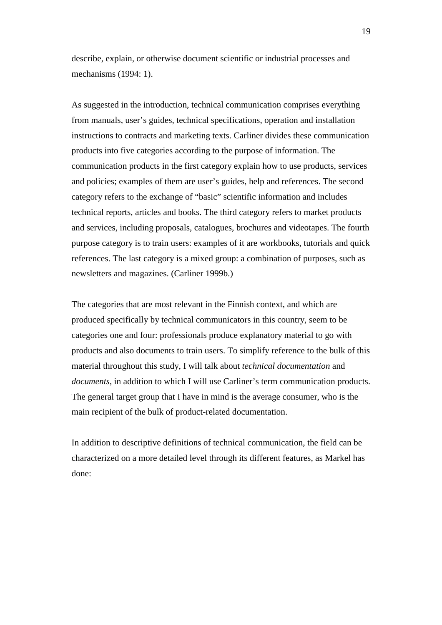describe, explain, or otherwise document scientific or industrial processes and mechanisms (1994: 1).

As suggested in the introduction, technical communication comprises everything from manuals, user's guides, technical specifications, operation and installation instructions to contracts and marketing texts. Carliner divides these communication products into five categories according to the purpose of information. The communication products in the first category explain how to use products, services and policies; examples of them are user's guides, help and references. The second category refers to the exchange of "basic" scientific information and includes technical reports, articles and books. The third category refers to market products and services, including proposals, catalogues, brochures and videotapes. The fourth purpose category is to train users: examples of it are workbooks, tutorials and quick references. The last category is a mixed group: a combination of purposes, such as newsletters and magazines. (Carliner 1999b.)

The categories that are most relevant in the Finnish context, and which are produced specifically by technical communicators in this country, seem to be categories one and four: professionals produce explanatory material to go with products and also documents to train users. To simplify reference to the bulk of this material throughout this study, I will talk about *technical documentation* and *documents*, in addition to which I will use Carliner's term communication products. The general target group that I have in mind is the average consumer, who is the main recipient of the bulk of product-related documentation.

In addition to descriptive definitions of technical communication, the field can be characterized on a more detailed level through its different features, as Markel has done: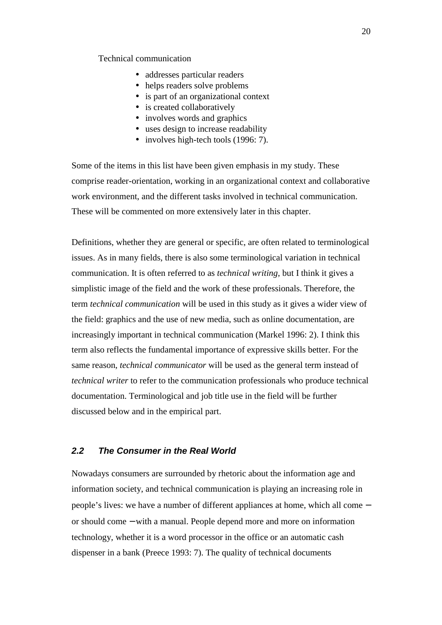Technical communication

- addresses particular readers
- helps readers solve problems
- is part of an organizational context
- is created collaboratively
- involves words and graphics
- uses design to increase readability
- involves high-tech tools (1996: 7).

Some of the items in this list have been given emphasis in my study. These comprise reader-orientation, working in an organizational context and collaborative work environment, and the different tasks involved in technical communication. These will be commented on more extensively later in this chapter.

Definitions, whether they are general or specific, are often related to terminological issues. As in many fields, there is also some terminological variation in technical communication. It is often referred to as *technical writing*, but I think it gives a simplistic image of the field and the work of these professionals. Therefore, the term *technical communication* will be used in this study as it gives a wider view of the field: graphics and the use of new media, such as online documentation, are increasingly important in technical communication (Markel 1996: 2). I think this term also reflects the fundamental importance of expressive skills better. For the same reason, *technical communicator* will be used as the general term instead of *technical writer* to refer to the communication professionals who produce technical documentation. Terminological and job title use in the field will be further discussed below and in the empirical part.

### **2.2 The Consumer in the Real World**

Nowadays consumers are surrounded by rhetoric about the information age and information society, and technical communication is playing an increasing role in people's lives: we have a number of different appliances at home, which all come − or should come − with a manual. People depend more and more on information technology, whether it is a word processor in the office or an automatic cash dispenser in a bank (Preece 1993: 7). The quality of technical documents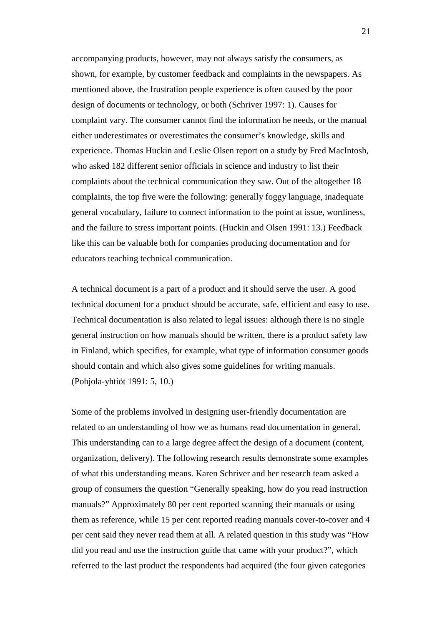accompanying products, however, may not always satisfy the consumers, as shown, for example, by customer feedback and complaints in the newspapers. As mentioned above, the frustration people experience is often caused by the poor design of documents or technology, or both (Schriver 1997: 1). Causes for complaint vary. The consumer cannot find the information he needs, or the manual either underestimates or overestimates the consumer's knowledge, skills and experience. Thomas Huckin and Leslie Olsen report on a study by Fred MacIntosh, who asked 182 different senior officials in science and industry to list their complaints about the technical communication they saw. Out of the altogether 18 complaints, the top five were the following: generally foggy language, inadequate general vocabulary, failure to connect information to the point at issue, wordiness, and the failure to stress important points. (Huckin and Olsen 1991: 13.) Feedback like this can be valuable both for companies producing documentation and for educators teaching technical communication.

A technical document is a part of a product and it should serve the user. A good technical document for a product should be accurate, safe, efficient and easy to use. Technical documentation is also related to legal issues: although there is no single general instruction on how manuals should be written, there is a product safety law in Finland, which specifies, for example, what type of information consumer goods should contain and which also gives some guidelines for writing manuals. (Pohjola-yhtiöt 1991: 5, 10.)

Some of the problems involved in designing user-friendly documentation are related to an understanding of how we as humans read documentation in general. This understanding can to a large degree affect the design of a document (content, organization, delivery). The following research results demonstrate some examples of what this understanding means. Karen Schriver and her research team asked a group of consumers the question "Generally speaking, how do you read instruction manuals?" Approximately 80 per cent reported scanning their manuals or using them as reference, while 15 per cent reported reading manuals cover-to-cover and 4 per cent said they never read them at all. A related question in this study was "How did you read and use the instruction guide that came with your product?", which referred to the last product the respondents had acquired (the four given categories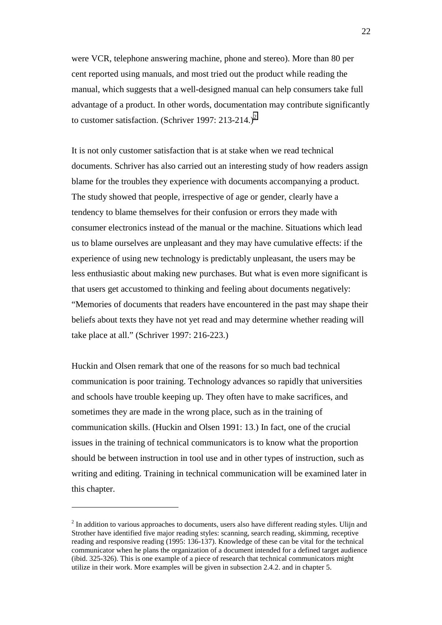were VCR, telephone answering machine, phone and stereo). More than 80 per cent reported using manuals, and most tried out the product while reading the manual, which suggests that a well-designed manual can help consumers take full advantage of a product. In other words, documentation may contribute significantly to customer satisfaction. (Schriver 1997: 213-214.)<sup>2</sup>

It is not only customer satisfaction that is at stake when we read technical documents. Schriver has also carried out an interesting study of how readers assign blame for the troubles they experience with documents accompanying a product. The study showed that people, irrespective of age or gender, clearly have a tendency to blame themselves for their confusion or errors they made with consumer electronics instead of the manual or the machine. Situations which lead us to blame ourselves are unpleasant and they may have cumulative effects: if the experience of using new technology is predictably unpleasant, the users may be less enthusiastic about making new purchases. But what is even more significant is that users get accustomed to thinking and feeling about documents negatively: "Memories of documents that readers have encountered in the past may shape their beliefs about texts they have not yet read and may determine whether reading will take place at all." (Schriver 1997: 216-223.)

Huckin and Olsen remark that one of the reasons for so much bad technical communication is poor training. Technology advances so rapidly that universities and schools have trouble keeping up. They often have to make sacrifices, and sometimes they are made in the wrong place, such as in the training of communication skills. (Huckin and Olsen 1991: 13.) In fact, one of the crucial issues in the training of technical communicators is to know what the proportion should be between instruction in tool use and in other types of instruction, such as writing and editing. Training in technical communication will be examined later in this chapter.

 $\overline{a}$ 

 $2^{2}$  In addition to various approaches to documents, users also have different reading styles. Ulijn and Strother have identified five major reading styles: scanning, search reading, skimming, receptive reading and responsive reading (1995: 136-137). Knowledge of these can be vital for the technical communicator when he plans the organization of a document intended for a defined target audience (ibid. 325-326). This is one example of a piece of research that technical communicators might utilize in their work. More examples will be given in subsection 2.4.2. and in chapter 5.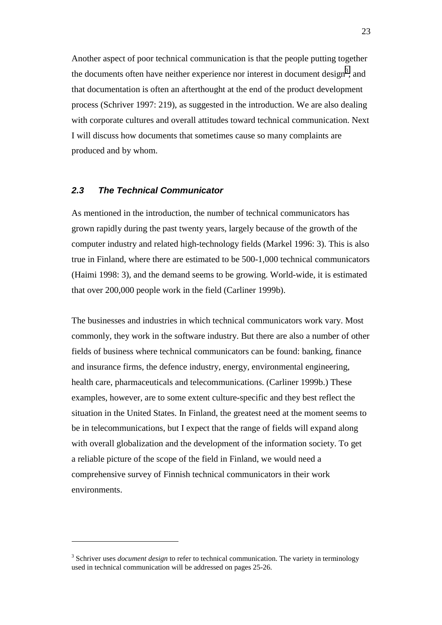Another aspect of poor technical communication is that the people putting together the documents often have neither experience nor interest in document design<sup>3</sup>, and that documentation is often an afterthought at the end of the product development process (Schriver 1997: 219), as suggested in the introduction. We are also dealing with corporate cultures and overall attitudes toward technical communication. Next I will discuss how documents that sometimes cause so many complaints are produced and by whom.

#### **2.3 The Technical Communicator**

 $\overline{a}$ 

As mentioned in the introduction, the number of technical communicators has grown rapidly during the past twenty years, largely because of the growth of the computer industry and related high-technology fields (Markel 1996: 3). This is also true in Finland, where there are estimated to be 500-1,000 technical communicators (Haimi 1998: 3), and the demand seems to be growing. World-wide, it is estimated that over 200,000 people work in the field (Carliner 1999b).

The businesses and industries in which technical communicators work vary. Most commonly, they work in the software industry. But there are also a number of other fields of business where technical communicators can be found: banking, finance and insurance firms, the defence industry, energy, environmental engineering, health care, pharmaceuticals and telecommunications. (Carliner 1999b.) These examples, however, are to some extent culture-specific and they best reflect the situation in the United States. In Finland, the greatest need at the moment seems to be in telecommunications, but I expect that the range of fields will expand along with overall globalization and the development of the information society. To get a reliable picture of the scope of the field in Finland, we would need a comprehensive survey of Finnish technical communicators in their work environments.

<sup>&</sup>lt;sup>3</sup> Schriver uses *document design* to refer to technical communication. The variety in terminology used in technical communication will be addressed on pages 25-26.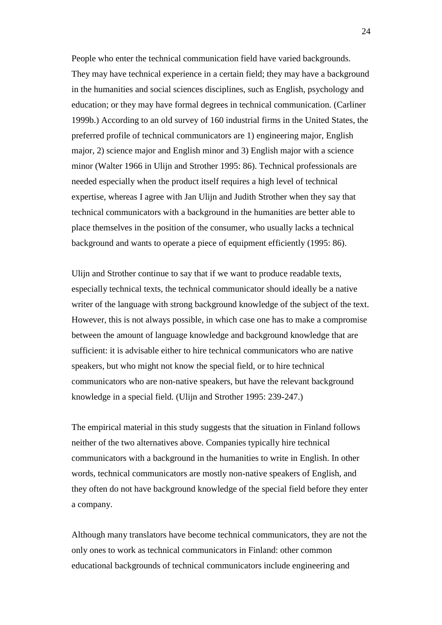People who enter the technical communication field have varied backgrounds. They may have technical experience in a certain field; they may have a background in the humanities and social sciences disciplines, such as English, psychology and education; or they may have formal degrees in technical communication. (Carliner 1999b.) According to an old survey of 160 industrial firms in the United States, the preferred profile of technical communicators are 1) engineering major, English major, 2) science major and English minor and 3) English major with a science minor (Walter 1966 in Ulijn and Strother 1995: 86). Technical professionals are needed especially when the product itself requires a high level of technical expertise, whereas I agree with Jan Ulijn and Judith Strother when they say that technical communicators with a background in the humanities are better able to place themselves in the position of the consumer, who usually lacks a technical background and wants to operate a piece of equipment efficiently (1995: 86).

Ulijn and Strother continue to say that if we want to produce readable texts, especially technical texts, the technical communicator should ideally be a native writer of the language with strong background knowledge of the subject of the text. However, this is not always possible, in which case one has to make a compromise between the amount of language knowledge and background knowledge that are sufficient: it is advisable either to hire technical communicators who are native speakers, but who might not know the special field, or to hire technical communicators who are non-native speakers, but have the relevant background knowledge in a special field. (Ulijn and Strother 1995: 239-247.)

The empirical material in this study suggests that the situation in Finland follows neither of the two alternatives above. Companies typically hire technical communicators with a background in the humanities to write in English. In other words, technical communicators are mostly non-native speakers of English, and they often do not have background knowledge of the special field before they enter a company.

Although many translators have become technical communicators, they are not the only ones to work as technical communicators in Finland: other common educational backgrounds of technical communicators include engineering and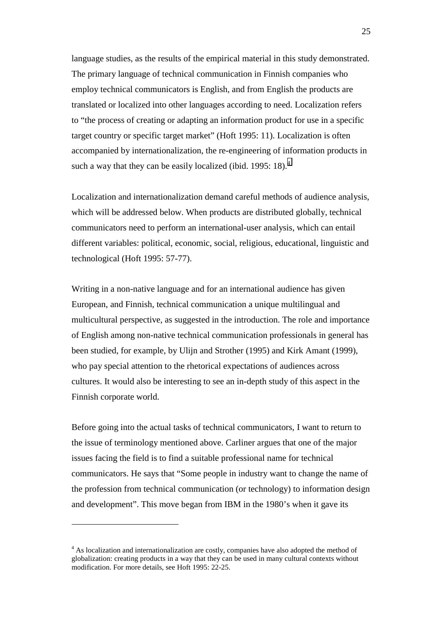language studies, as the results of the empirical material in this study demonstrated. The primary language of technical communication in Finnish companies who employ technical communicators is English, and from English the products are translated or localized into other languages according to need. Localization refers to "the process of creating or adapting an information product for use in a specific target country or specific target market" (Hoft 1995: 11). Localization is often accompanied by internationalization, the re-engineering of information products in such a way that they can be easily localized (ibid. 1995: 18).<sup>4</sup>

Localization and internationalization demand careful methods of audience analysis, which will be addressed below. When products are distributed globally, technical communicators need to perform an international-user analysis, which can entail different variables: political, economic, social, religious, educational, linguistic and technological (Hoft 1995: 57-77).

Writing in a non-native language and for an international audience has given European, and Finnish, technical communication a unique multilingual and multicultural perspective, as suggested in the introduction. The role and importance of English among non-native technical communication professionals in general has been studied, for example, by Ulijn and Strother (1995) and Kirk Amant (1999), who pay special attention to the rhetorical expectations of audiences across cultures. It would also be interesting to see an in-depth study of this aspect in the Finnish corporate world.

Before going into the actual tasks of technical communicators, I want to return to the issue of terminology mentioned above. Carliner argues that one of the major issues facing the field is to find a suitable professional name for technical communicators. He says that "Some people in industry want to change the name of the profession from technical communication (or technology) to information design and development". This move began from IBM in the 1980's when it gave its

 $\overline{a}$ 

<sup>&</sup>lt;sup>4</sup> As localization and internationalization are costly, companies have also adopted the method of globalization: creating products in a way that they can be used in many cultural contexts without modification. For more details, see Hoft 1995: 22-25.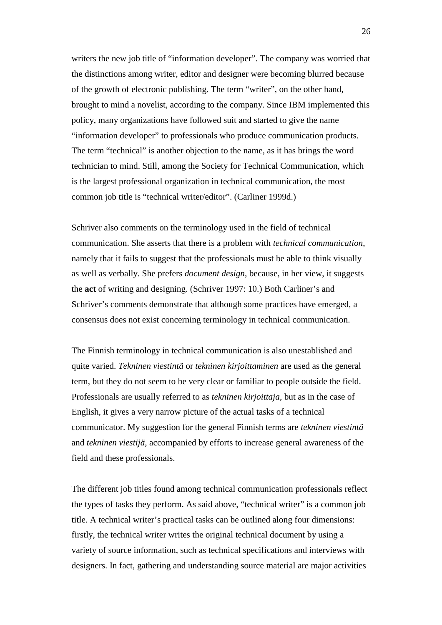writers the new job title of "information developer". The company was worried that the distinctions among writer, editor and designer were becoming blurred because of the growth of electronic publishing. The term "writer", on the other hand, brought to mind a novelist, according to the company. Since IBM implemented this policy, many organizations have followed suit and started to give the name "information developer" to professionals who produce communication products. The term "technical" is another objection to the name, as it has brings the word technician to mind. Still, among the Society for Technical Communication, which is the largest professional organization in technical communication, the most common job title is "technical writer/editor". (Carliner 1999d.)

Schriver also comments on the terminology used in the field of technical communication. She asserts that there is a problem with *technical communication*, namely that it fails to suggest that the professionals must be able to think visually as well as verbally. She prefers *document design*, because, in her view, it suggests the **act** of writing and designing. (Schriver 1997: 10.) Both Carliner's and Schriver's comments demonstrate that although some practices have emerged, a consensus does not exist concerning terminology in technical communication.

The Finnish terminology in technical communication is also unestablished and quite varied. *Tekninen viestintä* or *tekninen kirjoittaminen* are used as the general term, but they do not seem to be very clear or familiar to people outside the field. Professionals are usually referred to as *tekninen kirjoittaja*, but as in the case of English, it gives a very narrow picture of the actual tasks of a technical communicator. My suggestion for the general Finnish terms are *tekninen viestintä* and *tekninen viestijä*, accompanied by efforts to increase general awareness of the field and these professionals.

The different job titles found among technical communication professionals reflect the types of tasks they perform. As said above, "technical writer" is a common job title. A technical writer's practical tasks can be outlined along four dimensions: firstly, the technical writer writes the original technical document by using a variety of source information, such as technical specifications and interviews with designers. In fact, gathering and understanding source material are major activities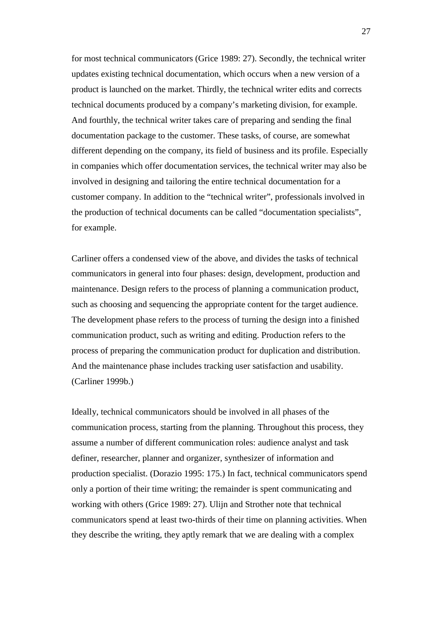for most technical communicators (Grice 1989: 27). Secondly, the technical writer updates existing technical documentation, which occurs when a new version of a product is launched on the market. Thirdly, the technical writer edits and corrects technical documents produced by a company's marketing division, for example. And fourthly, the technical writer takes care of preparing and sending the final documentation package to the customer. These tasks, of course, are somewhat different depending on the company, its field of business and its profile. Especially in companies which offer documentation services, the technical writer may also be involved in designing and tailoring the entire technical documentation for a customer company. In addition to the "technical writer", professionals involved in the production of technical documents can be called "documentation specialists", for example.

Carliner offers a condensed view of the above, and divides the tasks of technical communicators in general into four phases: design, development, production and maintenance. Design refers to the process of planning a communication product, such as choosing and sequencing the appropriate content for the target audience. The development phase refers to the process of turning the design into a finished communication product, such as writing and editing. Production refers to the process of preparing the communication product for duplication and distribution. And the maintenance phase includes tracking user satisfaction and usability. (Carliner 1999b.)

Ideally, technical communicators should be involved in all phases of the communication process, starting from the planning. Throughout this process, they assume a number of different communication roles: audience analyst and task definer, researcher, planner and organizer, synthesizer of information and production specialist. (Dorazio 1995: 175.) In fact, technical communicators spend only a portion of their time writing; the remainder is spent communicating and working with others (Grice 1989: 27). Ulijn and Strother note that technical communicators spend at least two-thirds of their time on planning activities. When they describe the writing, they aptly remark that we are dealing with a complex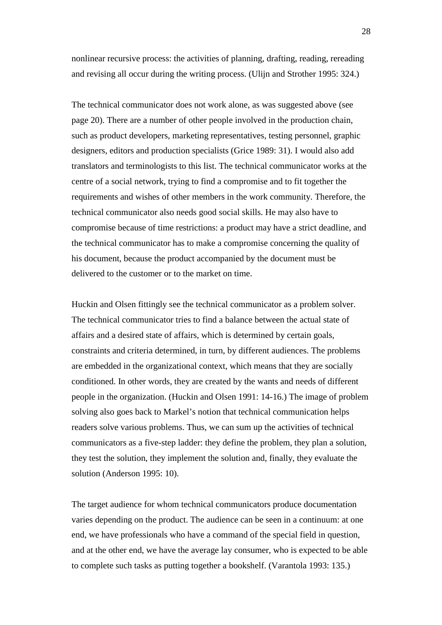nonlinear recursive process: the activities of planning, drafting, reading, rereading and revising all occur during the writing process. (Ulijn and Strother 1995: 324.)

The technical communicator does not work alone, as was suggested above (see page 20). There are a number of other people involved in the production chain, such as product developers, marketing representatives, testing personnel, graphic designers, editors and production specialists (Grice 1989: 31). I would also add translators and terminologists to this list. The technical communicator works at the centre of a social network, trying to find a compromise and to fit together the requirements and wishes of other members in the work community. Therefore, the technical communicator also needs good social skills. He may also have to compromise because of time restrictions: a product may have a strict deadline, and the technical communicator has to make a compromise concerning the quality of his document, because the product accompanied by the document must be delivered to the customer or to the market on time.

Huckin and Olsen fittingly see the technical communicator as a problem solver. The technical communicator tries to find a balance between the actual state of affairs and a desired state of affairs, which is determined by certain goals, constraints and criteria determined, in turn, by different audiences. The problems are embedded in the organizational context, which means that they are socially conditioned. In other words, they are created by the wants and needs of different people in the organization. (Huckin and Olsen 1991: 14-16.) The image of problem solving also goes back to Markel's notion that technical communication helps readers solve various problems. Thus, we can sum up the activities of technical communicators as a five-step ladder: they define the problem, they plan a solution, they test the solution, they implement the solution and, finally, they evaluate the solution (Anderson 1995: 10).

The target audience for whom technical communicators produce documentation varies depending on the product. The audience can be seen in a continuum: at one end, we have professionals who have a command of the special field in question, and at the other end, we have the average lay consumer, who is expected to be able to complete such tasks as putting together a bookshelf. (Varantola 1993: 135.)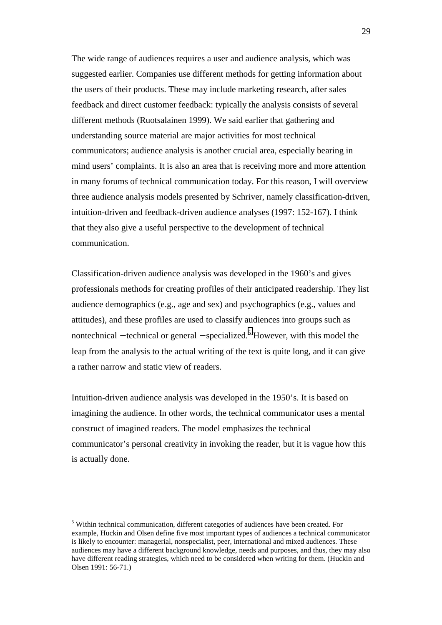The wide range of audiences requires a user and audience analysis, which was suggested earlier. Companies use different methods for getting information about the users of their products. These may include marketing research, after sales feedback and direct customer feedback: typically the analysis consists of several different methods (Ruotsalainen 1999). We said earlier that gathering and understanding source material are major activities for most technical communicators; audience analysis is another crucial area, especially bearing in mind users' complaints. It is also an area that is receiving more and more attention in many forums of technical communication today. For this reason, I will overview three audience analysis models presented by Schriver, namely classification-driven, intuition-driven and feedback-driven audience analyses (1997: 152-167). I think that they also give a useful perspective to the development of technical communication.

Classification-driven audience analysis was developed in the 1960's and gives professionals methods for creating profiles of their anticipated readership. They list audience demographics (e.g., age and sex) and psychographics (e.g., values and attitudes), and these profiles are used to classify audiences into groups such as nontechnical – technical or general – specialized.<sup>5</sup> However, with this model the leap from the analysis to the actual writing of the text is quite long, and it can give a rather narrow and static view of readers.

Intuition-driven audience analysis was developed in the 1950's. It is based on imagining the audience. In other words, the technical communicator uses a mental construct of imagined readers. The model emphasizes the technical communicator's personal creativity in invoking the reader, but it is vague how this is actually done.

 $\overline{a}$ 

<sup>&</sup>lt;sup>5</sup> Within technical communication, different categories of audiences have been created. For example, Huckin and Olsen define five most important types of audiences a technical communicator is likely to encounter: managerial, nonspecialist, peer, international and mixed audiences. These audiences may have a different background knowledge, needs and purposes, and thus, they may also have different reading strategies, which need to be considered when writing for them. (Huckin and Olsen 1991: 56-71.)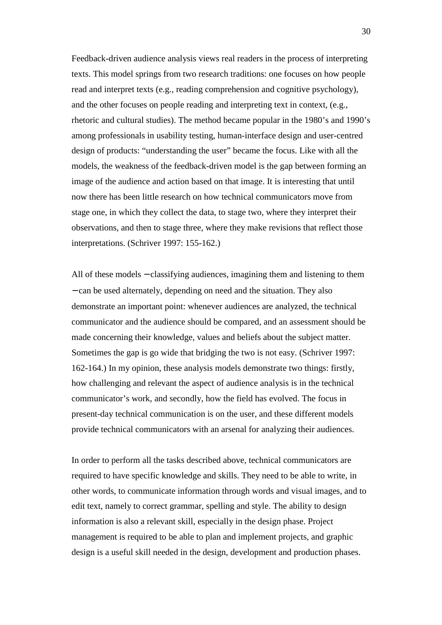Feedback-driven audience analysis views real readers in the process of interpreting texts. This model springs from two research traditions: one focuses on how people read and interpret texts (e.g., reading comprehension and cognitive psychology), and the other focuses on people reading and interpreting text in context, (e.g., rhetoric and cultural studies). The method became popular in the 1980's and 1990's among professionals in usability testing, human-interface design and user-centred design of products: "understanding the user" became the focus. Like with all the models, the weakness of the feedback-driven model is the gap between forming an image of the audience and action based on that image. It is interesting that until now there has been little research on how technical communicators move from stage one, in which they collect the data, to stage two, where they interpret their observations, and then to stage three, where they make revisions that reflect those interpretations. (Schriver 1997: 155-162.)

All of these models – classifying audiences, imagining them and listening to them − can be used alternately, depending on need and the situation. They also demonstrate an important point: whenever audiences are analyzed, the technical communicator and the audience should be compared, and an assessment should be made concerning their knowledge, values and beliefs about the subject matter. Sometimes the gap is go wide that bridging the two is not easy. (Schriver 1997: 162-164.) In my opinion, these analysis models demonstrate two things: firstly, how challenging and relevant the aspect of audience analysis is in the technical communicator's work, and secondly, how the field has evolved. The focus in present-day technical communication is on the user, and these different models provide technical communicators with an arsenal for analyzing their audiences.

In order to perform all the tasks described above, technical communicators are required to have specific knowledge and skills. They need to be able to write, in other words, to communicate information through words and visual images, and to edit text, namely to correct grammar, spelling and style. The ability to design information is also a relevant skill, especially in the design phase. Project management is required to be able to plan and implement projects, and graphic design is a useful skill needed in the design, development and production phases.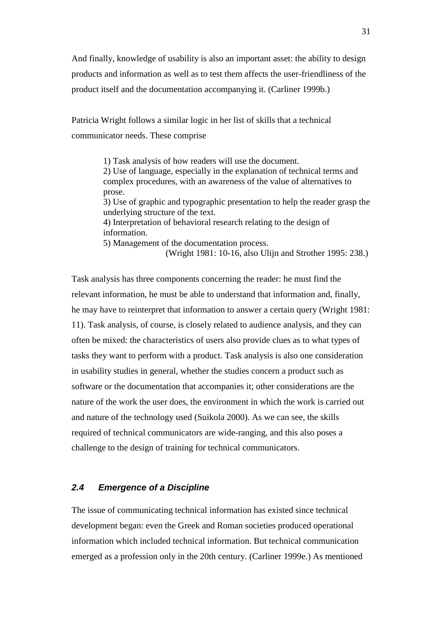And finally, knowledge of usability is also an important asset: the ability to design products and information as well as to test them affects the user-friendliness of the product itself and the documentation accompanying it. (Carliner 1999b.)

Patricia Wright follows a similar logic in her list of skills that a technical communicator needs. These comprise

> 1) Task analysis of how readers will use the document. 2) Use of language, especially in the explanation of technical terms and complex procedures, with an awareness of the value of alternatives to prose. 3) Use of graphic and typographic presentation to help the reader grasp the underlying structure of the text. 4) Interpretation of behavioral research relating to the design of information.

5) Management of the documentation process.

(Wright 1981: 10-16, also Ulijn and Strother 1995: 238.)

Task analysis has three components concerning the reader: he must find the relevant information, he must be able to understand that information and, finally, he may have to reinterpret that information to answer a certain query (Wright 1981: 11). Task analysis, of course, is closely related to audience analysis, and they can often be mixed: the characteristics of users also provide clues as to what types of tasks they want to perform with a product. Task analysis is also one consideration in usability studies in general, whether the studies concern a product such as software or the documentation that accompanies it; other considerations are the nature of the work the user does, the environment in which the work is carried out and nature of the technology used (Suikola 2000). As we can see, the skills required of technical communicators are wide-ranging, and this also poses a challenge to the design of training for technical communicators.

# **2.4 Emergence of a Discipline**

The issue of communicating technical information has existed since technical development began: even the Greek and Roman societies produced operational information which included technical information. But technical communication emerged as a profession only in the 20th century. (Carliner 1999e.) As mentioned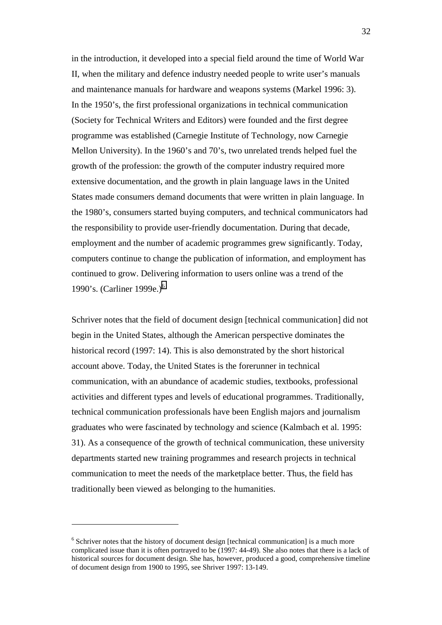in the introduction, it developed into a special field around the time of World War II, when the military and defence industry needed people to write user's manuals and maintenance manuals for hardware and weapons systems (Markel 1996: 3). In the 1950's, the first professional organizations in technical communication (Society for Technical Writers and Editors) were founded and the first degree programme was established (Carnegie Institute of Technology, now Carnegie Mellon University). In the 1960's and 70's, two unrelated trends helped fuel the growth of the profession: the growth of the computer industry required more extensive documentation, and the growth in plain language laws in the United States made consumers demand documents that were written in plain language. In the 1980's, consumers started buying computers, and technical communicators had the responsibility to provide user-friendly documentation. During that decade, employment and the number of academic programmes grew significantly. Today, computers continue to change the publication of information, and employment has continued to grow. Delivering information to users online was a trend of the 1990's. (Carliner 1999e.)<sup>6</sup>

Schriver notes that the field of document design [technical communication] did not begin in the United States, although the American perspective dominates the historical record (1997: 14). This is also demonstrated by the short historical account above. Today, the United States is the forerunner in technical communication, with an abundance of academic studies, textbooks, professional activities and different types and levels of educational programmes. Traditionally, technical communication professionals have been English majors and journalism graduates who were fascinated by technology and science (Kalmbach et al. 1995: 31). As a consequence of the growth of technical communication, these university departments started new training programmes and research projects in technical communication to meet the needs of the marketplace better. Thus, the field has traditionally been viewed as belonging to the humanities.

 $\overline{a}$ 

<sup>&</sup>lt;sup>6</sup> Schriver notes that the history of document design [technical communication] is a much more complicated issue than it is often portrayed to be (1997: 44-49). She also notes that there is a lack of historical sources for document design. She has, however, produced a good, comprehensive timeline of document design from 1900 to 1995, see Shriver 1997: 13-149.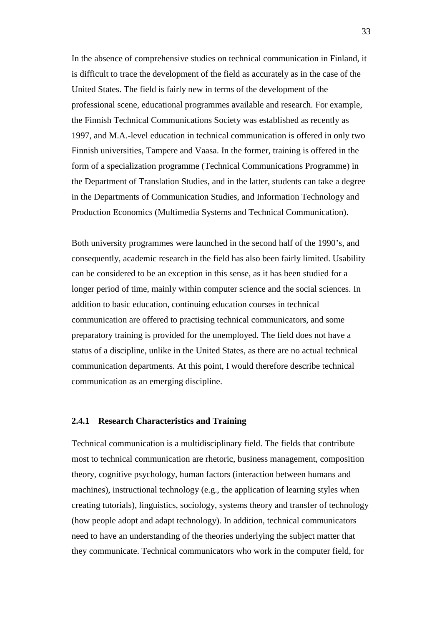In the absence of comprehensive studies on technical communication in Finland, it is difficult to trace the development of the field as accurately as in the case of the United States. The field is fairly new in terms of the development of the professional scene, educational programmes available and research. For example, the Finnish Technical Communications Society was established as recently as 1997, and M.A.-level education in technical communication is offered in only two Finnish universities, Tampere and Vaasa. In the former, training is offered in the form of a specialization programme (Technical Communications Programme) in the Department of Translation Studies, and in the latter, students can take a degree in the Departments of Communication Studies, and Information Technology and Production Economics (Multimedia Systems and Technical Communication).

Both university programmes were launched in the second half of the 1990's, and consequently, academic research in the field has also been fairly limited. Usability can be considered to be an exception in this sense, as it has been studied for a longer period of time, mainly within computer science and the social sciences. In addition to basic education, continuing education courses in technical communication are offered to practising technical communicators, and some preparatory training is provided for the unemployed. The field does not have a status of a discipline, unlike in the United States, as there are no actual technical communication departments. At this point, I would therefore describe technical communication as an emerging discipline.

#### **2.4.1 Research Characteristics and Training**

Technical communication is a multidisciplinary field. The fields that contribute most to technical communication are rhetoric, business management, composition theory, cognitive psychology, human factors (interaction between humans and machines), instructional technology (e.g., the application of learning styles when creating tutorials), linguistics, sociology, systems theory and transfer of technology (how people adopt and adapt technology). In addition, technical communicators need to have an understanding of the theories underlying the subject matter that they communicate. Technical communicators who work in the computer field, for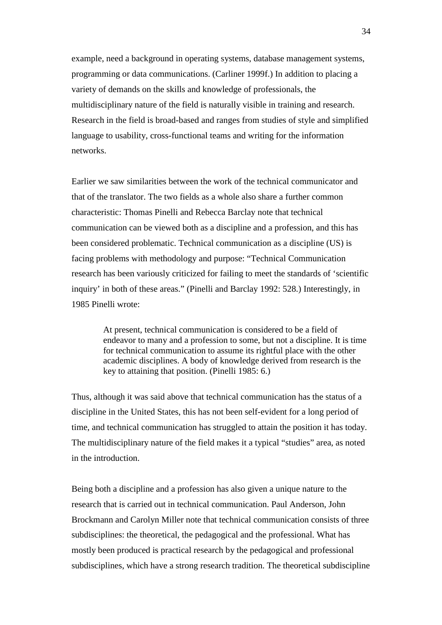example, need a background in operating systems, database management systems, programming or data communications. (Carliner 1999f.) In addition to placing a variety of demands on the skills and knowledge of professionals, the multidisciplinary nature of the field is naturally visible in training and research. Research in the field is broad-based and ranges from studies of style and simplified language to usability, cross-functional teams and writing for the information networks.

Earlier we saw similarities between the work of the technical communicator and that of the translator. The two fields as a whole also share a further common characteristic: Thomas Pinelli and Rebecca Barclay note that technical communication can be viewed both as a discipline and a profession, and this has been considered problematic. Technical communication as a discipline (US) is facing problems with methodology and purpose: "Technical Communication research has been variously criticized for failing to meet the standards of 'scientific inquiry' in both of these areas." (Pinelli and Barclay 1992: 528.) Interestingly, in 1985 Pinelli wrote:

> At present, technical communication is considered to be a field of endeavor to many and a profession to some, but not a discipline. It is time for technical communication to assume its rightful place with the other academic disciplines. A body of knowledge derived from research is the key to attaining that position. (Pinelli 1985: 6.)

Thus, although it was said above that technical communication has the status of a discipline in the United States, this has not been self-evident for a long period of time, and technical communication has struggled to attain the position it has today. The multidisciplinary nature of the field makes it a typical "studies" area, as noted in the introduction.

Being both a discipline and a profession has also given a unique nature to the research that is carried out in technical communication. Paul Anderson, John Brockmann and Carolyn Miller note that technical communication consists of three subdisciplines: the theoretical, the pedagogical and the professional. What has mostly been produced is practical research by the pedagogical and professional subdisciplines, which have a strong research tradition. The theoretical subdiscipline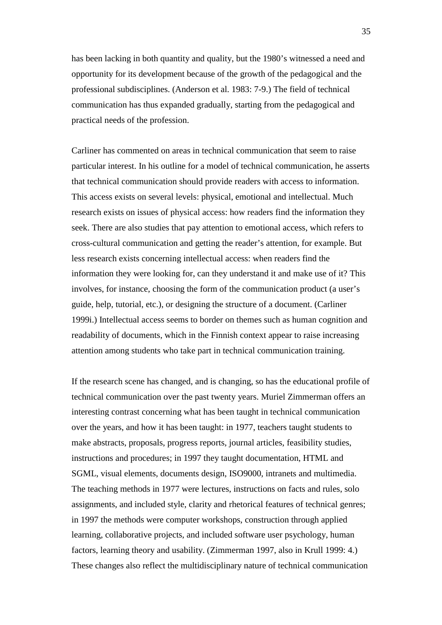has been lacking in both quantity and quality, but the 1980's witnessed a need and opportunity for its development because of the growth of the pedagogical and the professional subdisciplines. (Anderson et al. 1983: 7-9.) The field of technical communication has thus expanded gradually, starting from the pedagogical and practical needs of the profession.

Carliner has commented on areas in technical communication that seem to raise particular interest. In his outline for a model of technical communication, he asserts that technical communication should provide readers with access to information. This access exists on several levels: physical, emotional and intellectual. Much research exists on issues of physical access: how readers find the information they seek. There are also studies that pay attention to emotional access, which refers to cross-cultural communication and getting the reader's attention, for example. But less research exists concerning intellectual access: when readers find the information they were looking for, can they understand it and make use of it? This involves, for instance, choosing the form of the communication product (a user's guide, help, tutorial, etc.), or designing the structure of a document. (Carliner 1999i.) Intellectual access seems to border on themes such as human cognition and readability of documents, which in the Finnish context appear to raise increasing attention among students who take part in technical communication training.

If the research scene has changed, and is changing, so has the educational profile of technical communication over the past twenty years. Muriel Zimmerman offers an interesting contrast concerning what has been taught in technical communication over the years, and how it has been taught: in 1977, teachers taught students to make abstracts, proposals, progress reports, journal articles, feasibility studies, instructions and procedures; in 1997 they taught documentation, HTML and SGML, visual elements, documents design, ISO9000, intranets and multimedia. The teaching methods in 1977 were lectures, instructions on facts and rules, solo assignments, and included style, clarity and rhetorical features of technical genres; in 1997 the methods were computer workshops, construction through applied learning, collaborative projects, and included software user psychology, human factors, learning theory and usability. (Zimmerman 1997, also in Krull 1999: 4.) These changes also reflect the multidisciplinary nature of technical communication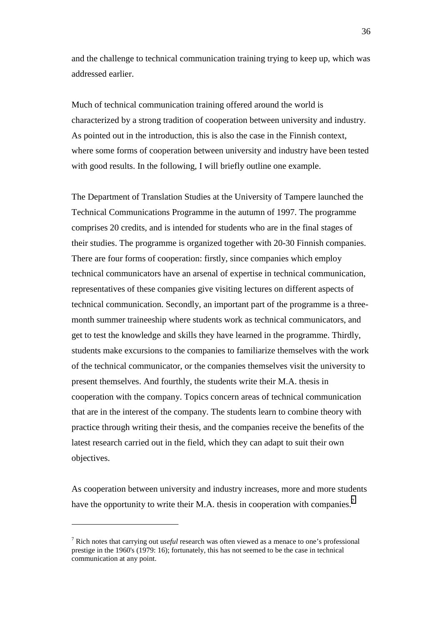and the challenge to technical communication training trying to keep up, which was addressed earlier.

Much of technical communication training offered around the world is characterized by a strong tradition of cooperation between university and industry. As pointed out in the introduction, this is also the case in the Finnish context, where some forms of cooperation between university and industry have been tested with good results. In the following, I will briefly outline one example.

The Department of Translation Studies at the University of Tampere launched the Technical Communications Programme in the autumn of 1997. The programme comprises 20 credits, and is intended for students who are in the final stages of their studies. The programme is organized together with 20-30 Finnish companies. There are four forms of cooperation: firstly, since companies which employ technical communicators have an arsenal of expertise in technical communication, representatives of these companies give visiting lectures on different aspects of technical communication. Secondly, an important part of the programme is a threemonth summer traineeship where students work as technical communicators, and get to test the knowledge and skills they have learned in the programme. Thirdly, students make excursions to the companies to familiarize themselves with the work of the technical communicator, or the companies themselves visit the university to present themselves. And fourthly, the students write their M.A. thesis in cooperation with the company. Topics concern areas of technical communication that are in the interest of the company. The students learn to combine theory with practice through writing their thesis, and the companies receive the benefits of the latest research carried out in the field, which they can adapt to suit their own objectives.

As cooperation between university and industry increases, more and more students have the opportunity to write their M.A. thesis in cooperation with companies.<sup>7</sup>

 $\overline{a}$ 

<sup>7</sup> Rich notes that carrying out u*seful* research was often viewed as a menace to one's professional prestige in the 1960's (1979: 16); fortunately, this has not seemed to be the case in technical communication at any point.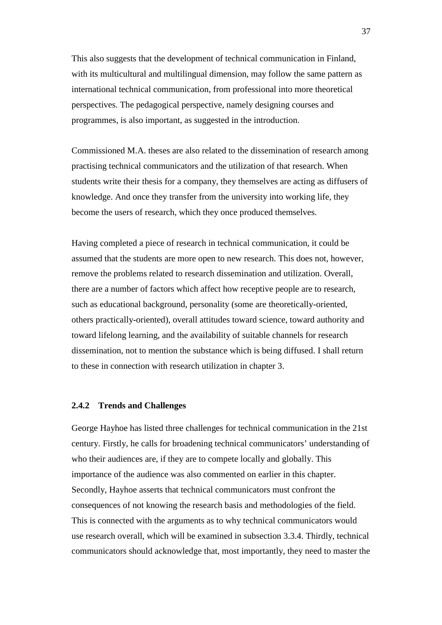This also suggests that the development of technical communication in Finland, with its multicultural and multilingual dimension, may follow the same pattern as international technical communication, from professional into more theoretical perspectives. The pedagogical perspective, namely designing courses and programmes, is also important, as suggested in the introduction.

Commissioned M.A. theses are also related to the dissemination of research among practising technical communicators and the utilization of that research. When students write their thesis for a company, they themselves are acting as diffusers of knowledge. And once they transfer from the university into working life, they become the users of research, which they once produced themselves.

Having completed a piece of research in technical communication, it could be assumed that the students are more open to new research. This does not, however, remove the problems related to research dissemination and utilization. Overall, there are a number of factors which affect how receptive people are to research, such as educational background, personality (some are theoretically-oriented, others practically-oriented), overall attitudes toward science, toward authority and toward lifelong learning, and the availability of suitable channels for research dissemination, not to mention the substance which is being diffused. I shall return to these in connection with research utilization in chapter 3.

### **2.4.2 Trends and Challenges**

George Hayhoe has listed three challenges for technical communication in the 21st century. Firstly, he calls for broadening technical communicators' understanding of who their audiences are, if they are to compete locally and globally. This importance of the audience was also commented on earlier in this chapter. Secondly, Hayhoe asserts that technical communicators must confront the consequences of not knowing the research basis and methodologies of the field. This is connected with the arguments as to why technical communicators would use research overall, which will be examined in subsection 3.3.4. Thirdly, technical communicators should acknowledge that, most importantly, they need to master the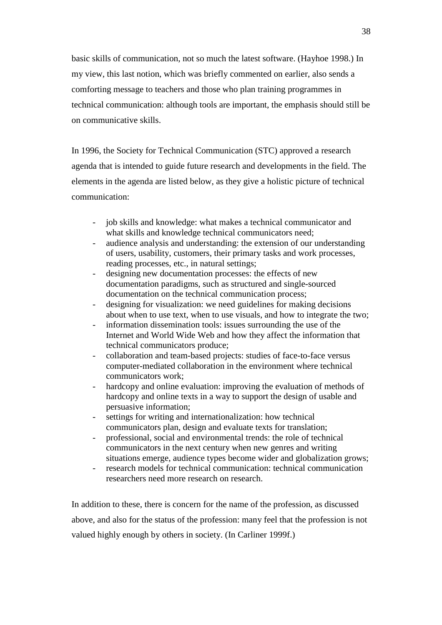basic skills of communication, not so much the latest software. (Hayhoe 1998.) In my view, this last notion, which was briefly commented on earlier, also sends a comforting message to teachers and those who plan training programmes in technical communication: although tools are important, the emphasis should still be on communicative skills.

In 1996, the Society for Technical Communication (STC) approved a research agenda that is intended to guide future research and developments in the field. The elements in the agenda are listed below, as they give a holistic picture of technical communication:

- job skills and knowledge: what makes a technical communicator and what skills and knowledge technical communicators need;
- audience analysis and understanding: the extension of our understanding of users, usability, customers, their primary tasks and work processes, reading processes, etc., in natural settings;
- designing new documentation processes: the effects of new documentation paradigms, such as structured and single-sourced documentation on the technical communication process;
- designing for visualization: we need guidelines for making decisions about when to use text, when to use visuals, and how to integrate the two;
- information dissemination tools: issues surrounding the use of the Internet and World Wide Web and how they affect the information that technical communicators produce;
- collaboration and team-based projects: studies of face-to-face versus computer-mediated collaboration in the environment where technical communicators work;
- hardcopy and online evaluation: improving the evaluation of methods of hardcopy and online texts in a way to support the design of usable and persuasive information;
- settings for writing and internationalization: how technical communicators plan, design and evaluate texts for translation;
- professional, social and environmental trends: the role of technical communicators in the next century when new genres and writing situations emerge, audience types become wider and globalization grows;
- research models for technical communication: technical communication researchers need more research on research.

In addition to these, there is concern for the name of the profession, as discussed above, and also for the status of the profession: many feel that the profession is not valued highly enough by others in society. (In Carliner 1999f.)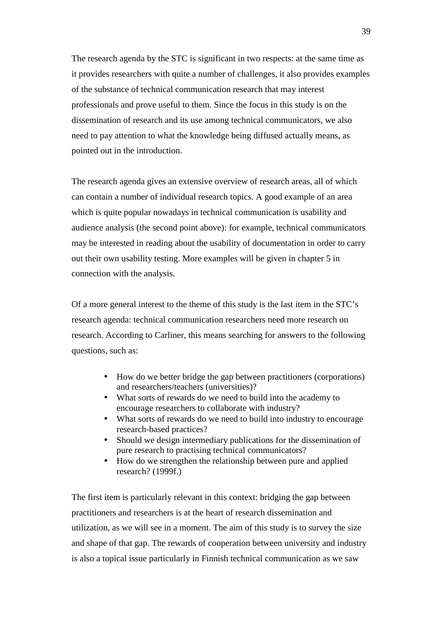The research agenda by the STC is significant in two respects: at the same time as it provides researchers with quite a number of challenges, it also provides examples of the substance of technical communication research that may interest professionals and prove useful to them. Since the focus in this study is on the dissemination of research and its use among technical communicators, we also need to pay attention to what the knowledge being diffused actually means, as pointed out in the introduction.

The research agenda gives an extensive overview of research areas, all of which can contain a number of individual research topics. A good example of an area which is quite popular nowadays in technical communication is usability and audience analysis (the second point above): for example, technical communicators may be interested in reading about the usability of documentation in order to carry out their own usability testing. More examples will be given in chapter 5 in connection with the analysis.

Of a more general interest to the theme of this study is the last item in the STC's research agenda: technical communication researchers need more research on research. According to Carliner, this means searching for answers to the following questions, such as:

- How do we better bridge the gap between practitioners (corporations) and researchers/teachers (universities)?
- What sorts of rewards do we need to build into the academy to encourage researchers to collaborate with industry?
- What sorts of rewards do we need to build into industry to encourage research-based practices?
- Should we design intermediary publications for the dissemination of pure research to practising technical communicators?
- How do we strengthen the relationship between pure and applied research? (1999f.)

The first item is particularly relevant in this context: bridging the gap between practitioners and researchers is at the heart of research dissemination and utilization, as we will see in a moment. The aim of this study is to survey the size and shape of that gap. The rewards of cooperation between university and industry is also a topical issue particularly in Finnish technical communication as we saw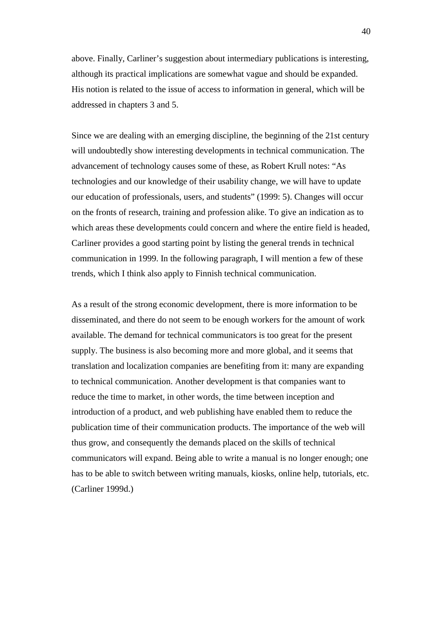above. Finally, Carliner's suggestion about intermediary publications is interesting, although its practical implications are somewhat vague and should be expanded. His notion is related to the issue of access to information in general, which will be addressed in chapters 3 and 5.

Since we are dealing with an emerging discipline, the beginning of the 21st century will undoubtedly show interesting developments in technical communication. The advancement of technology causes some of these, as Robert Krull notes: "As technologies and our knowledge of their usability change, we will have to update our education of professionals, users, and students" (1999: 5). Changes will occur on the fronts of research, training and profession alike. To give an indication as to which areas these developments could concern and where the entire field is headed, Carliner provides a good starting point by listing the general trends in technical communication in 1999. In the following paragraph, I will mention a few of these trends, which I think also apply to Finnish technical communication.

As a result of the strong economic development, there is more information to be disseminated, and there do not seem to be enough workers for the amount of work available. The demand for technical communicators is too great for the present supply. The business is also becoming more and more global, and it seems that translation and localization companies are benefiting from it: many are expanding to technical communication. Another development is that companies want to reduce the time to market, in other words, the time between inception and introduction of a product, and web publishing have enabled them to reduce the publication time of their communication products. The importance of the web will thus grow, and consequently the demands placed on the skills of technical communicators will expand. Being able to write a manual is no longer enough; one has to be able to switch between writing manuals, kiosks, online help, tutorials, etc. (Carliner 1999d.)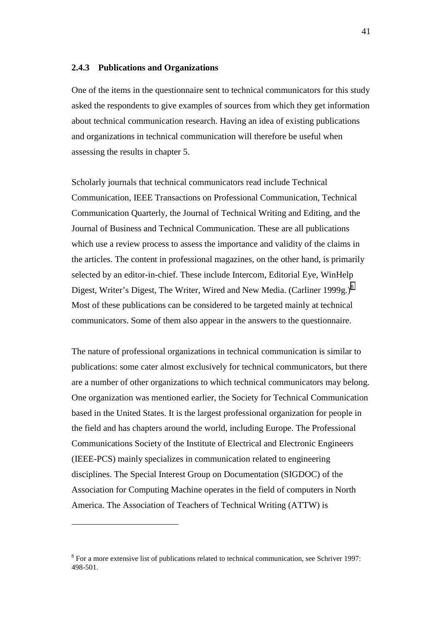#### **2.4.3 Publications and Organizations**

One of the items in the questionnaire sent to technical communicators for this study asked the respondents to give examples of sources from which they get information about technical communication research. Having an idea of existing publications and organizations in technical communication will therefore be useful when assessing the results in chapter 5.

Scholarly journals that technical communicators read include Technical Communication, IEEE Transactions on Professional Communication, Technical Communication Quarterly, the Journal of Technical Writing and Editing, and the Journal of Business and Technical Communication. These are all publications which use a review process to assess the importance and validity of the claims in the articles. The content in professional magazines, on the other hand, is primarily selected by an editor-in-chief. These include Intercom, Editorial Eye, WinHelp Digest, Writer's Digest, The Writer, Wired and New Media. (Carliner 1999g.)<sup>8</sup> Most of these publications can be considered to be targeted mainly at technical communicators. Some of them also appear in the answers to the questionnaire.

The nature of professional organizations in technical communication is similar to publications: some cater almost exclusively for technical communicators, but there are a number of other organizations to which technical communicators may belong. One organization was mentioned earlier, the Society for Technical Communication based in the United States. It is the largest professional organization for people in the field and has chapters around the world, including Europe. The Professional Communications Society of the Institute of Electrical and Electronic Engineers (IEEE-PCS) mainly specializes in communication related to engineering disciplines. The Special Interest Group on Documentation (SIGDOC) of the Association for Computing Machine operates in the field of computers in North America. The Association of Teachers of Technical Writing (ATTW) is

 $\overline{a}$ 

 $8$  For a more extensive list of publications related to technical communication, see Schriver 1997: 498-501.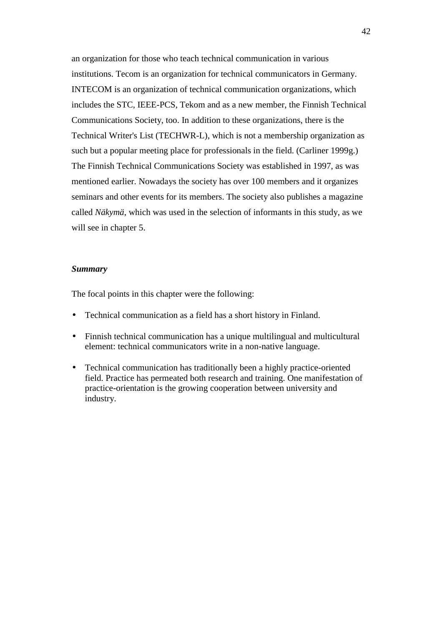an organization for those who teach technical communication in various institutions. Tecom is an organization for technical communicators in Germany. INTECOM is an organization of technical communication organizations, which includes the STC, IEEE-PCS, Tekom and as a new member, the Finnish Technical Communications Society, too. In addition to these organizations, there is the Technical Writer's List (TECHWR-L), which is not a membership organization as such but a popular meeting place for professionals in the field. (Carliner 1999g.) The Finnish Technical Communications Society was established in 1997, as was mentioned earlier. Nowadays the society has over 100 members and it organizes seminars and other events for its members. The society also publishes a magazine called *Näkymä*, which was used in the selection of informants in this study, as we will see in chapter 5.

#### *Summary*

The focal points in this chapter were the following:

- Technical communication as a field has a short history in Finland.
- Finnish technical communication has a unique multilingual and multicultural element: technical communicators write in a non-native language.
- Technical communication has traditionally been a highly practice-oriented field. Practice has permeated both research and training. One manifestation of practice-orientation is the growing cooperation between university and industry.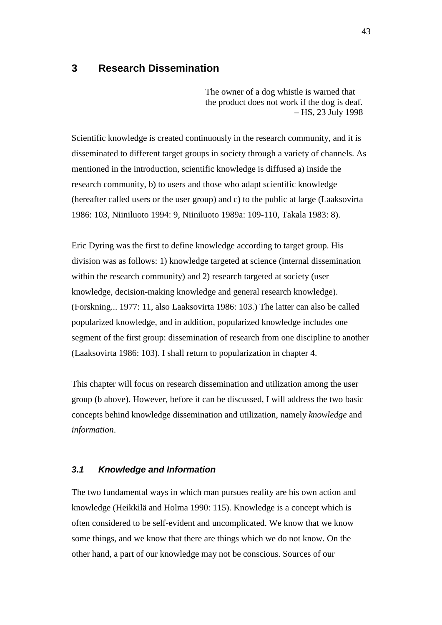# **3 Research Dissemination**

The owner of a dog whistle is warned that the product does not work if the dog is deaf. – HS, 23 July 1998

Scientific knowledge is created continuously in the research community, and it is disseminated to different target groups in society through a variety of channels. As mentioned in the introduction, scientific knowledge is diffused a) inside the research community, b) to users and those who adapt scientific knowledge (hereafter called users or the user group) and c) to the public at large (Laaksovirta 1986: 103, Niiniluoto 1994: 9, Niiniluoto 1989a: 109-110, Takala 1983: 8).

Eric Dyring was the first to define knowledge according to target group. His division was as follows: 1) knowledge targeted at science (internal dissemination within the research community) and 2) research targeted at society (user knowledge, decision-making knowledge and general research knowledge). (Forskning... 1977: 11, also Laaksovirta 1986: 103.) The latter can also be called popularized knowledge, and in addition, popularized knowledge includes one segment of the first group: dissemination of research from one discipline to another (Laaksovirta 1986: 103). I shall return to popularization in chapter 4.

This chapter will focus on research dissemination and utilization among the user group (b above). However, before it can be discussed, I will address the two basic concepts behind knowledge dissemination and utilization, namely *knowledge* and *information*.

# **3.1 Knowledge and Information**

The two fundamental ways in which man pursues reality are his own action and knowledge (Heikkilä and Holma 1990: 115). Knowledge is a concept which is often considered to be self-evident and uncomplicated. We know that we know some things, and we know that there are things which we do not know. On the other hand, a part of our knowledge may not be conscious. Sources of our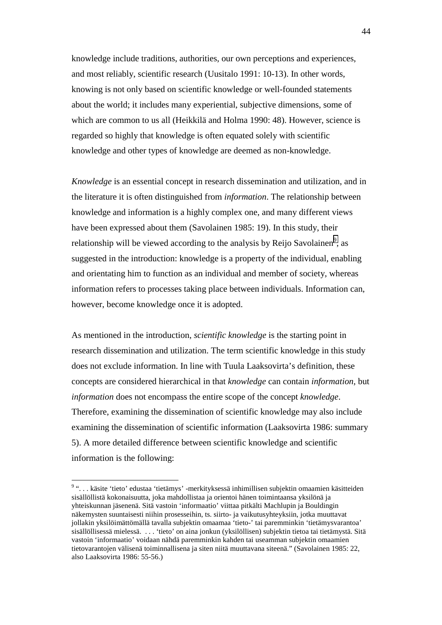knowledge include traditions, authorities, our own perceptions and experiences, and most reliably, scientific research (Uusitalo 1991: 10-13). In other words, knowing is not only based on scientific knowledge or well-founded statements about the world; it includes many experiential, subjective dimensions, some of which are common to us all (Heikkilä and Holma 1990: 48). However, science is regarded so highly that knowledge is often equated solely with scientific knowledge and other types of knowledge are deemed as non-knowledge.

*Knowledge* is an essential concept in research dissemination and utilization, and in the literature it is often distinguished from *information*. The relationship between knowledge and information is a highly complex one, and many different views have been expressed about them (Savolainen 1985: 19). In this study, their relationship will be viewed according to the analysis by Reijo Savolainen $^9$ , as suggested in the introduction: knowledge is a property of the individual, enabling and orientating him to function as an individual and member of society, whereas information refers to processes taking place between individuals. Information can, however, become knowledge once it is adopted.

As mentioned in the introduction, *scientific knowledge* is the starting point in research dissemination and utilization. The term scientific knowledge in this study does not exclude information. In line with Tuula Laaksovirta's definition, these concepts are considered hierarchical in that *knowledge* can contain *information*, but *information* does not encompass the entire scope of the concept *knowledge*. Therefore, examining the dissemination of scientific knowledge may also include examining the dissemination of scientific information (Laaksovirta 1986: summary 5). A more detailed difference between scientific knowledge and scientific information is the following:

<sup>&</sup>lt;sup>9</sup> "... käsite 'tieto' edustaa 'tietämys' -merkityksessä inhimillisen subjektin omaamien käsitteiden sisällöllistä kokonaisuutta, joka mahdollistaa ja orientoi hänen toimintaansa yksilönä ja yhteiskunnan jäsenenä. Sitä vastoin 'informaatio' viittaa pitkälti Machlupin ja Bouldingin näkemysten suuntaisesti niihin prosesseihin, ts. siirto- ja vaikutusyhteyksiin, jotka muuttavat jollakin yksilöimättömällä tavalla subjektin omaamaa 'tieto-' tai paremminkin 'tietämysvarantoa' sisällöllisessä mielessä. . . . 'tieto' on aina jonkun (yksilöllisen) subjektin tietoa tai tietämystä. Sitä vastoin 'informaatio' voidaan nähdä paremminkin kahden tai useamman subjektin omaamien tietovarantojen välisenä toiminnallisena ja siten niitä muuttavana siteenä." (Savolainen 1985: 22, also Laaksovirta 1986: 55-56.)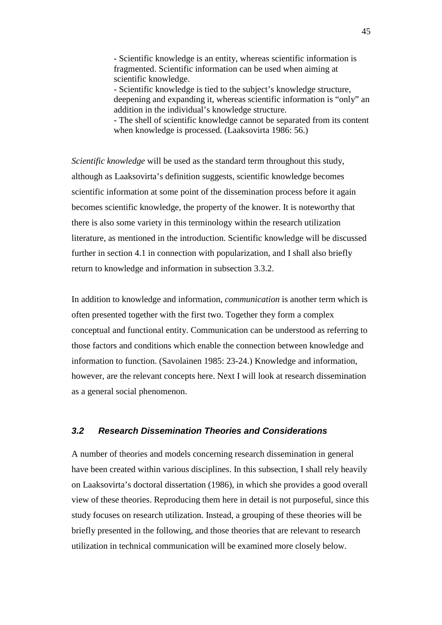- Scientific knowledge is an entity, whereas scientific information is fragmented. Scientific information can be used when aiming at scientific knowledge.

- Scientific knowledge is tied to the subject's knowledge structure, deepening and expanding it, whereas scientific information is "only" an addition in the individual's knowledge structure.

- The shell of scientific knowledge cannot be separated from its content when knowledge is processed. (Laaksovirta 1986: 56.)

*Scientific knowledge* will be used as the standard term throughout this study, although as Laaksovirta's definition suggests, scientific knowledge becomes scientific information at some point of the dissemination process before it again becomes scientific knowledge, the property of the knower. It is noteworthy that there is also some variety in this terminology within the research utilization literature, as mentioned in the introduction. Scientific knowledge will be discussed further in section 4.1 in connection with popularization, and I shall also briefly return to knowledge and information in subsection 3.3.2.

In addition to knowledge and information, *communication* is another term which is often presented together with the first two. Together they form a complex conceptual and functional entity. Communication can be understood as referring to those factors and conditions which enable the connection between knowledge and information to function. (Savolainen 1985: 23-24.) Knowledge and information, however, are the relevant concepts here. Next I will look at research dissemination as a general social phenomenon.

# **3.2 Research Dissemination Theories and Considerations**

A number of theories and models concerning research dissemination in general have been created within various disciplines. In this subsection, I shall rely heavily on Laaksovirta's doctoral dissertation (1986), in which she provides a good overall view of these theories. Reproducing them here in detail is not purposeful, since this study focuses on research utilization. Instead, a grouping of these theories will be briefly presented in the following, and those theories that are relevant to research utilization in technical communication will be examined more closely below.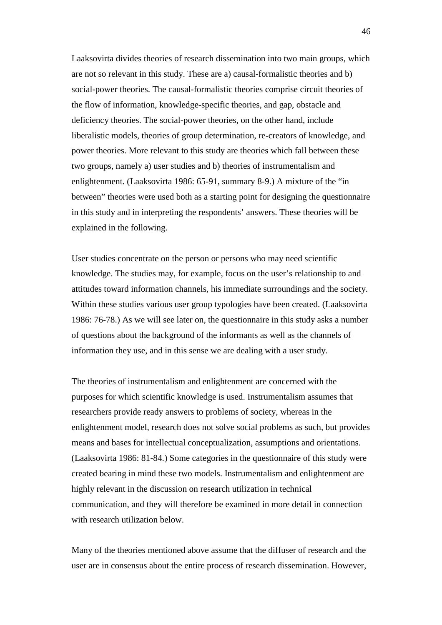Laaksovirta divides theories of research dissemination into two main groups, which are not so relevant in this study. These are a) causal-formalistic theories and b) social-power theories. The causal-formalistic theories comprise circuit theories of the flow of information, knowledge-specific theories, and gap, obstacle and deficiency theories. The social-power theories, on the other hand, include liberalistic models, theories of group determination, re-creators of knowledge, and power theories. More relevant to this study are theories which fall between these two groups, namely a) user studies and b) theories of instrumentalism and enlightenment. (Laaksovirta 1986: 65-91, summary 8-9.) A mixture of the "in between" theories were used both as a starting point for designing the questionnaire in this study and in interpreting the respondents' answers. These theories will be explained in the following.

User studies concentrate on the person or persons who may need scientific knowledge. The studies may, for example, focus on the user's relationship to and attitudes toward information channels, his immediate surroundings and the society. Within these studies various user group typologies have been created. (Laaksovirta 1986: 76-78.) As we will see later on, the questionnaire in this study asks a number of questions about the background of the informants as well as the channels of information they use, and in this sense we are dealing with a user study.

The theories of instrumentalism and enlightenment are concerned with the purposes for which scientific knowledge is used. Instrumentalism assumes that researchers provide ready answers to problems of society, whereas in the enlightenment model, research does not solve social problems as such, but provides means and bases for intellectual conceptualization, assumptions and orientations. (Laaksovirta 1986: 81-84.) Some categories in the questionnaire of this study were created bearing in mind these two models. Instrumentalism and enlightenment are highly relevant in the discussion on research utilization in technical communication, and they will therefore be examined in more detail in connection with research utilization below.

Many of the theories mentioned above assume that the diffuser of research and the user are in consensus about the entire process of research dissemination. However,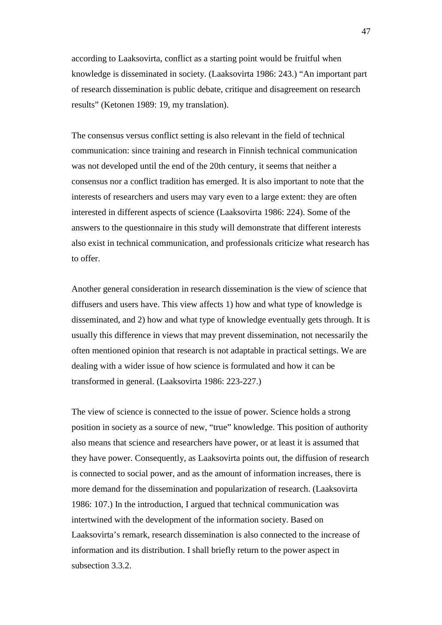according to Laaksovirta, conflict as a starting point would be fruitful when knowledge is disseminated in society. (Laaksovirta 1986: 243.) "An important part of research dissemination is public debate, critique and disagreement on research results" (Ketonen 1989: 19, my translation).

The consensus versus conflict setting is also relevant in the field of technical communication: since training and research in Finnish technical communication was not developed until the end of the 20th century, it seems that neither a consensus nor a conflict tradition has emerged. It is also important to note that the interests of researchers and users may vary even to a large extent: they are often interested in different aspects of science (Laaksovirta 1986: 224). Some of the answers to the questionnaire in this study will demonstrate that different interests also exist in technical communication, and professionals criticize what research has to offer.

Another general consideration in research dissemination is the view of science that diffusers and users have. This view affects 1) how and what type of knowledge is disseminated, and 2) how and what type of knowledge eventually gets through. It is usually this difference in views that may prevent dissemination, not necessarily the often mentioned opinion that research is not adaptable in practical settings. We are dealing with a wider issue of how science is formulated and how it can be transformed in general. (Laaksovirta 1986: 223-227.)

The view of science is connected to the issue of power. Science holds a strong position in society as a source of new, "true" knowledge. This position of authority also means that science and researchers have power, or at least it is assumed that they have power. Consequently, as Laaksovirta points out, the diffusion of research is connected to social power, and as the amount of information increases, there is more demand for the dissemination and popularization of research. (Laaksovirta 1986: 107.) In the introduction, I argued that technical communication was intertwined with the development of the information society. Based on Laaksovirta's remark, research dissemination is also connected to the increase of information and its distribution. I shall briefly return to the power aspect in subsection 3.3.2.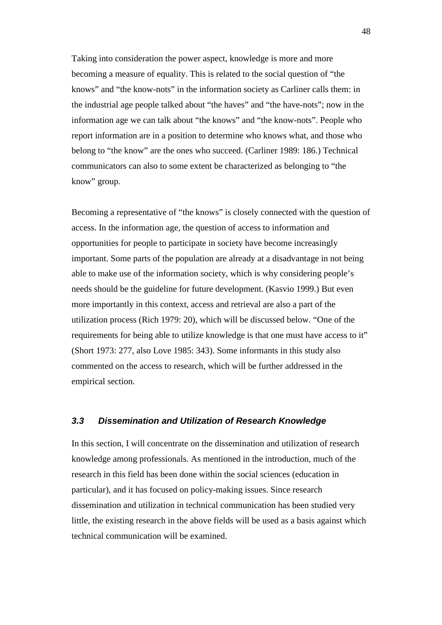Taking into consideration the power aspect, knowledge is more and more becoming a measure of equality. This is related to the social question of "the knows" and "the know-nots" in the information society as Carliner calls them: in the industrial age people talked about "the haves" and "the have-nots"; now in the information age we can talk about "the knows" and "the know-nots". People who report information are in a position to determine who knows what, and those who belong to "the know" are the ones who succeed. (Carliner 1989: 186.) Technical communicators can also to some extent be characterized as belonging to "the know" group.

Becoming a representative of "the knows" is closely connected with the question of access. In the information age, the question of access to information and opportunities for people to participate in society have become increasingly important. Some parts of the population are already at a disadvantage in not being able to make use of the information society, which is why considering people's needs should be the guideline for future development. (Kasvio 1999.) But even more importantly in this context, access and retrieval are also a part of the utilization process (Rich 1979: 20), which will be discussed below. "One of the requirements for being able to utilize knowledge is that one must have access to it" (Short 1973: 277, also Love 1985: 343). Some informants in this study also commented on the access to research, which will be further addressed in the empirical section.

### **3.3 Dissemination and Utilization of Research Knowledge**

In this section, I will concentrate on the dissemination and utilization of research knowledge among professionals. As mentioned in the introduction, much of the research in this field has been done within the social sciences (education in particular), and it has focused on policy-making issues. Since research dissemination and utilization in technical communication has been studied very little, the existing research in the above fields will be used as a basis against which technical communication will be examined.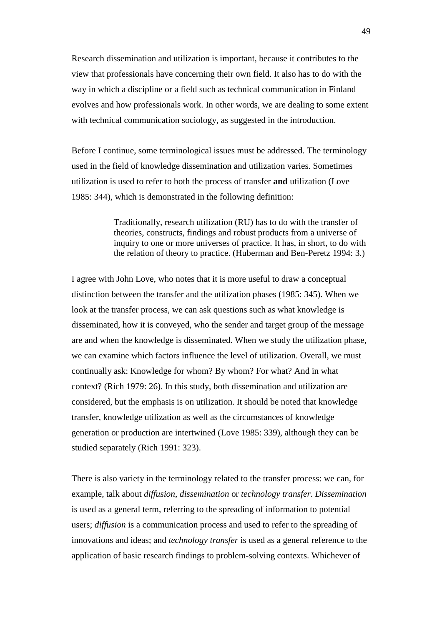Research dissemination and utilization is important, because it contributes to the view that professionals have concerning their own field. It also has to do with the way in which a discipline or a field such as technical communication in Finland evolves and how professionals work. In other words, we are dealing to some extent with technical communication sociology, as suggested in the introduction.

Before I continue, some terminological issues must be addressed. The terminology used in the field of knowledge dissemination and utilization varies. Sometimes utilization is used to refer to both the process of transfer **and** utilization (Love 1985: 344), which is demonstrated in the following definition:

> Traditionally, research utilization (RU) has to do with the transfer of theories, constructs, findings and robust products from a universe of inquiry to one or more universes of practice. It has, in short, to do with the relation of theory to practice. (Huberman and Ben-Peretz 1994: 3.)

I agree with John Love, who notes that it is more useful to draw a conceptual distinction between the transfer and the utilization phases (1985: 345). When we look at the transfer process, we can ask questions such as what knowledge is disseminated, how it is conveyed, who the sender and target group of the message are and when the knowledge is disseminated. When we study the utilization phase, we can examine which factors influence the level of utilization. Overall, we must continually ask: Knowledge for whom? By whom? For what? And in what context? (Rich 1979: 26). In this study, both dissemination and utilization are considered, but the emphasis is on utilization. It should be noted that knowledge transfer, knowledge utilization as well as the circumstances of knowledge generation or production are intertwined (Love 1985: 339), although they can be studied separately (Rich 1991: 323).

There is also variety in the terminology related to the transfer process: we can, for example, talk about *diffusion*, *dissemination* or *technology transfer*. *Dissemination* is used as a general term, referring to the spreading of information to potential users; *diffusion* is a communication process and used to refer to the spreading of innovations and ideas; and *technology transfer* is used as a general reference to the application of basic research findings to problem-solving contexts. Whichever of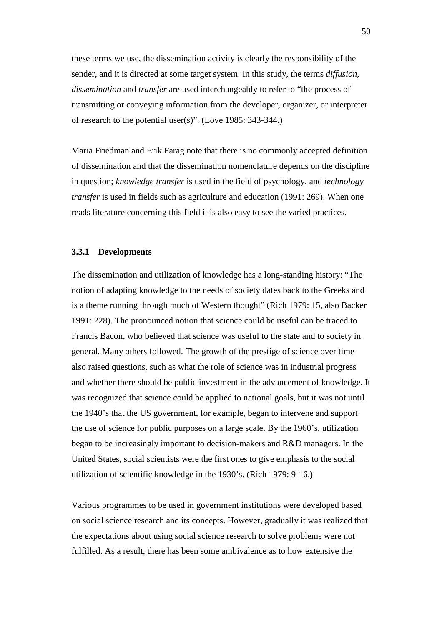these terms we use, the dissemination activity is clearly the responsibility of the sender, and it is directed at some target system. In this study, the terms *diffusion*, *dissemination* and *transfer* are used interchangeably to refer to "the process of transmitting or conveying information from the developer, organizer, or interpreter of research to the potential user(s)". (Love 1985: 343-344.)

Maria Friedman and Erik Farag note that there is no commonly accepted definition of dissemination and that the dissemination nomenclature depends on the discipline in question; *knowledge transfer* is used in the field of psychology, and *technology transfer* is used in fields such as agriculture and education (1991: 269). When one reads literature concerning this field it is also easy to see the varied practices.

#### **3.3.1 Developments**

The dissemination and utilization of knowledge has a long-standing history: "The notion of adapting knowledge to the needs of society dates back to the Greeks and is a theme running through much of Western thought" (Rich 1979: 15, also Backer 1991: 228). The pronounced notion that science could be useful can be traced to Francis Bacon, who believed that science was useful to the state and to society in general. Many others followed. The growth of the prestige of science over time also raised questions, such as what the role of science was in industrial progress and whether there should be public investment in the advancement of knowledge. It was recognized that science could be applied to national goals, but it was not until the 1940's that the US government, for example, began to intervene and support the use of science for public purposes on a large scale. By the 1960's, utilization began to be increasingly important to decision-makers and R&D managers. In the United States, social scientists were the first ones to give emphasis to the social utilization of scientific knowledge in the 1930's. (Rich 1979: 9-16.)

Various programmes to be used in government institutions were developed based on social science research and its concepts. However, gradually it was realized that the expectations about using social science research to solve problems were not fulfilled. As a result, there has been some ambivalence as to how extensive the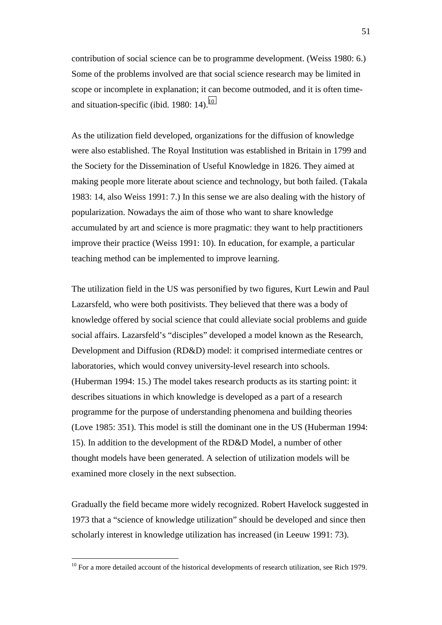contribution of social science can be to programme development. (Weiss 1980: 6.) Some of the problems involved are that social science research may be limited in scope or incomplete in explanation; it can become outmoded, and it is often timeand situation-specific (ibid. 1980: 14). $^{10}$ 

As the utilization field developed, organizations for the diffusion of knowledge were also established. The Royal Institution was established in Britain in 1799 and the Society for the Dissemination of Useful Knowledge in 1826. They aimed at making people more literate about science and technology, but both failed. (Takala 1983: 14, also Weiss 1991: 7.) In this sense we are also dealing with the history of popularization. Nowadays the aim of those who want to share knowledge accumulated by art and science is more pragmatic: they want to help practitioners improve their practice (Weiss 1991: 10). In education, for example, a particular teaching method can be implemented to improve learning.

The utilization field in the US was personified by two figures, Kurt Lewin and Paul Lazarsfeld, who were both positivists. They believed that there was a body of knowledge offered by social science that could alleviate social problems and guide social affairs. Lazarsfeld's "disciples" developed a model known as the Research, Development and Diffusion (RD&D) model: it comprised intermediate centres or laboratories, which would convey university-level research into schools. (Huberman 1994: 15.) The model takes research products as its starting point: it describes situations in which knowledge is developed as a part of a research programme for the purpose of understanding phenomena and building theories (Love 1985: 351). This model is still the dominant one in the US (Huberman 1994: 15). In addition to the development of the RD&D Model, a number of other thought models have been generated. A selection of utilization models will be examined more closely in the next subsection.

Gradually the field became more widely recognized. Robert Havelock suggested in 1973 that a "science of knowledge utilization" should be developed and since then scholarly interest in knowledge utilization has increased (in Leeuw 1991: 73).

 $\overline{a}$ 

 $10$  For a more detailed account of the historical developments of research utilization, see Rich 1979.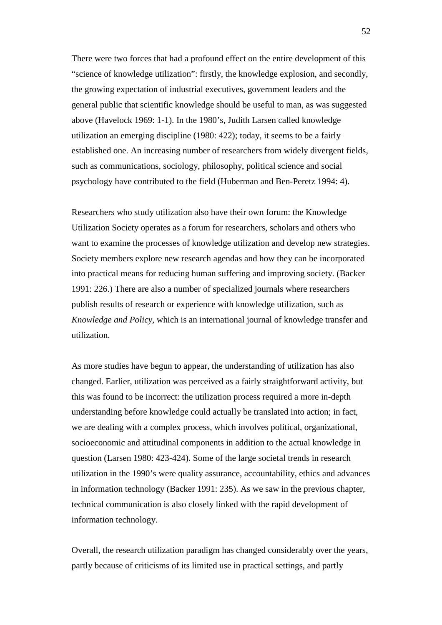There were two forces that had a profound effect on the entire development of this "science of knowledge utilization": firstly, the knowledge explosion, and secondly, the growing expectation of industrial executives, government leaders and the general public that scientific knowledge should be useful to man, as was suggested above (Havelock 1969: 1-1). In the 1980's, Judith Larsen called knowledge utilization an emerging discipline (1980: 422); today, it seems to be a fairly established one. An increasing number of researchers from widely divergent fields, such as communications, sociology, philosophy, political science and social psychology have contributed to the field (Huberman and Ben-Peretz 1994: 4).

Researchers who study utilization also have their own forum: the Knowledge Utilization Society operates as a forum for researchers, scholars and others who want to examine the processes of knowledge utilization and develop new strategies. Society members explore new research agendas and how they can be incorporated into practical means for reducing human suffering and improving society. (Backer 1991: 226.) There are also a number of specialized journals where researchers publish results of research or experience with knowledge utilization, such as *Knowledge and Policy*, which is an international journal of knowledge transfer and utilization.

As more studies have begun to appear, the understanding of utilization has also changed. Earlier, utilization was perceived as a fairly straightforward activity, but this was found to be incorrect: the utilization process required a more in-depth understanding before knowledge could actually be translated into action; in fact, we are dealing with a complex process, which involves political, organizational, socioeconomic and attitudinal components in addition to the actual knowledge in question (Larsen 1980: 423-424). Some of the large societal trends in research utilization in the 1990's were quality assurance, accountability, ethics and advances in information technology (Backer 1991: 235). As we saw in the previous chapter, technical communication is also closely linked with the rapid development of information technology.

Overall, the research utilization paradigm has changed considerably over the years, partly because of criticisms of its limited use in practical settings, and partly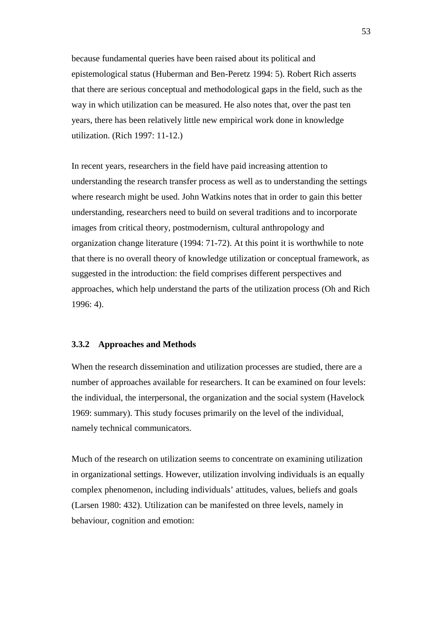because fundamental queries have been raised about its political and epistemological status (Huberman and Ben-Peretz 1994: 5). Robert Rich asserts that there are serious conceptual and methodological gaps in the field, such as the way in which utilization can be measured. He also notes that, over the past ten years, there has been relatively little new empirical work done in knowledge utilization. (Rich 1997: 11-12.)

In recent years, researchers in the field have paid increasing attention to understanding the research transfer process as well as to understanding the settings where research might be used. John Watkins notes that in order to gain this better understanding, researchers need to build on several traditions and to incorporate images from critical theory, postmodernism, cultural anthropology and organization change literature (1994: 71-72). At this point it is worthwhile to note that there is no overall theory of knowledge utilization or conceptual framework, as suggested in the introduction: the field comprises different perspectives and approaches, which help understand the parts of the utilization process (Oh and Rich 1996: 4).

## **3.3.2 Approaches and Methods**

When the research dissemination and utilization processes are studied, there are a number of approaches available for researchers. It can be examined on four levels: the individual, the interpersonal, the organization and the social system (Havelock 1969: summary). This study focuses primarily on the level of the individual, namely technical communicators.

Much of the research on utilization seems to concentrate on examining utilization in organizational settings. However, utilization involving individuals is an equally complex phenomenon, including individuals' attitudes, values, beliefs and goals (Larsen 1980: 432). Utilization can be manifested on three levels, namely in behaviour, cognition and emotion: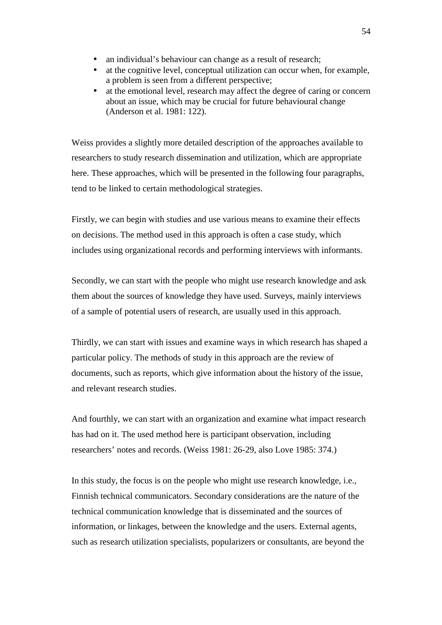- an individual's behaviour can change as a result of research;
- at the cognitive level, conceptual utilization can occur when, for example, a problem is seen from a different perspective;
- at the emotional level, research may affect the degree of caring or concern about an issue, which may be crucial for future behavioural change (Anderson et al. 1981: 122).

Weiss provides a slightly more detailed description of the approaches available to researchers to study research dissemination and utilization, which are appropriate here. These approaches, which will be presented in the following four paragraphs, tend to be linked to certain methodological strategies.

Firstly, we can begin with studies and use various means to examine their effects on decisions. The method used in this approach is often a case study, which includes using organizational records and performing interviews with informants.

Secondly, we can start with the people who might use research knowledge and ask them about the sources of knowledge they have used. Surveys, mainly interviews of a sample of potential users of research, are usually used in this approach.

Thirdly, we can start with issues and examine ways in which research has shaped a particular policy. The methods of study in this approach are the review of documents, such as reports, which give information about the history of the issue, and relevant research studies.

And fourthly, we can start with an organization and examine what impact research has had on it. The used method here is participant observation, including researchers' notes and records. (Weiss 1981: 26-29, also Love 1985: 374.)

In this study, the focus is on the people who might use research knowledge, i.e., Finnish technical communicators. Secondary considerations are the nature of the technical communication knowledge that is disseminated and the sources of information, or linkages, between the knowledge and the users. External agents, such as research utilization specialists, popularizers or consultants, are beyond the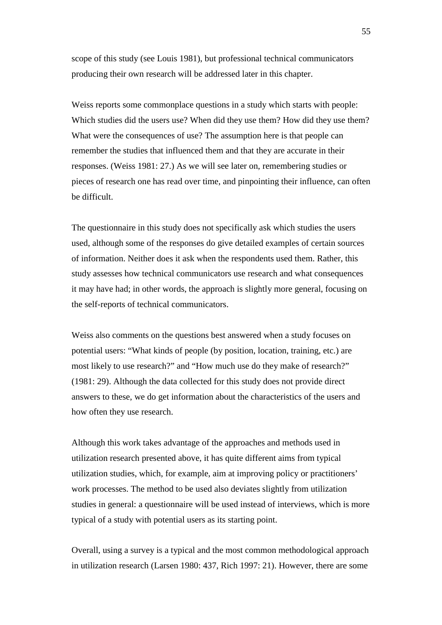scope of this study (see Louis 1981), but professional technical communicators producing their own research will be addressed later in this chapter.

Weiss reports some commonplace questions in a study which starts with people: Which studies did the users use? When did they use them? How did they use them? What were the consequences of use? The assumption here is that people can remember the studies that influenced them and that they are accurate in their responses. (Weiss 1981: 27.) As we will see later on, remembering studies or pieces of research one has read over time, and pinpointing their influence, can often be difficult.

The questionnaire in this study does not specifically ask which studies the users used, although some of the responses do give detailed examples of certain sources of information. Neither does it ask when the respondents used them. Rather, this study assesses how technical communicators use research and what consequences it may have had; in other words, the approach is slightly more general, focusing on the self-reports of technical communicators.

Weiss also comments on the questions best answered when a study focuses on potential users: "What kinds of people (by position, location, training, etc.) are most likely to use research?" and "How much use do they make of research?" (1981: 29). Although the data collected for this study does not provide direct answers to these, we do get information about the characteristics of the users and how often they use research.

Although this work takes advantage of the approaches and methods used in utilization research presented above, it has quite different aims from typical utilization studies, which, for example, aim at improving policy or practitioners' work processes. The method to be used also deviates slightly from utilization studies in general: a questionnaire will be used instead of interviews, which is more typical of a study with potential users as its starting point.

Overall, using a survey is a typical and the most common methodological approach in utilization research (Larsen 1980: 437, Rich 1997: 21). However, there are some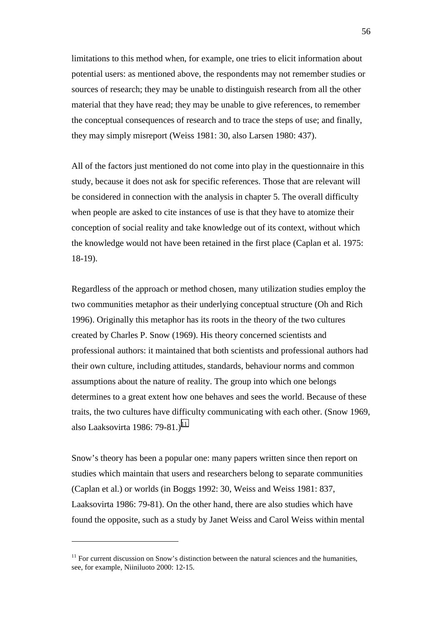limitations to this method when, for example, one tries to elicit information about potential users: as mentioned above, the respondents may not remember studies or sources of research; they may be unable to distinguish research from all the other material that they have read; they may be unable to give references, to remember the conceptual consequences of research and to trace the steps of use; and finally, they may simply misreport (Weiss 1981: 30, also Larsen 1980: 437).

All of the factors just mentioned do not come into play in the questionnaire in this study, because it does not ask for specific references. Those that are relevant will be considered in connection with the analysis in chapter 5. The overall difficulty when people are asked to cite instances of use is that they have to atomize their conception of social reality and take knowledge out of its context, without which the knowledge would not have been retained in the first place (Caplan et al. 1975: 18-19).

Regardless of the approach or method chosen, many utilization studies employ the two communities metaphor as their underlying conceptual structure (Oh and Rich 1996). Originally this metaphor has its roots in the theory of the two cultures created by Charles P. Snow (1969). His theory concerned scientists and professional authors: it maintained that both scientists and professional authors had their own culture, including attitudes, standards, behaviour norms and common assumptions about the nature of reality. The group into which one belongs determines to a great extent how one behaves and sees the world. Because of these traits, the two cultures have difficulty communicating with each other. (Snow 1969, also Laaksovirta 1986: 79-81. $)^{11}$ 

Snow's theory has been a popular one: many papers written since then report on studies which maintain that users and researchers belong to separate communities (Caplan et al.) or worlds (in Boggs 1992: 30, Weiss and Weiss 1981: 837, Laaksovirta 1986: 79-81). On the other hand, there are also studies which have found the opposite, such as a study by Janet Weiss and Carol Weiss within mental

 $\overline{a}$ 

 $11$  For current discussion on Snow's distinction between the natural sciences and the humanities, see, for example, Niiniluoto 2000: 12-15.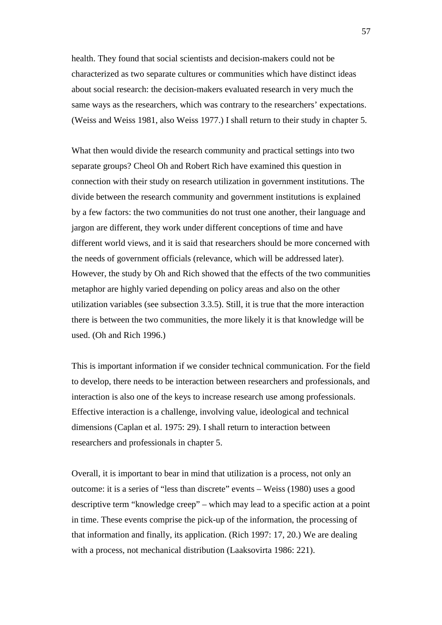health. They found that social scientists and decision-makers could not be characterized as two separate cultures or communities which have distinct ideas about social research: the decision-makers evaluated research in very much the same ways as the researchers, which was contrary to the researchers' expectations. (Weiss and Weiss 1981, also Weiss 1977.) I shall return to their study in chapter 5.

What then would divide the research community and practical settings into two separate groups? Cheol Oh and Robert Rich have examined this question in connection with their study on research utilization in government institutions. The divide between the research community and government institutions is explained by a few factors: the two communities do not trust one another, their language and jargon are different, they work under different conceptions of time and have different world views, and it is said that researchers should be more concerned with the needs of government officials (relevance, which will be addressed later). However, the study by Oh and Rich showed that the effects of the two communities metaphor are highly varied depending on policy areas and also on the other utilization variables (see subsection 3.3.5). Still, it is true that the more interaction there is between the two communities, the more likely it is that knowledge will be used. (Oh and Rich 1996.)

This is important information if we consider technical communication. For the field to develop, there needs to be interaction between researchers and professionals, and interaction is also one of the keys to increase research use among professionals. Effective interaction is a challenge, involving value, ideological and technical dimensions (Caplan et al. 1975: 29). I shall return to interaction between researchers and professionals in chapter 5.

Overall, it is important to bear in mind that utilization is a process, not only an outcome: it is a series of "less than discrete" events – Weiss (1980) uses a good descriptive term "knowledge creep" – which may lead to a specific action at a point in time. These events comprise the pick-up of the information, the processing of that information and finally, its application. (Rich 1997: 17, 20.) We are dealing with a process, not mechanical distribution (Laaksovirta 1986: 221).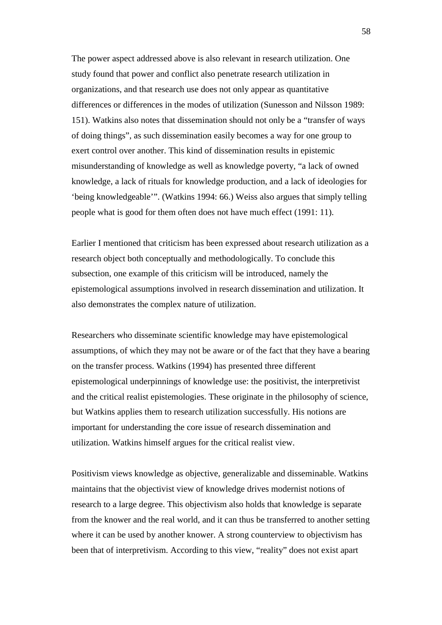The power aspect addressed above is also relevant in research utilization. One study found that power and conflict also penetrate research utilization in organizations, and that research use does not only appear as quantitative differences or differences in the modes of utilization (Sunesson and Nilsson 1989: 151). Watkins also notes that dissemination should not only be a "transfer of ways of doing things", as such dissemination easily becomes a way for one group to exert control over another. This kind of dissemination results in epistemic misunderstanding of knowledge as well as knowledge poverty, "a lack of owned knowledge, a lack of rituals for knowledge production, and a lack of ideologies for 'being knowledgeable'". (Watkins 1994: 66.) Weiss also argues that simply telling people what is good for them often does not have much effect (1991: 11).

Earlier I mentioned that criticism has been expressed about research utilization as a research object both conceptually and methodologically. To conclude this subsection, one example of this criticism will be introduced, namely the epistemological assumptions involved in research dissemination and utilization. It also demonstrates the complex nature of utilization.

Researchers who disseminate scientific knowledge may have epistemological assumptions, of which they may not be aware or of the fact that they have a bearing on the transfer process. Watkins (1994) has presented three different epistemological underpinnings of knowledge use: the positivist, the interpretivist and the critical realist epistemologies. These originate in the philosophy of science, but Watkins applies them to research utilization successfully. His notions are important for understanding the core issue of research dissemination and utilization. Watkins himself argues for the critical realist view.

Positivism views knowledge as objective, generalizable and disseminable. Watkins maintains that the objectivist view of knowledge drives modernist notions of research to a large degree. This objectivism also holds that knowledge is separate from the knower and the real world, and it can thus be transferred to another setting where it can be used by another knower. A strong counterview to objectivism has been that of interpretivism. According to this view, "reality" does not exist apart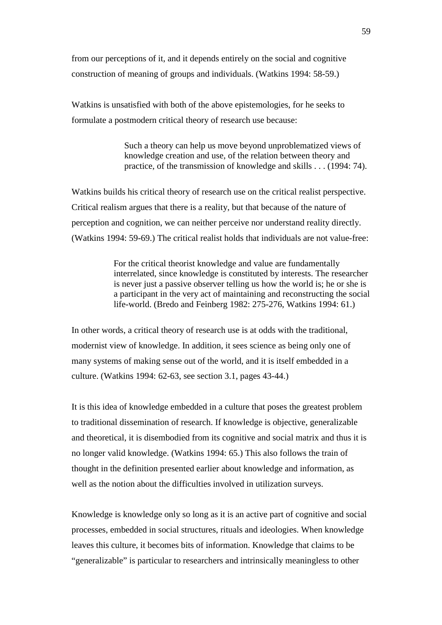from our perceptions of it, and it depends entirely on the social and cognitive construction of meaning of groups and individuals. (Watkins 1994: 58-59.)

Watkins is unsatisfied with both of the above epistemologies, for he seeks to formulate a postmodern critical theory of research use because:

> Such a theory can help us move beyond unproblematized views of knowledge creation and use, of the relation between theory and practice, of the transmission of knowledge and skills . . . (1994: 74).

Watkins builds his critical theory of research use on the critical realist perspective. Critical realism argues that there is a reality, but that because of the nature of perception and cognition, we can neither perceive nor understand reality directly. (Watkins 1994: 59-69.) The critical realist holds that individuals are not value-free:

> For the critical theorist knowledge and value are fundamentally interrelated, since knowledge is constituted by interests. The researcher is never just a passive observer telling us how the world is; he or she is a participant in the very act of maintaining and reconstructing the social life-world. (Bredo and Feinberg 1982: 275-276, Watkins 1994: 61.)

In other words, a critical theory of research use is at odds with the traditional, modernist view of knowledge. In addition, it sees science as being only one of many systems of making sense out of the world, and it is itself embedded in a culture. (Watkins 1994: 62-63, see section 3.1, pages 43-44.)

It is this idea of knowledge embedded in a culture that poses the greatest problem to traditional dissemination of research. If knowledge is objective, generalizable and theoretical, it is disembodied from its cognitive and social matrix and thus it is no longer valid knowledge. (Watkins 1994: 65.) This also follows the train of thought in the definition presented earlier about knowledge and information, as well as the notion about the difficulties involved in utilization surveys.

Knowledge is knowledge only so long as it is an active part of cognitive and social processes, embedded in social structures, rituals and ideologies. When knowledge leaves this culture, it becomes bits of information. Knowledge that claims to be "generalizable" is particular to researchers and intrinsically meaningless to other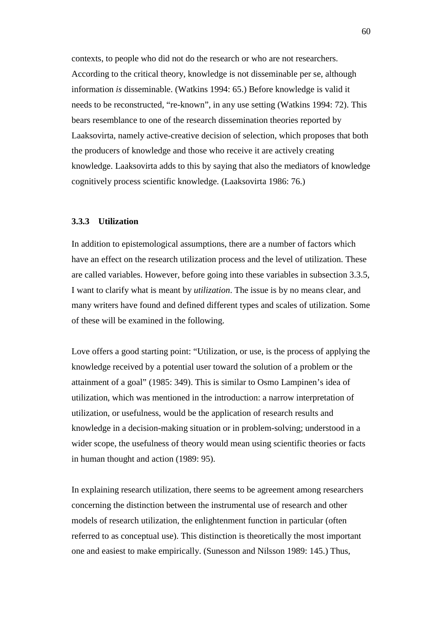contexts, to people who did not do the research or who are not researchers. According to the critical theory, knowledge is not disseminable per se, although information *is* disseminable. (Watkins 1994: 65.) Before knowledge is valid it needs to be reconstructed, "re-known", in any use setting (Watkins 1994: 72). This bears resemblance to one of the research dissemination theories reported by Laaksovirta, namely active-creative decision of selection, which proposes that both the producers of knowledge and those who receive it are actively creating knowledge. Laaksovirta adds to this by saying that also the mediators of knowledge cognitively process scientific knowledge. (Laaksovirta 1986: 76.)

#### **3.3.3 Utilization**

In addition to epistemological assumptions, there are a number of factors which have an effect on the research utilization process and the level of utilization. These are called variables. However, before going into these variables in subsection 3.3.5, I want to clarify what is meant by *utilization*. The issue is by no means clear, and many writers have found and defined different types and scales of utilization. Some of these will be examined in the following.

Love offers a good starting point: "Utilization, or use, is the process of applying the knowledge received by a potential user toward the solution of a problem or the attainment of a goal" (1985: 349). This is similar to Osmo Lampinen's idea of utilization, which was mentioned in the introduction: a narrow interpretation of utilization, or usefulness, would be the application of research results and knowledge in a decision-making situation or in problem-solving; understood in a wider scope, the usefulness of theory would mean using scientific theories or facts in human thought and action (1989: 95).

In explaining research utilization, there seems to be agreement among researchers concerning the distinction between the instrumental use of research and other models of research utilization, the enlightenment function in particular (often referred to as conceptual use). This distinction is theoretically the most important one and easiest to make empirically. (Sunesson and Nilsson 1989: 145.) Thus,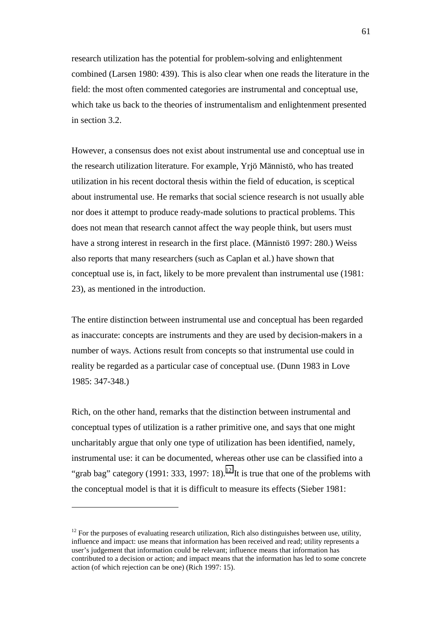research utilization has the potential for problem-solving and enlightenment combined (Larsen 1980: 439). This is also clear when one reads the literature in the field: the most often commented categories are instrumental and conceptual use, which take us back to the theories of instrumentalism and enlightenment presented in section 3.2.

However, a consensus does not exist about instrumental use and conceptual use in the research utilization literature. For example, Yrjö Männistö, who has treated utilization in his recent doctoral thesis within the field of education, is sceptical about instrumental use. He remarks that social science research is not usually able nor does it attempt to produce ready-made solutions to practical problems. This does not mean that research cannot affect the way people think, but users must have a strong interest in research in the first place. (Männistö 1997: 280.) Weiss also reports that many researchers (such as Caplan et al.) have shown that conceptual use is, in fact, likely to be more prevalent than instrumental use (1981: 23), as mentioned in the introduction.

The entire distinction between instrumental use and conceptual has been regarded as inaccurate: concepts are instruments and they are used by decision-makers in a number of ways. Actions result from concepts so that instrumental use could in reality be regarded as a particular case of conceptual use. (Dunn 1983 in Love 1985: 347-348.)

Rich, on the other hand, remarks that the distinction between instrumental and conceptual types of utilization is a rather primitive one, and says that one might uncharitably argue that only one type of utilization has been identified, namely, instrumental use: it can be documented, whereas other use can be classified into a "grab bag" category (1991: 333, 1997: 18).<sup>12</sup> It is true that one of the problems with the conceptual model is that it is difficult to measure its effects (Sieber 1981:

 $\overline{a}$ 

 $12$  For the purposes of evaluating research utilization, Rich also distinguishes between use, utility, influence and impact: use means that information has been received and read; utility represents a user's judgement that information could be relevant; influence means that information has contributed to a decision or action; and impact means that the information has led to some concrete action (of which rejection can be one) (Rich 1997: 15).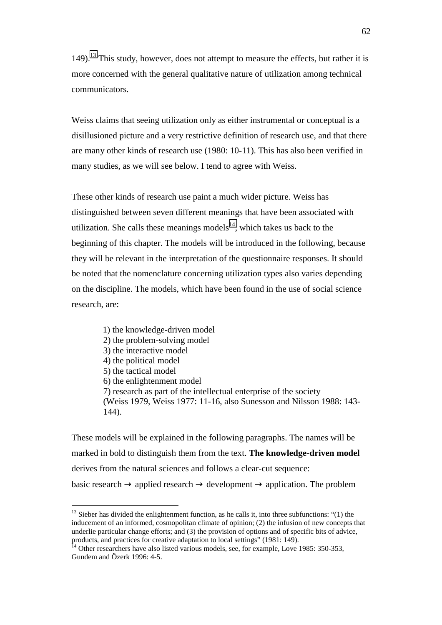$149$ ).<sup>13</sup> This study, however, does not attempt to measure the effects, but rather it is more concerned with the general qualitative nature of utilization among technical communicators.

Weiss claims that seeing utilization only as either instrumental or conceptual is a disillusioned picture and a very restrictive definition of research use, and that there are many other kinds of research use (1980: 10-11). This has also been verified in many studies, as we will see below. I tend to agree with Weiss.

These other kinds of research use paint a much wider picture. Weiss has distinguished between seven different meanings that have been associated with utilization. She calls these meanings models $^{14}$ , which takes us back to the beginning of this chapter. The models will be introduced in the following, because they will be relevant in the interpretation of the questionnaire responses. It should be noted that the nomenclature concerning utilization types also varies depending on the discipline. The models, which have been found in the use of social science research, are:

> 1) the knowledge-driven model 2) the problem-solving model 3) the interactive model 4) the political model 5) the tactical model 6) the enlightenment model 7) research as part of the intellectual enterprise of the society (Weiss 1979, Weiss 1977: 11-16, also Sunesson and Nilsson 1988: 143-  $144$ ).

These models will be explained in the following paragraphs. The names will be marked in bold to distinguish them from the text. **The knowledge-driven model** derives from the natural sciences and follows a clear-cut sequence: basic research  $\rightarrow$  applied research  $\rightarrow$  development  $\rightarrow$  application. The problem

 $\overline{a}$ 

 $13$  Sieber has divided the enlightenment function, as he calls it, into three subfunctions: "(1) the inducement of an informed, cosmopolitan climate of opinion; (2) the infusion of new concepts that underlie particular change efforts; and (3) the provision of options and of specific bits of advice, products, and practices for creative adaptation to local settings" (1981: 149).

<sup>&</sup>lt;sup>14</sup> Other researchers have also listed various models, see, for example, Love 1985: 350-353, Gundem and Özerk 1996: 4-5.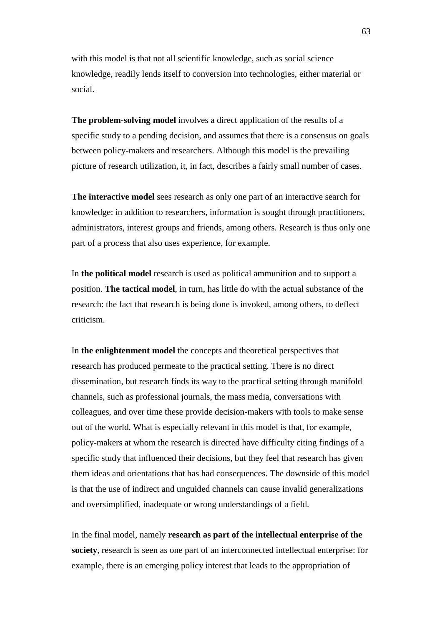with this model is that not all scientific knowledge, such as social science knowledge, readily lends itself to conversion into technologies, either material or social.

**The problem-solving model** involves a direct application of the results of a specific study to a pending decision, and assumes that there is a consensus on goals between policy-makers and researchers. Although this model is the prevailing picture of research utilization, it, in fact, describes a fairly small number of cases.

**The interactive model** sees research as only one part of an interactive search for knowledge: in addition to researchers, information is sought through practitioners, administrators, interest groups and friends, among others. Research is thus only one part of a process that also uses experience, for example.

In **the political model** research is used as political ammunition and to support a position. **The tactical model**, in turn, has little do with the actual substance of the research: the fact that research is being done is invoked, among others, to deflect criticism.

In **the enlightenment model** the concepts and theoretical perspectives that research has produced permeate to the practical setting. There is no direct dissemination, but research finds its way to the practical setting through manifold channels, such as professional journals, the mass media, conversations with colleagues, and over time these provide decision-makers with tools to make sense out of the world. What is especially relevant in this model is that, for example, policy-makers at whom the research is directed have difficulty citing findings of a specific study that influenced their decisions, but they feel that research has given them ideas and orientations that has had consequences. The downside of this model is that the use of indirect and unguided channels can cause invalid generalizations and oversimplified, inadequate or wrong understandings of a field.

In the final model, namely **research as part of the intellectual enterprise of the society**, research is seen as one part of an interconnected intellectual enterprise: for example, there is an emerging policy interest that leads to the appropriation of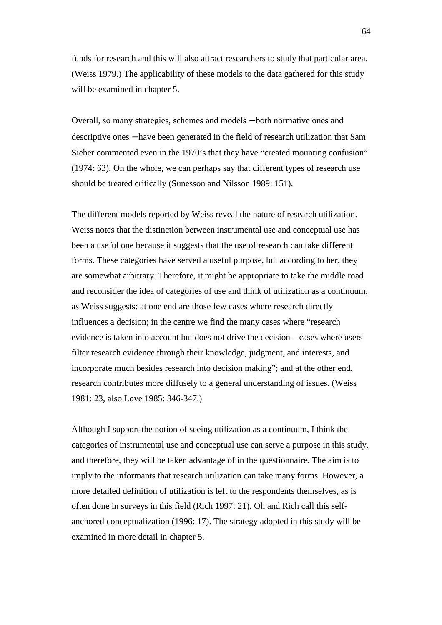funds for research and this will also attract researchers to study that particular area. (Weiss 1979.) The applicability of these models to the data gathered for this study will be examined in chapter 5.

Overall, so many strategies, schemes and models − both normative ones and descriptive ones − have been generated in the field of research utilization that Sam Sieber commented even in the 1970's that they have "created mounting confusion" (1974: 63). On the whole, we can perhaps say that different types of research use should be treated critically (Sunesson and Nilsson 1989: 151).

The different models reported by Weiss reveal the nature of research utilization. Weiss notes that the distinction between instrumental use and conceptual use has been a useful one because it suggests that the use of research can take different forms. These categories have served a useful purpose, but according to her, they are somewhat arbitrary. Therefore, it might be appropriate to take the middle road and reconsider the idea of categories of use and think of utilization as a continuum, as Weiss suggests: at one end are those few cases where research directly influences a decision; in the centre we find the many cases where "research evidence is taken into account but does not drive the decision – cases where users filter research evidence through their knowledge, judgment, and interests, and incorporate much besides research into decision making"; and at the other end, research contributes more diffusely to a general understanding of issues. (Weiss 1981: 23, also Love 1985: 346-347.)

Although I support the notion of seeing utilization as a continuum, I think the categories of instrumental use and conceptual use can serve a purpose in this study, and therefore, they will be taken advantage of in the questionnaire. The aim is to imply to the informants that research utilization can take many forms. However, a more detailed definition of utilization is left to the respondents themselves, as is often done in surveys in this field (Rich 1997: 21). Oh and Rich call this selfanchored conceptualization (1996: 17). The strategy adopted in this study will be examined in more detail in chapter 5.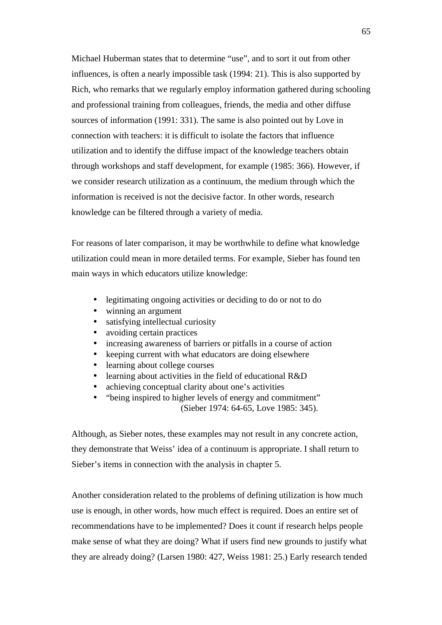Michael Huberman states that to determine "use", and to sort it out from other influences, is often a nearly impossible task (1994: 21). This is also supported by Rich, who remarks that we regularly employ information gathered during schooling and professional training from colleagues, friends, the media and other diffuse sources of information (1991: 331). The same is also pointed out by Love in connection with teachers: it is difficult to isolate the factors that influence utilization and to identify the diffuse impact of the knowledge teachers obtain through workshops and staff development, for example (1985: 366). However, if we consider research utilization as a continuum, the medium through which the information is received is not the decisive factor. In other words, research knowledge can be filtered through a variety of media.

For reasons of later comparison, it may be worthwhile to define what knowledge utilization could mean in more detailed terms. For example, Sieber has found ten main ways in which educators utilize knowledge:

- legitimating ongoing activities or deciding to do or not to do
- winning an argument
- satisfying intellectual curiosity
- avoiding certain practices
- increasing awareness of barriers or pitfalls in a course of action
- keeping current with what educators are doing elsewhere
- learning about college courses
- learning about activities in the field of educational R&D
- achieving conceptual clarity about one's activities
- "being inspired to higher levels of energy and commitment" (Sieber 1974: 64-65, Love 1985: 345).

Although, as Sieber notes, these examples may not result in any concrete action, they demonstrate that Weiss' idea of a continuum is appropriate. I shall return to Sieber's items in connection with the analysis in chapter 5.

Another consideration related to the problems of defining utilization is how much use is enough, in other words, how much effect is required. Does an entire set of recommendations have to be implemented? Does it count if research helps people make sense of what they are doing? What if users find new grounds to justify what they are already doing? (Larsen 1980: 427, Weiss 1981: 25.) Early research tended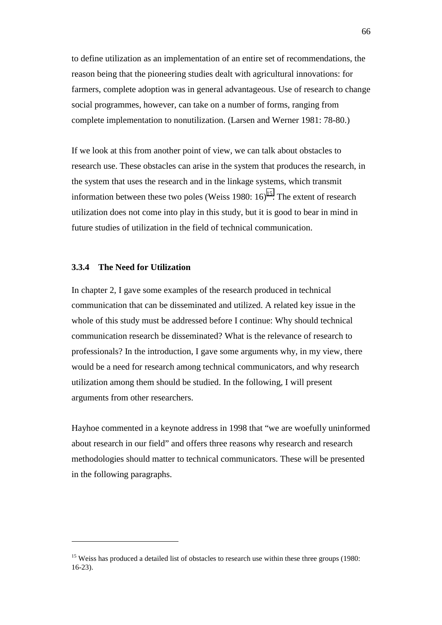to define utilization as an implementation of an entire set of recommendations, the reason being that the pioneering studies dealt with agricultural innovations: for farmers, complete adoption was in general advantageous. Use of research to change social programmes, however, can take on a number of forms, ranging from complete implementation to nonutilization. (Larsen and Werner 1981: 78-80.)

If we look at this from another point of view, we can talk about obstacles to research use. These obstacles can arise in the system that produces the research, in the system that uses the research and in the linkage systems, which transmit information between these two poles (Weiss 1980:  $16$ )<sup>15</sup>. The extent of research utilization does not come into play in this study, but it is good to bear in mind in future studies of utilization in the field of technical communication.

## **3.3.4 The Need for Utilization**

 $\overline{a}$ 

In chapter 2, I gave some examples of the research produced in technical communication that can be disseminated and utilized. A related key issue in the whole of this study must be addressed before I continue: Why should technical communication research be disseminated? What is the relevance of research to professionals? In the introduction, I gave some arguments why, in my view, there would be a need for research among technical communicators, and why research utilization among them should be studied. In the following, I will present arguments from other researchers.

Hayhoe commented in a keynote address in 1998 that "we are woefully uninformed about research in our field" and offers three reasons why research and research methodologies should matter to technical communicators. These will be presented in the following paragraphs.

<sup>&</sup>lt;sup>15</sup> Weiss has produced a detailed list of obstacles to research use within these three groups (1980: 16-23).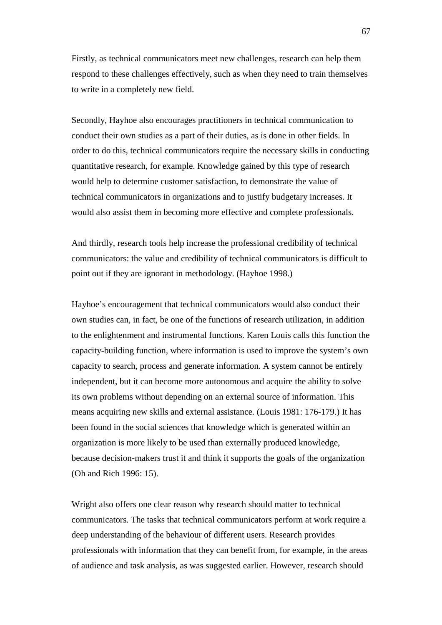Firstly, as technical communicators meet new challenges, research can help them respond to these challenges effectively, such as when they need to train themselves to write in a completely new field.

Secondly, Hayhoe also encourages practitioners in technical communication to conduct their own studies as a part of their duties, as is done in other fields. In order to do this, technical communicators require the necessary skills in conducting quantitative research, for example. Knowledge gained by this type of research would help to determine customer satisfaction, to demonstrate the value of technical communicators in organizations and to justify budgetary increases. It would also assist them in becoming more effective and complete professionals.

And thirdly, research tools help increase the professional credibility of technical communicators: the value and credibility of technical communicators is difficult to point out if they are ignorant in methodology. (Hayhoe 1998.)

Hayhoe's encouragement that technical communicators would also conduct their own studies can, in fact, be one of the functions of research utilization, in addition to the enlightenment and instrumental functions. Karen Louis calls this function the capacity-building function, where information is used to improve the system's own capacity to search, process and generate information. A system cannot be entirely independent, but it can become more autonomous and acquire the ability to solve its own problems without depending on an external source of information. This means acquiring new skills and external assistance. (Louis 1981: 176-179.) It has been found in the social sciences that knowledge which is generated within an organization is more likely to be used than externally produced knowledge, because decision-makers trust it and think it supports the goals of the organization (Oh and Rich 1996: 15).

Wright also offers one clear reason why research should matter to technical communicators. The tasks that technical communicators perform at work require a deep understanding of the behaviour of different users. Research provides professionals with information that they can benefit from, for example, in the areas of audience and task analysis, as was suggested earlier. However, research should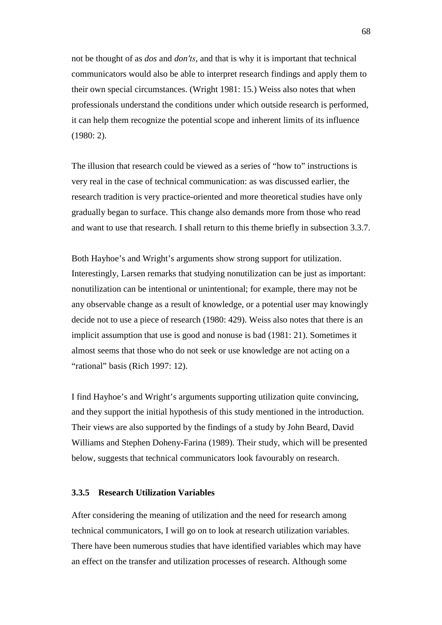not be thought of as *dos* and *don′ts*, and that is why it is important that technical communicators would also be able to interpret research findings and apply them to their own special circumstances. (Wright 1981: 15.) Weiss also notes that when professionals understand the conditions under which outside research is performed, it can help them recognize the potential scope and inherent limits of its influence (1980: 2).

The illusion that research could be viewed as a series of "how to" instructions is very real in the case of technical communication: as was discussed earlier, the research tradition is very practice-oriented and more theoretical studies have only gradually began to surface. This change also demands more from those who read and want to use that research. I shall return to this theme briefly in subsection 3.3.7.

Both Hayhoe's and Wright's arguments show strong support for utilization. Interestingly, Larsen remarks that studying nonutilization can be just as important: nonutilization can be intentional or unintentional; for example, there may not be any observable change as a result of knowledge, or a potential user may knowingly decide not to use a piece of research (1980: 429). Weiss also notes that there is an implicit assumption that use is good and nonuse is bad (1981: 21). Sometimes it almost seems that those who do not seek or use knowledge are not acting on a "rational" basis (Rich 1997: 12).

I find Hayhoe's and Wright's arguments supporting utilization quite convincing, and they support the initial hypothesis of this study mentioned in the introduction. Their views are also supported by the findings of a study by John Beard, David Williams and Stephen Doheny-Farina (1989). Their study, which will be presented below, suggests that technical communicators look favourably on research.

# **3.3.5 Research Utilization Variables**

After considering the meaning of utilization and the need for research among technical communicators, I will go on to look at research utilization variables. There have been numerous studies that have identified variables which may have an effect on the transfer and utilization processes of research. Although some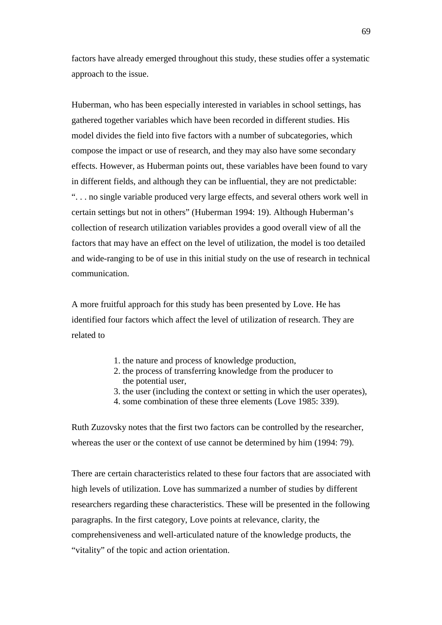factors have already emerged throughout this study, these studies offer a systematic approach to the issue.

Huberman, who has been especially interested in variables in school settings, has gathered together variables which have been recorded in different studies. His model divides the field into five factors with a number of subcategories, which compose the impact or use of research, and they may also have some secondary effects. However, as Huberman points out, these variables have been found to vary in different fields, and although they can be influential, they are not predictable: ". . . no single variable produced very large effects, and several others work well in certain settings but not in others" (Huberman 1994: 19). Although Huberman's collection of research utilization variables provides a good overall view of all the factors that may have an effect on the level of utilization, the model is too detailed and wide-ranging to be of use in this initial study on the use of research in technical communication.

A more fruitful approach for this study has been presented by Love. He has identified four factors which affect the level of utilization of research. They are related to

- 1. the nature and process of knowledge production,
- 2. the process of transferring knowledge from the producer to the potential user,
- 3. the user (including the context or setting in which the user operates),
- 4. some combination of these three elements (Love 1985: 339).

Ruth Zuzovsky notes that the first two factors can be controlled by the researcher, whereas the user or the context of use cannot be determined by him (1994: 79).

There are certain characteristics related to these four factors that are associated with high levels of utilization. Love has summarized a number of studies by different researchers regarding these characteristics. These will be presented in the following paragraphs. In the first category, Love points at relevance, clarity, the comprehensiveness and well-articulated nature of the knowledge products, the "vitality" of the topic and action orientation.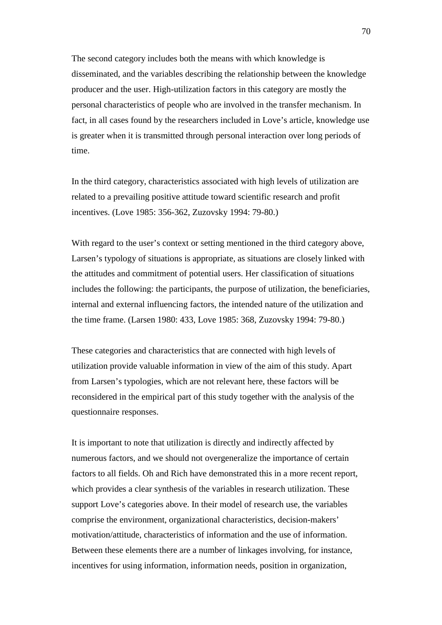The second category includes both the means with which knowledge is disseminated, and the variables describing the relationship between the knowledge producer and the user. High-utilization factors in this category are mostly the personal characteristics of people who are involved in the transfer mechanism. In fact, in all cases found by the researchers included in Love's article, knowledge use is greater when it is transmitted through personal interaction over long periods of time.

In the third category, characteristics associated with high levels of utilization are related to a prevailing positive attitude toward scientific research and profit incentives. (Love 1985: 356-362, Zuzovsky 1994: 79-80.)

With regard to the user's context or setting mentioned in the third category above, Larsen's typology of situations is appropriate, as situations are closely linked with the attitudes and commitment of potential users. Her classification of situations includes the following: the participants, the purpose of utilization, the beneficiaries, internal and external influencing factors, the intended nature of the utilization and the time frame. (Larsen 1980: 433, Love 1985: 368, Zuzovsky 1994: 79-80.)

These categories and characteristics that are connected with high levels of utilization provide valuable information in view of the aim of this study. Apart from Larsen's typologies, which are not relevant here, these factors will be reconsidered in the empirical part of this study together with the analysis of the questionnaire responses.

It is important to note that utilization is directly and indirectly affected by numerous factors, and we should not overgeneralize the importance of certain factors to all fields. Oh and Rich have demonstrated this in a more recent report, which provides a clear synthesis of the variables in research utilization. These support Love's categories above. In their model of research use, the variables comprise the environment, organizational characteristics, decision-makers' motivation/attitude, characteristics of information and the use of information. Between these elements there are a number of linkages involving, for instance, incentives for using information, information needs, position in organization,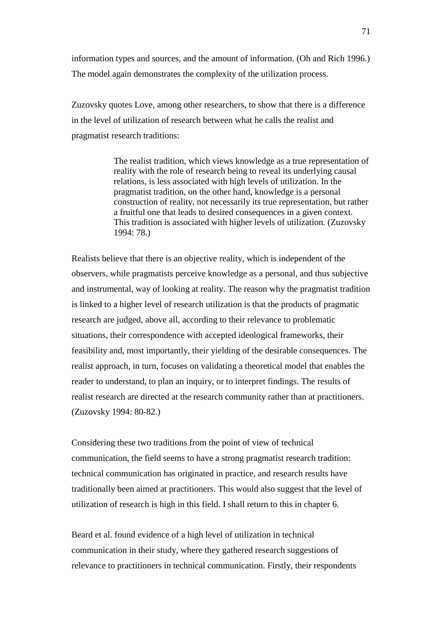information types and sources, and the amount of information. (Oh and Rich 1996.) The model again demonstrates the complexity of the utilization process.

Zuzovsky quotes Love, among other researchers, to show that there is a difference in the level of utilization of research between what he calls the realist and pragmatist research traditions:

> The realist tradition, which views knowledge as a true representation of reality with the role of research being to reveal its underlying causal relations, is less associated with high levels of utilization. In the pragmatist tradition, on the other hand, knowledge is a personal construction of reality, not necessarily its true representation, but rather a fruitful one that leads to desired consequences in a given context. This tradition is associated with higher levels of utilization. (Zuzovsky 1994: 78.)

Realists believe that there is an objective reality, which is independent of the observers, while pragmatists perceive knowledge as a personal, and thus subjective and instrumental, way of looking at reality. The reason why the pragmatist tradition is linked to a higher level of research utilization is that the products of pragmatic research are judged, above all, according to their relevance to problematic situations, their correspondence with accepted ideological frameworks, their feasibility and, most importantly, their yielding of the desirable consequences. The realist approach, in turn, focuses on validating a theoretical model that enables the reader to understand, to plan an inquiry, or to interpret findings. The results of realist research are directed at the research community rather than at practitioners. (Zuzovsky 1994: 80-82.)

Considering these two traditions from the point of view of technical communication, the field seems to have a strong pragmatist research tradition: technical communication has originated in practice, and research results have traditionally been aimed at practitioners. This would also suggest that the level of utilization of research is high in this field. I shall return to this in chapter 6.

Beard et al. found evidence of a high level of utilization in technical communication in their study, where they gathered research suggestions of relevance to practitioners in technical communication. Firstly, their respondents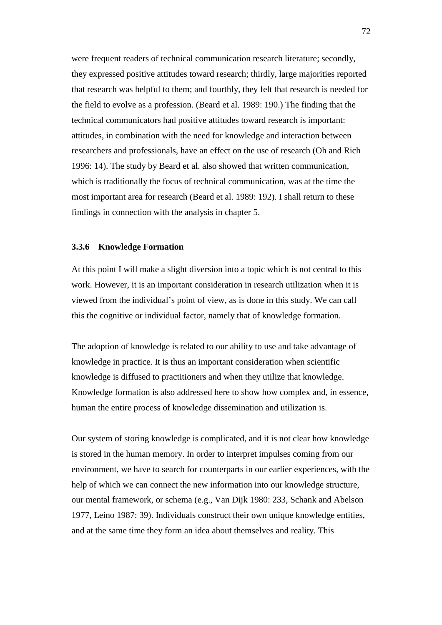were frequent readers of technical communication research literature; secondly, they expressed positive attitudes toward research; thirdly, large majorities reported that research was helpful to them; and fourthly, they felt that research is needed for the field to evolve as a profession. (Beard et al. 1989: 190.) The finding that the technical communicators had positive attitudes toward research is important: attitudes, in combination with the need for knowledge and interaction between researchers and professionals, have an effect on the use of research (Oh and Rich 1996: 14). The study by Beard et al. also showed that written communication, which is traditionally the focus of technical communication, was at the time the most important area for research (Beard et al. 1989: 192). I shall return to these findings in connection with the analysis in chapter 5.

### **3.3.6 Knowledge Formation**

At this point I will make a slight diversion into a topic which is not central to this work. However, it is an important consideration in research utilization when it is viewed from the individual's point of view, as is done in this study. We can call this the cognitive or individual factor, namely that of knowledge formation.

The adoption of knowledge is related to our ability to use and take advantage of knowledge in practice. It is thus an important consideration when scientific knowledge is diffused to practitioners and when they utilize that knowledge. Knowledge formation is also addressed here to show how complex and, in essence, human the entire process of knowledge dissemination and utilization is.

Our system of storing knowledge is complicated, and it is not clear how knowledge is stored in the human memory. In order to interpret impulses coming from our environment, we have to search for counterparts in our earlier experiences, with the help of which we can connect the new information into our knowledge structure, our mental framework, or schema (e.g., Van Dijk 1980: 233, Schank and Abelson 1977, Leino 1987: 39). Individuals construct their own unique knowledge entities, and at the same time they form an idea about themselves and reality. This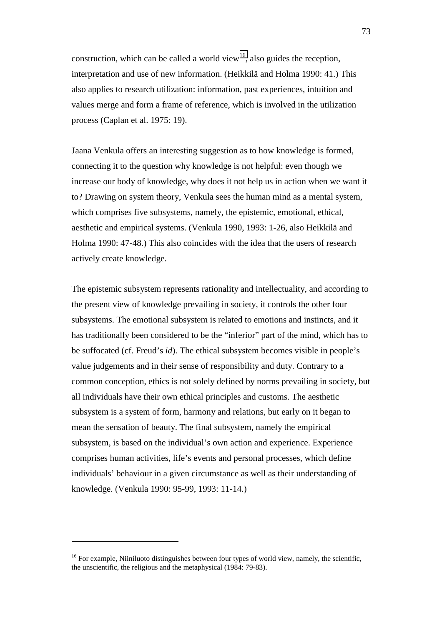construction, which can be called a world view<sup>16</sup>, also guides the reception, interpretation and use of new information. (Heikkilä and Holma 1990: 41.) This also applies to research utilization: information, past experiences, intuition and values merge and form a frame of reference, which is involved in the utilization process (Caplan et al. 1975: 19).

Jaana Venkula offers an interesting suggestion as to how knowledge is formed, connecting it to the question why knowledge is not helpful: even though we increase our body of knowledge, why does it not help us in action when we want it to? Drawing on system theory, Venkula sees the human mind as a mental system, which comprises five subsystems, namely, the epistemic, emotional, ethical, aesthetic and empirical systems. (Venkula 1990, 1993: 1-26, also Heikkilä and Holma 1990: 47-48.) This also coincides with the idea that the users of research actively create knowledge.

The epistemic subsystem represents rationality and intellectuality, and according to the present view of knowledge prevailing in society, it controls the other four subsystems. The emotional subsystem is related to emotions and instincts, and it has traditionally been considered to be the "inferior" part of the mind, which has to be suffocated (cf. Freud's *id*). The ethical subsystem becomes visible in people's value judgements and in their sense of responsibility and duty. Contrary to a common conception, ethics is not solely defined by norms prevailing in society, but all individuals have their own ethical principles and customs. The aesthetic subsystem is a system of form, harmony and relations, but early on it began to mean the sensation of beauty. The final subsystem, namely the empirical subsystem, is based on the individual's own action and experience. Experience comprises human activities, life's events and personal processes, which define individuals' behaviour in a given circumstance as well as their understanding of knowledge. (Venkula 1990: 95-99, 1993: 11-14.)

 $\overline{a}$ 

 $16$  For example, Niiniluoto distinguishes between four types of world view, namely, the scientific, the unscientific, the religious and the metaphysical (1984: 79-83).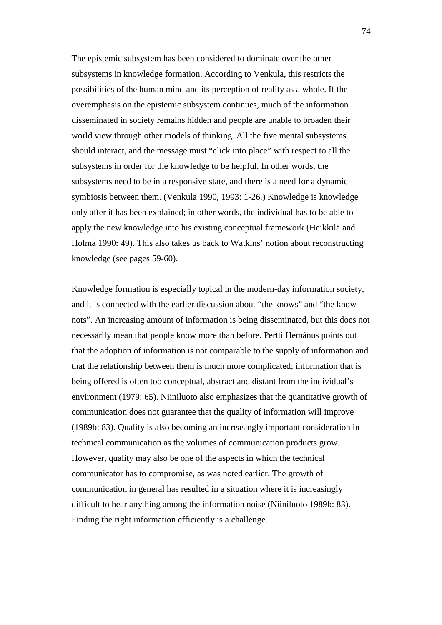The epistemic subsystem has been considered to dominate over the other subsystems in knowledge formation. According to Venkula, this restricts the possibilities of the human mind and its perception of reality as a whole. If the overemphasis on the epistemic subsystem continues, much of the information disseminated in society remains hidden and people are unable to broaden their world view through other models of thinking. All the five mental subsystems should interact, and the message must "click into place" with respect to all the subsystems in order for the knowledge to be helpful. In other words, the subsystems need to be in a responsive state, and there is a need for a dynamic symbiosis between them. (Venkula 1990, 1993: 1-26.) Knowledge is knowledge only after it has been explained; in other words, the individual has to be able to apply the new knowledge into his existing conceptual framework (Heikkilä and Holma 1990: 49). This also takes us back to Watkins' notion about reconstructing knowledge (see pages 59-60).

Knowledge formation is especially topical in the modern-day information society, and it is connected with the earlier discussion about "the knows" and "the knownots". An increasing amount of information is being disseminated, but this does not necessarily mean that people know more than before. Pertti Hemánus points out that the adoption of information is not comparable to the supply of information and that the relationship between them is much more complicated; information that is being offered is often too conceptual, abstract and distant from the individual's environment (1979: 65). Niiniluoto also emphasizes that the quantitative growth of communication does not guarantee that the quality of information will improve (1989b: 83). Quality is also becoming an increasingly important consideration in technical communication as the volumes of communication products grow. However, quality may also be one of the aspects in which the technical communicator has to compromise, as was noted earlier. The growth of communication in general has resulted in a situation where it is increasingly difficult to hear anything among the information noise (Niiniluoto 1989b: 83). Finding the right information efficiently is a challenge.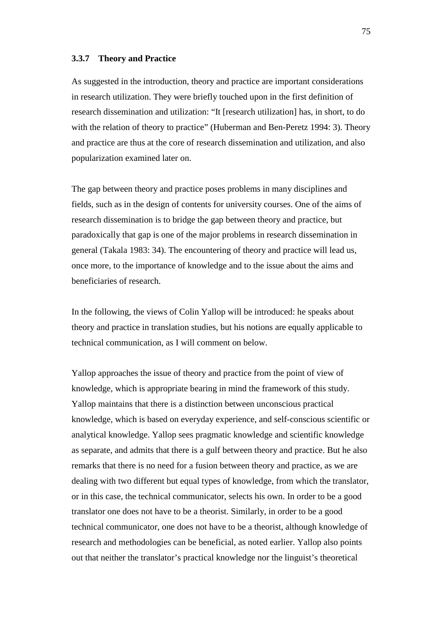#### **3.3.7 Theory and Practice**

As suggested in the introduction, theory and practice are important considerations in research utilization. They were briefly touched upon in the first definition of research dissemination and utilization: "It [research utilization] has, in short, to do with the relation of theory to practice" (Huberman and Ben-Peretz 1994: 3). Theory and practice are thus at the core of research dissemination and utilization, and also popularization examined later on.

The gap between theory and practice poses problems in many disciplines and fields, such as in the design of contents for university courses. One of the aims of research dissemination is to bridge the gap between theory and practice, but paradoxically that gap is one of the major problems in research dissemination in general (Takala 1983: 34). The encountering of theory and practice will lead us, once more, to the importance of knowledge and to the issue about the aims and beneficiaries of research.

In the following, the views of Colin Yallop will be introduced: he speaks about theory and practice in translation studies, but his notions are equally applicable to technical communication, as I will comment on below.

Yallop approaches the issue of theory and practice from the point of view of knowledge, which is appropriate bearing in mind the framework of this study. Yallop maintains that there is a distinction between unconscious practical knowledge, which is based on everyday experience, and self-conscious scientific or analytical knowledge. Yallop sees pragmatic knowledge and scientific knowledge as separate, and admits that there is a gulf between theory and practice. But he also remarks that there is no need for a fusion between theory and practice, as we are dealing with two different but equal types of knowledge, from which the translator, or in this case, the technical communicator, selects his own. In order to be a good translator one does not have to be a theorist. Similarly, in order to be a good technical communicator, one does not have to be a theorist, although knowledge of research and methodologies can be beneficial, as noted earlier. Yallop also points out that neither the translator's practical knowledge nor the linguist's theoretical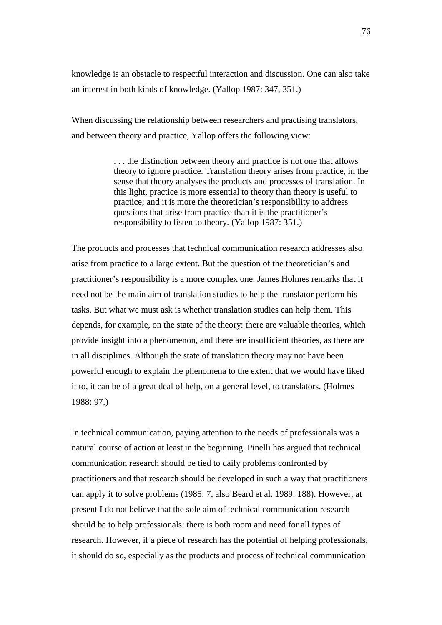knowledge is an obstacle to respectful interaction and discussion. One can also take an interest in both kinds of knowledge. (Yallop 1987: 347, 351.)

When discussing the relationship between researchers and practising translators, and between theory and practice, Yallop offers the following view:

> . . . the distinction between theory and practice is not one that allows theory to ignore practice. Translation theory arises from practice, in the sense that theory analyses the products and processes of translation. In this light, practice is more essential to theory than theory is useful to practice; and it is more the theoretician's responsibility to address questions that arise from practice than it is the practitioner's responsibility to listen to theory. (Yallop 1987: 351.)

The products and processes that technical communication research addresses also arise from practice to a large extent. But the question of the theoretician's and practitioner's responsibility is a more complex one. James Holmes remarks that it need not be the main aim of translation studies to help the translator perform his tasks. But what we must ask is whether translation studies can help them. This depends, for example, on the state of the theory: there are valuable theories, which provide insight into a phenomenon, and there are insufficient theories, as there are in all disciplines. Although the state of translation theory may not have been powerful enough to explain the phenomena to the extent that we would have liked it to, it can be of a great deal of help, on a general level, to translators. (Holmes 1988: 97.)

In technical communication, paying attention to the needs of professionals was a natural course of action at least in the beginning. Pinelli has argued that technical communication research should be tied to daily problems confronted by practitioners and that research should be developed in such a way that practitioners can apply it to solve problems (1985: 7, also Beard et al. 1989: 188). However, at present I do not believe that the sole aim of technical communication research should be to help professionals: there is both room and need for all types of research. However, if a piece of research has the potential of helping professionals, it should do so, especially as the products and process of technical communication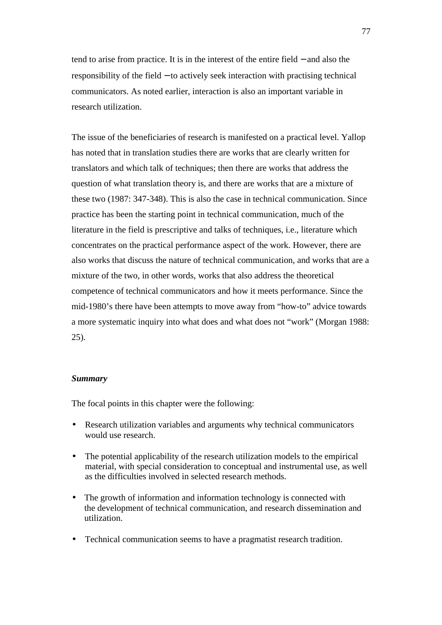tend to arise from practice. It is in the interest of the entire field − and also the responsibility of the field − to actively seek interaction with practising technical communicators. As noted earlier, interaction is also an important variable in research utilization.

The issue of the beneficiaries of research is manifested on a practical level. Yallop has noted that in translation studies there are works that are clearly written for translators and which talk of techniques; then there are works that address the question of what translation theory is, and there are works that are a mixture of these two (1987: 347-348). This is also the case in technical communication. Since practice has been the starting point in technical communication, much of the literature in the field is prescriptive and talks of techniques, i.e., literature which concentrates on the practical performance aspect of the work. However, there are also works that discuss the nature of technical communication, and works that are a mixture of the two, in other words, works that also address the theoretical competence of technical communicators and how it meets performance. Since the mid-1980's there have been attempts to move away from "how-to" advice towards a more systematic inquiry into what does and what does not "work" (Morgan 1988: 25).

## *Summary*

The focal points in this chapter were the following:

- Research utilization variables and arguments why technical communicators would use research.
- The potential applicability of the research utilization models to the empirical material, with special consideration to conceptual and instrumental use, as well as the difficulties involved in selected research methods.
- The growth of information and information technology is connected with the development of technical communication, and research dissemination and utilization.
- Technical communication seems to have a pragmatist research tradition.

77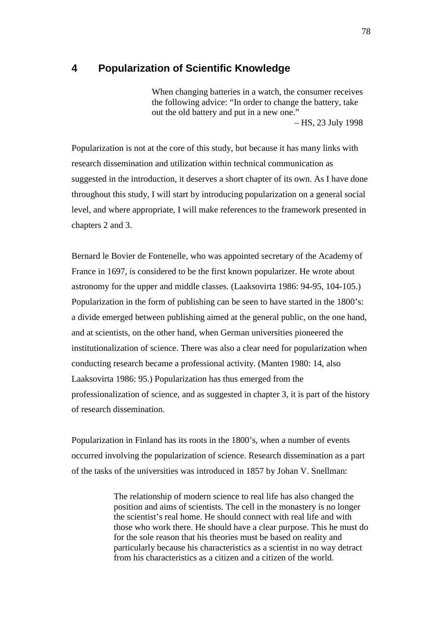# **4 Popularization of Scientific Knowledge**

When changing batteries in a watch, the consumer receives the following advice: "In order to change the battery, take out the old battery and put in a new one."

– HS, 23 July 1998

Popularization is not at the core of this study, but because it has many links with research dissemination and utilization within technical communication as suggested in the introduction, it deserves a short chapter of its own. As I have done throughout this study, I will start by introducing popularization on a general social level, and where appropriate, I will make references to the framework presented in chapters 2 and 3.

Bernard le Bovier de Fontenelle, who was appointed secretary of the Academy of France in 1697, is considered to be the first known popularizer. He wrote about astronomy for the upper and middle classes. (Laaksovirta 1986: 94-95, 104-105.) Popularization in the form of publishing can be seen to have started in the 1800's: a divide emerged between publishing aimed at the general public, on the one hand, and at scientists, on the other hand, when German universities pioneered the institutionalization of science. There was also a clear need for popularization when conducting research became a professional activity. (Manten 1980: 14, also Laaksovirta 1986: 95.) Popularization has thus emerged from the professionalization of science, and as suggested in chapter 3, it is part of the history of research dissemination.

Popularization in Finland has its roots in the 1800's, when a number of events occurred involving the popularization of science. Research dissemination as a part of the tasks of the universities was introduced in 1857 by Johan V. Snellman:

> The relationship of modern science to real life has also changed the position and aims of scientists. The cell in the monastery is no longer the scientist's real home. He should connect with real life and with those who work there. He should have a clear purpose. This he must do for the sole reason that his theories must be based on reality and particularly because his characteristics as a scientist in no way detract from his characteristics as a citizen and a citizen of the world.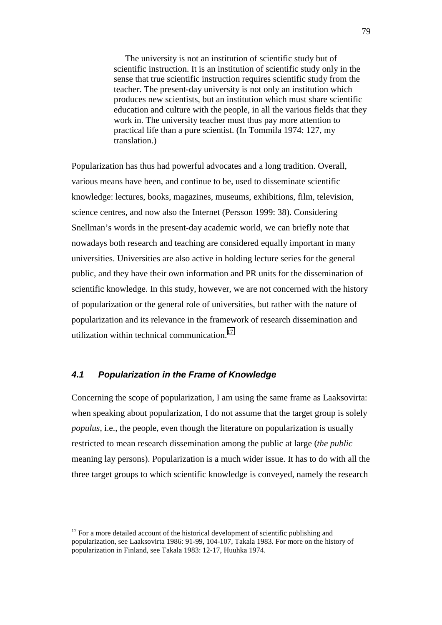The university is not an institution of scientific study but of scientific instruction. It is an institution of scientific study only in the sense that true scientific instruction requires scientific study from the teacher. The present-day university is not only an institution which produces new scientists, but an institution which must share scientific education and culture with the people, in all the various fields that they work in. The university teacher must thus pay more attention to practical life than a pure scientist. (In Tommila 1974: 127, my translation.)

Popularization has thus had powerful advocates and a long tradition. Overall, various means have been, and continue to be, used to disseminate scientific knowledge: lectures, books, magazines, museums, exhibitions, film, television, science centres, and now also the Internet (Persson 1999: 38). Considering Snellman's words in the present-day academic world, we can briefly note that nowadays both research and teaching are considered equally important in many universities. Universities are also active in holding lecture series for the general public, and they have their own information and PR units for the dissemination of scientific knowledge. In this study, however, we are not concerned with the history of popularization or the general role of universities, but rather with the nature of popularization and its relevance in the framework of research dissemination and utilization within technical communication.<sup>17</sup>

# **4.1 Popularization in the Frame of Knowledge**

 $\overline{a}$ 

Concerning the scope of popularization, I am using the same frame as Laaksovirta: when speaking about popularization, I do not assume that the target group is solely *populus*, i.e., the people, even though the literature on popularization is usually restricted to mean research dissemination among the public at large (*the public* meaning lay persons). Popularization is a much wider issue. It has to do with all the three target groups to which scientific knowledge is conveyed, namely the research

 $17$  For a more detailed account of the historical development of scientific publishing and popularization, see Laaksovirta 1986: 91-99, 104-107, Takala 1983. For more on the history of popularization in Finland, see Takala 1983: 12-17, Huuhka 1974.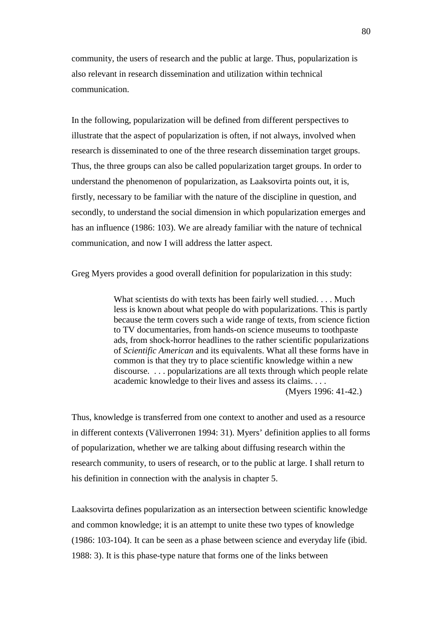community, the users of research and the public at large. Thus, popularization is also relevant in research dissemination and utilization within technical communication.

In the following, popularization will be defined from different perspectives to illustrate that the aspect of popularization is often, if not always, involved when research is disseminated to one of the three research dissemination target groups. Thus, the three groups can also be called popularization target groups. In order to understand the phenomenon of popularization, as Laaksovirta points out, it is, firstly, necessary to be familiar with the nature of the discipline in question, and secondly, to understand the social dimension in which popularization emerges and has an influence (1986: 103). We are already familiar with the nature of technical communication, and now I will address the latter aspect.

Greg Myers provides a good overall definition for popularization in this study:

What scientists do with texts has been fairly well studied. . . . Much less is known about what people do with popularizations. This is partly because the term covers such a wide range of texts, from science fiction to TV documentaries, from hands-on science museums to toothpaste ads, from shock-horror headlines to the rather scientific popularizations of *Scientific American* and its equivalents. What all these forms have in common is that they try to place scientific knowledge within a new discourse. . . . popularizations are all texts through which people relate academic knowledge to their lives and assess its claims. . . . (Myers 1996: 41-42.)

Thus, knowledge is transferred from one context to another and used as a resource in different contexts (Väliverronen 1994: 31). Myers' definition applies to all forms of popularization, whether we are talking about diffusing research within the research community, to users of research, or to the public at large. I shall return to his definition in connection with the analysis in chapter 5.

Laaksovirta defines popularization as an intersection between scientific knowledge and common knowledge; it is an attempt to unite these two types of knowledge (1986: 103-104). It can be seen as a phase between science and everyday life (ibid. 1988: 3). It is this phase-type nature that forms one of the links between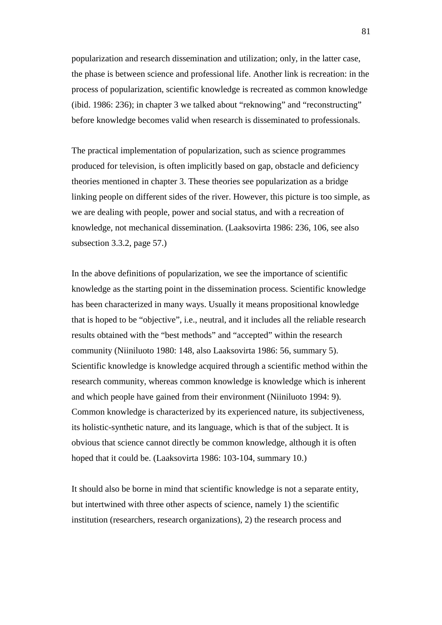popularization and research dissemination and utilization; only, in the latter case, the phase is between science and professional life. Another link is recreation: in the process of popularization, scientific knowledge is recreated as common knowledge (ibid. 1986: 236); in chapter 3 we talked about "reknowing" and "reconstructing" before knowledge becomes valid when research is disseminated to professionals.

The practical implementation of popularization, such as science programmes produced for television, is often implicitly based on gap, obstacle and deficiency theories mentioned in chapter 3. These theories see popularization as a bridge linking people on different sides of the river. However, this picture is too simple, as we are dealing with people, power and social status, and with a recreation of knowledge, not mechanical dissemination. (Laaksovirta 1986: 236, 106, see also subsection 3.3.2, page 57.)

In the above definitions of popularization, we see the importance of scientific knowledge as the starting point in the dissemination process. Scientific knowledge has been characterized in many ways. Usually it means propositional knowledge that is hoped to be "objective", i.e., neutral, and it includes all the reliable research results obtained with the "best methods" and "accepted" within the research community (Niiniluoto 1980: 148, also Laaksovirta 1986: 56, summary 5). Scientific knowledge is knowledge acquired through a scientific method within the research community, whereas common knowledge is knowledge which is inherent and which people have gained from their environment (Niiniluoto 1994: 9). Common knowledge is characterized by its experienced nature, its subjectiveness, its holistic-synthetic nature, and its language, which is that of the subject. It is obvious that science cannot directly be common knowledge, although it is often hoped that it could be. (Laaksovirta 1986: 103-104, summary 10.)

It should also be borne in mind that scientific knowledge is not a separate entity, but intertwined with three other aspects of science, namely 1) the scientific institution (researchers, research organizations), 2) the research process and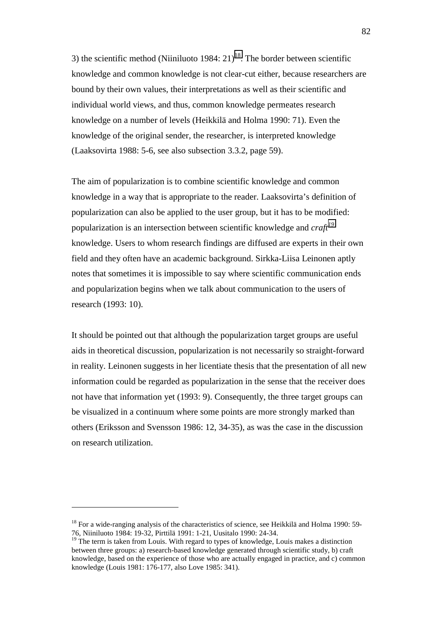3) the scientific method (Niiniluoto 1984:  $21$ )<sup>18</sup>. The border between scientific knowledge and common knowledge is not clear-cut either, because researchers are bound by their own values, their interpretations as well as their scientific and individual world views, and thus, common knowledge permeates research knowledge on a number of levels (Heikkilä and Holma 1990: 71). Even the knowledge of the original sender, the researcher, is interpreted knowledge (Laaksovirta 1988: 5-6, see also subsection 3.3.2, page 59).

The aim of popularization is to combine scientific knowledge and common knowledge in a way that is appropriate to the reader. Laaksovirta's definition of popularization can also be applied to the user group, but it has to be modified: popularization is an intersection between scientific knowledge and *craft<sup>19</sup>* knowledge. Users to whom research findings are diffused are experts in their own field and they often have an academic background. Sirkka-Liisa Leinonen aptly notes that sometimes it is impossible to say where scientific communication ends and popularization begins when we talk about communication to the users of research (1993: 10).

It should be pointed out that although the popularization target groups are useful aids in theoretical discussion, popularization is not necessarily so straight-forward in reality. Leinonen suggests in her licentiate thesis that the presentation of all new information could be regarded as popularization in the sense that the receiver does not have that information yet (1993: 9). Consequently, the three target groups can be visualized in a continuum where some points are more strongly marked than others (Eriksson and Svensson 1986: 12, 34-35), as was the case in the discussion on research utilization.

 $\overline{a}$ 

<sup>&</sup>lt;sup>18</sup> For a wide-ranging analysis of the characteristics of science, see Heikkilä and Holma 1990: 59-76, Niiniluoto 1984: 19-32, Pirttilä 1991: 1-21, Uusitalo 1990: 24-34.

 $19$ <sup>19</sup> The term is taken from Louis. With regard to types of knowledge, Louis makes a distinction between three groups: a) research-based knowledge generated through scientific study, b) craft knowledge, based on the experience of those who are actually engaged in practice, and c) common knowledge (Louis 1981: 176-177, also Love 1985: 341).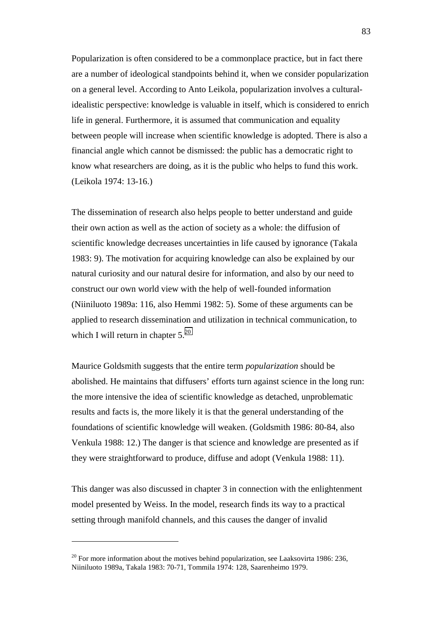Popularization is often considered to be a commonplace practice, but in fact there are a number of ideological standpoints behind it, when we consider popularization on a general level. According to Anto Leikola, popularization involves a culturalidealistic perspective: knowledge is valuable in itself, which is considered to enrich life in general. Furthermore, it is assumed that communication and equality between people will increase when scientific knowledge is adopted. There is also a financial angle which cannot be dismissed: the public has a democratic right to know what researchers are doing, as it is the public who helps to fund this work. (Leikola 1974: 13-16.)

The dissemination of research also helps people to better understand and guide their own action as well as the action of society as a whole: the diffusion of scientific knowledge decreases uncertainties in life caused by ignorance (Takala 1983: 9). The motivation for acquiring knowledge can also be explained by our natural curiosity and our natural desire for information, and also by our need to construct our own world view with the help of well-founded information (Niiniluoto 1989a: 116, also Hemmi 1982: 5). Some of these arguments can be applied to research dissemination and utilization in technical communication, to which I will return in chapter  $5.^{20}$ 

Maurice Goldsmith suggests that the entire term *popularization* should be abolished. He maintains that diffusers' efforts turn against science in the long run: the more intensive the idea of scientific knowledge as detached, unproblematic results and facts is, the more likely it is that the general understanding of the foundations of scientific knowledge will weaken. (Goldsmith 1986: 80-84, also Venkula 1988: 12.) The danger is that science and knowledge are presented as if they were straightforward to produce, diffuse and adopt (Venkula 1988: 11).

This danger was also discussed in chapter 3 in connection with the enlightenment model presented by Weiss. In the model, research finds its way to a practical setting through manifold channels, and this causes the danger of invalid

 $\overline{a}$ 

 $^{20}$  For more information about the motives behind popularization, see Laaksovirta 1986: 236, Niiniluoto 1989a, Takala 1983: 70-71, Tommila 1974: 128, Saarenheimo 1979.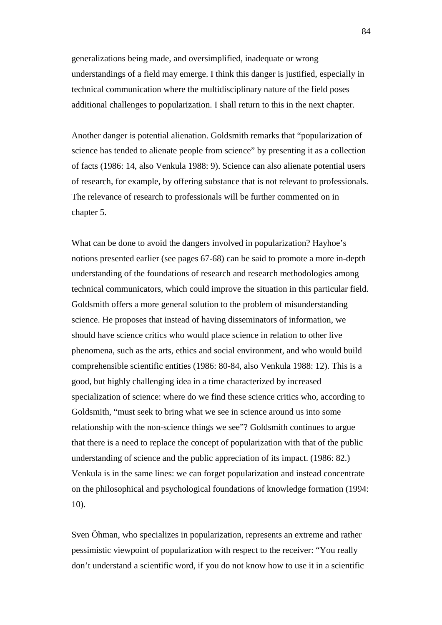generalizations being made, and oversimplified, inadequate or wrong understandings of a field may emerge. I think this danger is justified, especially in technical communication where the multidisciplinary nature of the field poses additional challenges to popularization. I shall return to this in the next chapter.

Another danger is potential alienation. Goldsmith remarks that "popularization of science has tended to alienate people from science" by presenting it as a collection of facts (1986: 14, also Venkula 1988: 9). Science can also alienate potential users of research, for example, by offering substance that is not relevant to professionals. The relevance of research to professionals will be further commented on in chapter 5.

What can be done to avoid the dangers involved in popularization? Hayhoe's notions presented earlier (see pages 67-68) can be said to promote a more in-depth understanding of the foundations of research and research methodologies among technical communicators, which could improve the situation in this particular field. Goldsmith offers a more general solution to the problem of misunderstanding science. He proposes that instead of having disseminators of information, we should have science critics who would place science in relation to other live phenomena, such as the arts, ethics and social environment, and who would build comprehensible scientific entities (1986: 80-84, also Venkula 1988: 12). This is a good, but highly challenging idea in a time characterized by increased specialization of science: where do we find these science critics who, according to Goldsmith, "must seek to bring what we see in science around us into some relationship with the non-science things we see"? Goldsmith continues to argue that there is a need to replace the concept of popularization with that of the public understanding of science and the public appreciation of its impact. (1986: 82.) Venkula is in the same lines: we can forget popularization and instead concentrate on the philosophical and psychological foundations of knowledge formation (1994: 10).

Sven Öhman, who specializes in popularization, represents an extreme and rather pessimistic viewpoint of popularization with respect to the receiver: "You really don't understand a scientific word, if you do not know how to use it in a scientific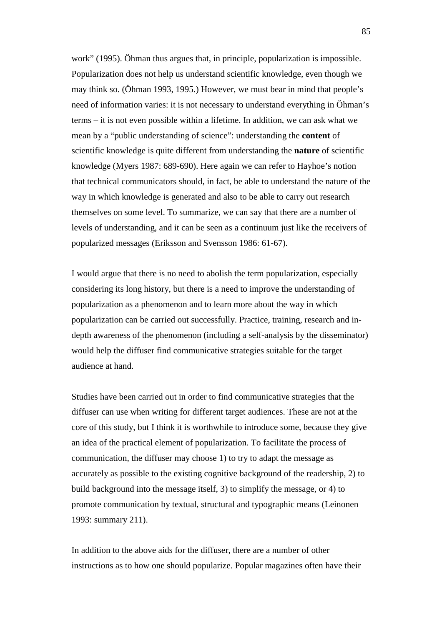work" (1995). Öhman thus argues that, in principle, popularization is impossible. Popularization does not help us understand scientific knowledge, even though we may think so. (Öhman 1993, 1995.) However, we must bear in mind that people's need of information varies: it is not necessary to understand everything in Öhman's terms – it is not even possible within a lifetime. In addition, we can ask what we mean by a "public understanding of science": understanding the **content** of scientific knowledge is quite different from understanding the **nature** of scientific knowledge (Myers 1987: 689-690). Here again we can refer to Hayhoe's notion that technical communicators should, in fact, be able to understand the nature of the way in which knowledge is generated and also to be able to carry out research themselves on some level. To summarize, we can say that there are a number of levels of understanding, and it can be seen as a continuum just like the receivers of popularized messages (Eriksson and Svensson 1986: 61-67).

I would argue that there is no need to abolish the term popularization, especially considering its long history, but there is a need to improve the understanding of popularization as a phenomenon and to learn more about the way in which popularization can be carried out successfully. Practice, training, research and indepth awareness of the phenomenon (including a self-analysis by the disseminator) would help the diffuser find communicative strategies suitable for the target audience at hand.

Studies have been carried out in order to find communicative strategies that the diffuser can use when writing for different target audiences. These are not at the core of this study, but I think it is worthwhile to introduce some, because they give an idea of the practical element of popularization. To facilitate the process of communication, the diffuser may choose 1) to try to adapt the message as accurately as possible to the existing cognitive background of the readership, 2) to build background into the message itself, 3) to simplify the message, or 4) to promote communication by textual, structural and typographic means (Leinonen 1993: summary 211).

In addition to the above aids for the diffuser, there are a number of other instructions as to how one should popularize. Popular magazines often have their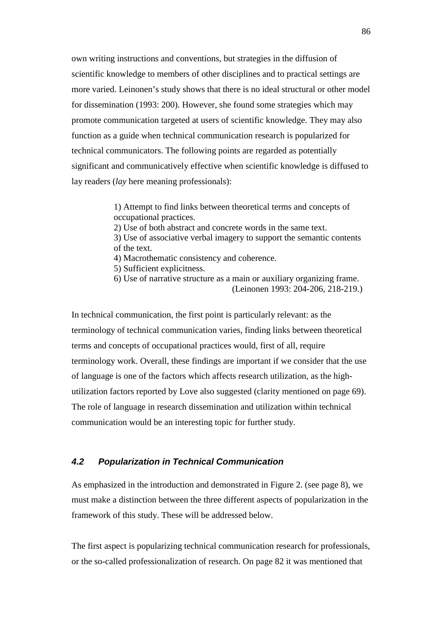own writing instructions and conventions, but strategies in the diffusion of scientific knowledge to members of other disciplines and to practical settings are more varied. Leinonen's study shows that there is no ideal structural or other model for dissemination (1993: 200). However, she found some strategies which may promote communication targeted at users of scientific knowledge. They may also function as a guide when technical communication research is popularized for technical communicators. The following points are regarded as potentially significant and communicatively effective when scientific knowledge is diffused to lay readers (*lay* here meaning professionals):

> 1) Attempt to find links between theoretical terms and concepts of occupational practices.

2) Use of both abstract and concrete words in the same text.

3) Use of associative verbal imagery to support the semantic contents of the text.

- 4) Macrothematic consistency and coherence.
- 5) Sufficient explicitness.

6) Use of narrative structure as a main or auxiliary organizing frame. (Leinonen 1993: 204-206, 218-219.)

In technical communication, the first point is particularly relevant: as the terminology of technical communication varies, finding links between theoretical terms and concepts of occupational practices would, first of all, require terminology work. Overall, these findings are important if we consider that the use of language is one of the factors which affects research utilization, as the highutilization factors reported by Love also suggested (clarity mentioned on page 69). The role of language in research dissemination and utilization within technical communication would be an interesting topic for further study.

# **4.2 Popularization in Technical Communication**

As emphasized in the introduction and demonstrated in Figure 2. (see page 8), we must make a distinction between the three different aspects of popularization in the framework of this study. These will be addressed below.

The first aspect is popularizing technical communication research for professionals, or the so-called professionalization of research. On page 82 it was mentioned that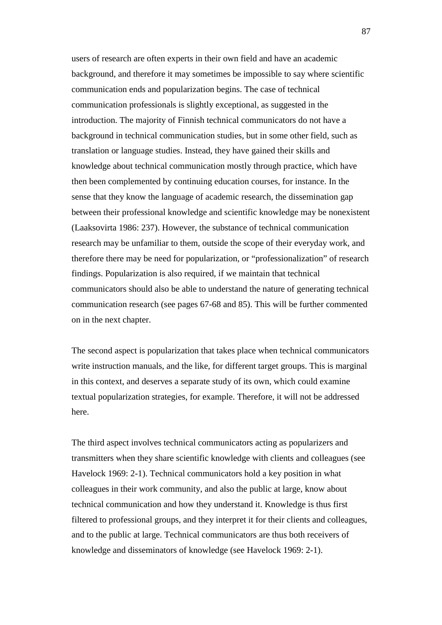users of research are often experts in their own field and have an academic background, and therefore it may sometimes be impossible to say where scientific communication ends and popularization begins. The case of technical communication professionals is slightly exceptional, as suggested in the introduction. The majority of Finnish technical communicators do not have a background in technical communication studies, but in some other field, such as translation or language studies. Instead, they have gained their skills and knowledge about technical communication mostly through practice, which have then been complemented by continuing education courses, for instance. In the sense that they know the language of academic research, the dissemination gap between their professional knowledge and scientific knowledge may be nonexistent (Laaksovirta 1986: 237). However, the substance of technical communication research may be unfamiliar to them, outside the scope of their everyday work, and therefore there may be need for popularization, or "professionalization" of research findings. Popularization is also required, if we maintain that technical communicators should also be able to understand the nature of generating technical communication research (see pages 67-68 and 85). This will be further commented on in the next chapter.

The second aspect is popularization that takes place when technical communicators write instruction manuals, and the like, for different target groups. This is marginal in this context, and deserves a separate study of its own, which could examine textual popularization strategies, for example. Therefore, it will not be addressed here.

The third aspect involves technical communicators acting as popularizers and transmitters when they share scientific knowledge with clients and colleagues (see Havelock 1969: 2-1). Technical communicators hold a key position in what colleagues in their work community, and also the public at large, know about technical communication and how they understand it. Knowledge is thus first filtered to professional groups, and they interpret it for their clients and colleagues, and to the public at large. Technical communicators are thus both receivers of knowledge and disseminators of knowledge (see Havelock 1969: 2-1).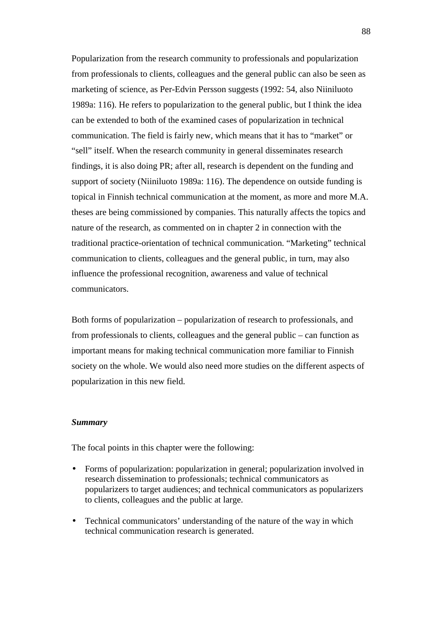Popularization from the research community to professionals and popularization from professionals to clients, colleagues and the general public can also be seen as marketing of science, as Per-Edvin Persson suggests (1992: 54, also Niiniluoto 1989a: 116). He refers to popularization to the general public, but I think the idea can be extended to both of the examined cases of popularization in technical communication. The field is fairly new, which means that it has to "market" or "sell" itself. When the research community in general disseminates research findings, it is also doing PR; after all, research is dependent on the funding and support of society (Niiniluoto 1989a: 116). The dependence on outside funding is topical in Finnish technical communication at the moment, as more and more M.A. theses are being commissioned by companies. This naturally affects the topics and nature of the research, as commented on in chapter 2 in connection with the traditional practice-orientation of technical communication. "Marketing" technical communication to clients, colleagues and the general public, in turn, may also influence the professional recognition, awareness and value of technical communicators.

Both forms of popularization – popularization of research to professionals, and from professionals to clients, colleagues and the general public – can function as important means for making technical communication more familiar to Finnish society on the whole. We would also need more studies on the different aspects of popularization in this new field.

#### *Summary*

The focal points in this chapter were the following:

- Forms of popularization: popularization in general; popularization involved in research dissemination to professionals; technical communicators as popularizers to target audiences; and technical communicators as popularizers to clients, colleagues and the public at large.
- Technical communicators' understanding of the nature of the way in which technical communication research is generated.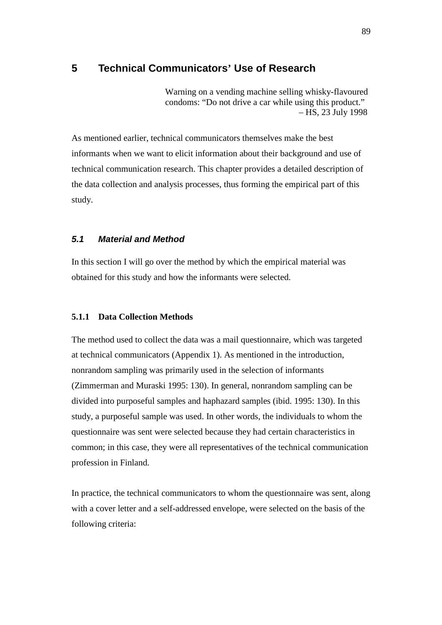# **5 Technical Communicators' Use of Research**

 Warning on a vending machine selling whisky-flavoured condoms: "Do not drive a car while using this product." – HS, 23 July 1998

As mentioned earlier, technical communicators themselves make the best informants when we want to elicit information about their background and use of technical communication research. This chapter provides a detailed description of the data collection and analysis processes, thus forming the empirical part of this study.

# **5.1 Material and Method**

In this section I will go over the method by which the empirical material was obtained for this study and how the informants were selected.

### **5.1.1 Data Collection Methods**

The method used to collect the data was a mail questionnaire, which was targeted at technical communicators (Appendix 1). As mentioned in the introduction, nonrandom sampling was primarily used in the selection of informants (Zimmerman and Muraski 1995: 130). In general, nonrandom sampling can be divided into purposeful samples and haphazard samples (ibid. 1995: 130). In this study, a purposeful sample was used. In other words, the individuals to whom the questionnaire was sent were selected because they had certain characteristics in common; in this case, they were all representatives of the technical communication profession in Finland.

In practice, the technical communicators to whom the questionnaire was sent, along with a cover letter and a self-addressed envelope, were selected on the basis of the following criteria: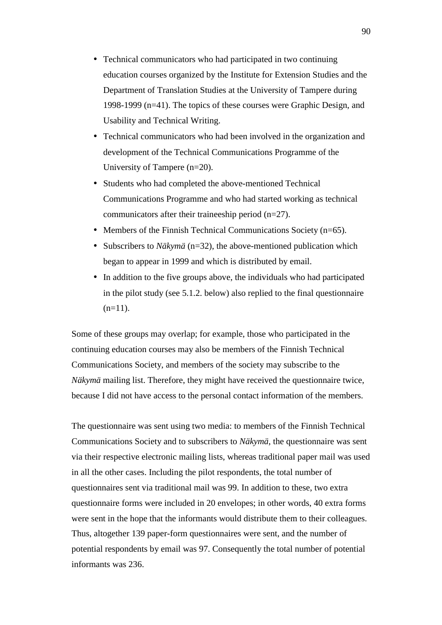- Technical communicators who had participated in two continuing education courses organized by the Institute for Extension Studies and the Department of Translation Studies at the University of Tampere during 1998-1999 (n=41). The topics of these courses were Graphic Design, and Usability and Technical Writing.
- Technical communicators who had been involved in the organization and development of the Technical Communications Programme of the University of Tampere (n=20).
- Students who had completed the above-mentioned Technical Communications Programme and who had started working as technical communicators after their traineeship period (n=27).
- Members of the Finnish Technical Communications Society (n=65).
- Subscribers to *Näkymä* (n=32), the above-mentioned publication which began to appear in 1999 and which is distributed by email.
- In addition to the five groups above, the individuals who had participated in the pilot study (see 5.1.2. below) also replied to the final questionnaire  $(n=11)$ .

Some of these groups may overlap; for example, those who participated in the continuing education courses may also be members of the Finnish Technical Communications Society, and members of the society may subscribe to the *Näkymä* mailing list. Therefore, they might have received the questionnaire twice, because I did not have access to the personal contact information of the members.

The questionnaire was sent using two media: to members of the Finnish Technical Communications Society and to subscribers to *Näkymä*, the questionnaire was sent via their respective electronic mailing lists, whereas traditional paper mail was used in all the other cases. Including the pilot respondents, the total number of questionnaires sent via traditional mail was 99. In addition to these, two extra questionnaire forms were included in 20 envelopes; in other words, 40 extra forms were sent in the hope that the informants would distribute them to their colleagues. Thus, altogether 139 paper-form questionnaires were sent, and the number of potential respondents by email was 97. Consequently the total number of potential informants was 236.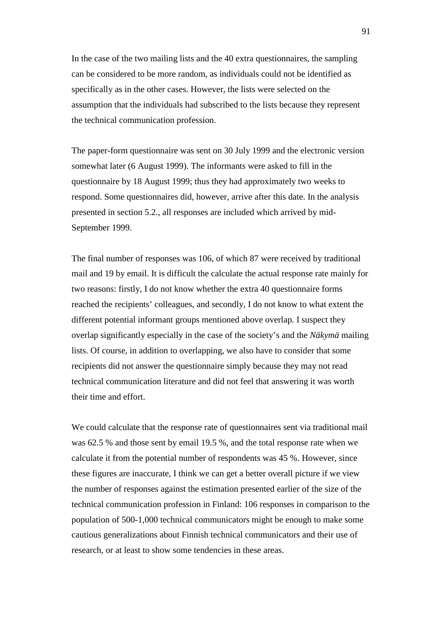In the case of the two mailing lists and the 40 extra questionnaires, the sampling can be considered to be more random, as individuals could not be identified as specifically as in the other cases. However, the lists were selected on the assumption that the individuals had subscribed to the lists because they represent the technical communication profession.

The paper-form questionnaire was sent on 30 July 1999 and the electronic version somewhat later (6 August 1999). The informants were asked to fill in the questionnaire by 18 August 1999; thus they had approximately two weeks to respond. Some questionnaires did, however, arrive after this date. In the analysis presented in section 5.2., all responses are included which arrived by mid-September 1999.

The final number of responses was 106, of which 87 were received by traditional mail and 19 by email. It is difficult the calculate the actual response rate mainly for two reasons: firstly, I do not know whether the extra 40 questionnaire forms reached the recipients' colleagues, and secondly, I do not know to what extent the different potential informant groups mentioned above overlap. I suspect they overlap significantly especially in the case of the society's and the *Näkymä* mailing lists. Of course, in addition to overlapping, we also have to consider that some recipients did not answer the questionnaire simply because they may not read technical communication literature and did not feel that answering it was worth their time and effort.

We could calculate that the response rate of questionnaires sent via traditional mail was 62.5 % and those sent by email 19.5 %, and the total response rate when we calculate it from the potential number of respondents was 45 %. However, since these figures are inaccurate, I think we can get a better overall picture if we view the number of responses against the estimation presented earlier of the size of the technical communication profession in Finland: 106 responses in comparison to the population of 500-1,000 technical communicators might be enough to make some cautious generalizations about Finnish technical communicators and their use of research, or at least to show some tendencies in these areas.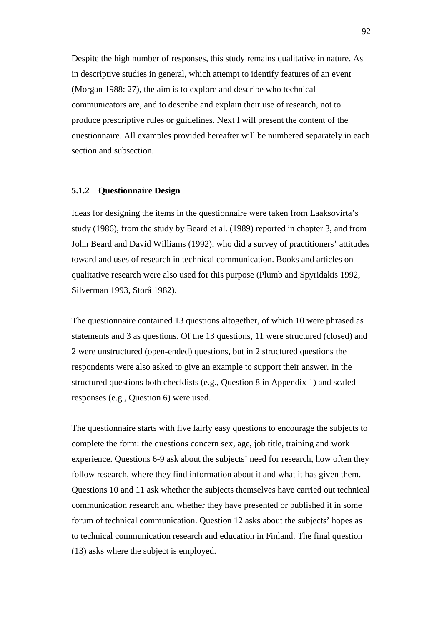Despite the high number of responses, this study remains qualitative in nature. As in descriptive studies in general, which attempt to identify features of an event (Morgan 1988: 27), the aim is to explore and describe who technical communicators are, and to describe and explain their use of research, not to produce prescriptive rules or guidelines. Next I will present the content of the questionnaire. All examples provided hereafter will be numbered separately in each section and subsection.

## **5.1.2 Questionnaire Design**

Ideas for designing the items in the questionnaire were taken from Laaksovirta's study (1986), from the study by Beard et al. (1989) reported in chapter 3, and from John Beard and David Williams (1992), who did a survey of practitioners' attitudes toward and uses of research in technical communication. Books and articles on qualitative research were also used for this purpose (Plumb and Spyridakis 1992, Silverman 1993, Storå 1982).

The questionnaire contained 13 questions altogether, of which 10 were phrased as statements and 3 as questions. Of the 13 questions, 11 were structured (closed) and 2 were unstructured (open-ended) questions, but in 2 structured questions the respondents were also asked to give an example to support their answer. In the structured questions both checklists (e.g., Question 8 in Appendix 1) and scaled responses (e.g., Question 6) were used.

The questionnaire starts with five fairly easy questions to encourage the subjects to complete the form: the questions concern sex, age, job title, training and work experience. Questions 6-9 ask about the subjects' need for research, how often they follow research, where they find information about it and what it has given them. Questions 10 and 11 ask whether the subjects themselves have carried out technical communication research and whether they have presented or published it in some forum of technical communication. Question 12 asks about the subjects' hopes as to technical communication research and education in Finland. The final question (13) asks where the subject is employed.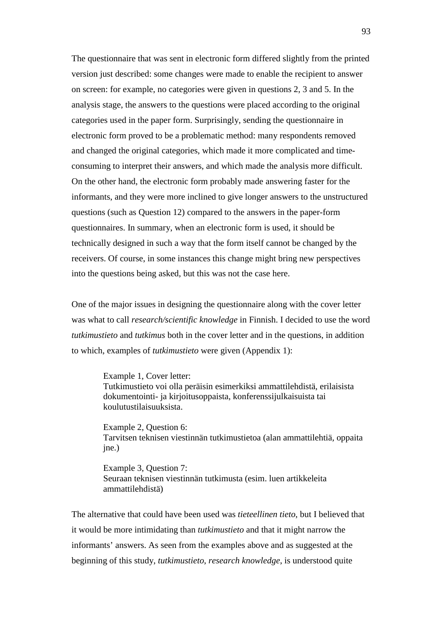The questionnaire that was sent in electronic form differed slightly from the printed version just described: some changes were made to enable the recipient to answer on screen: for example, no categories were given in questions 2, 3 and 5. In the analysis stage, the answers to the questions were placed according to the original categories used in the paper form. Surprisingly, sending the questionnaire in electronic form proved to be a problematic method: many respondents removed and changed the original categories, which made it more complicated and timeconsuming to interpret their answers, and which made the analysis more difficult. On the other hand, the electronic form probably made answering faster for the informants, and they were more inclined to give longer answers to the unstructured questions (such as Question 12) compared to the answers in the paper-form questionnaires. In summary, when an electronic form is used, it should be technically designed in such a way that the form itself cannot be changed by the receivers. Of course, in some instances this change might bring new perspectives into the questions being asked, but this was not the case here.

One of the major issues in designing the questionnaire along with the cover letter was what to call *research/scientific knowledge* in Finnish. I decided to use the word *tutkimustieto* and *tutkimus* both in the cover letter and in the questions, in addition to which, examples of *tutkimustieto* were given (Appendix 1):

> Example 1, Cover letter: Tutkimustieto voi olla peräisin esimerkiksi ammattilehdistä, erilaisista dokumentointi- ja kirjoitusoppaista, konferenssijulkaisuista tai koulutustilaisuuksista.

Example 2, Question 6: Tarvitsen teknisen viestinnän tutkimustietoa (alan ammattilehtiä, oppaita jne.)

Example 3, Question 7: Seuraan teknisen viestinnän tutkimusta (esim. luen artikkeleita ammattilehdistä)

The alternative that could have been used was *tieteellinen tieto*, but I believed that it would be more intimidating than *tutkimustieto* and that it might narrow the informants' answers. As seen from the examples above and as suggested at the beginning of this study, *tutkimustieto*, *research knowledge*, is understood quite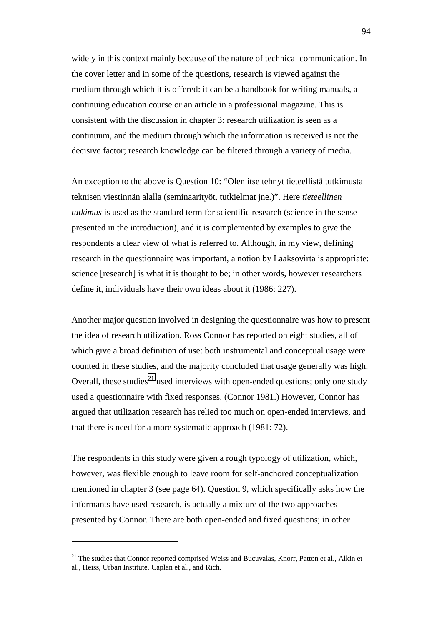widely in this context mainly because of the nature of technical communication. In the cover letter and in some of the questions, research is viewed against the medium through which it is offered: it can be a handbook for writing manuals, a continuing education course or an article in a professional magazine. This is consistent with the discussion in chapter 3: research utilization is seen as a continuum, and the medium through which the information is received is not the decisive factor; research knowledge can be filtered through a variety of media.

An exception to the above is Question 10: "Olen itse tehnyt tieteellistä tutkimusta teknisen viestinnän alalla (seminaarityöt, tutkielmat jne.)". Here *tieteellinen tutkimus* is used as the standard term for scientific research (science in the sense presented in the introduction), and it is complemented by examples to give the respondents a clear view of what is referred to. Although, in my view, defining research in the questionnaire was important, a notion by Laaksovirta is appropriate: science [research] is what it is thought to be; in other words, however researchers define it, individuals have their own ideas about it (1986: 227).

Another major question involved in designing the questionnaire was how to present the idea of research utilization. Ross Connor has reported on eight studies, all of which give a broad definition of use: both instrumental and conceptual usage were counted in these studies, and the majority concluded that usage generally was high. Overall, these studies<sup>21</sup> used interviews with open-ended questions; only one study used a questionnaire with fixed responses. (Connor 1981.) However, Connor has argued that utilization research has relied too much on open-ended interviews, and that there is need for a more systematic approach (1981: 72).

The respondents in this study were given a rough typology of utilization, which, however, was flexible enough to leave room for self-anchored conceptualization mentioned in chapter 3 (see page 64). Question 9, which specifically asks how the informants have used research, is actually a mixture of the two approaches presented by Connor. There are both open-ended and fixed questions; in other

 $\overline{a}$ 

 $21$  The studies that Connor reported comprised Weiss and Bucuvalas, Knorr, Patton et al., Alkin et al., Heiss, Urban Institute, Caplan et al., and Rich.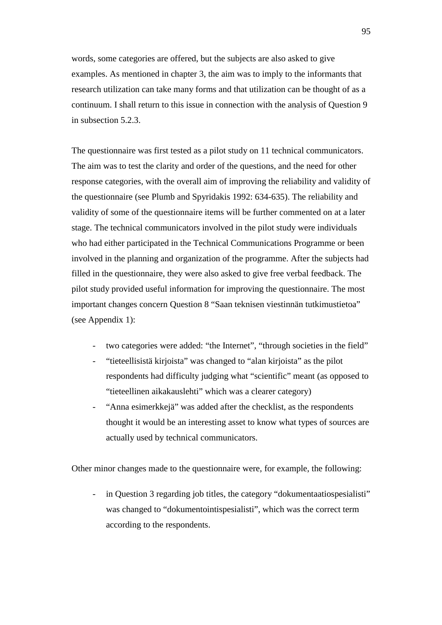words, some categories are offered, but the subjects are also asked to give examples. As mentioned in chapter 3, the aim was to imply to the informants that research utilization can take many forms and that utilization can be thought of as a continuum. I shall return to this issue in connection with the analysis of Question 9 in subsection 5.2.3.

The questionnaire was first tested as a pilot study on 11 technical communicators. The aim was to test the clarity and order of the questions, and the need for other response categories, with the overall aim of improving the reliability and validity of the questionnaire (see Plumb and Spyridakis 1992: 634-635). The reliability and validity of some of the questionnaire items will be further commented on at a later stage. The technical communicators involved in the pilot study were individuals who had either participated in the Technical Communications Programme or been involved in the planning and organization of the programme. After the subjects had filled in the questionnaire, they were also asked to give free verbal feedback. The pilot study provided useful information for improving the questionnaire. The most important changes concern Question 8 "Saan teknisen viestinnän tutkimustietoa" (see Appendix 1):

- two categories were added: "the Internet", "through societies in the field"
- "tieteellisistä kirjoista" was changed to "alan kirjoista" as the pilot respondents had difficulty judging what "scientific" meant (as opposed to "tieteellinen aikakauslehti" which was a clearer category)
- "Anna esimerkkejä" was added after the checklist, as the respondents thought it would be an interesting asset to know what types of sources are actually used by technical communicators.

Other minor changes made to the questionnaire were, for example, the following:

in Question 3 regarding job titles, the category "dokumentaatiospesialisti" was changed to "dokumentointispesialisti", which was the correct term according to the respondents.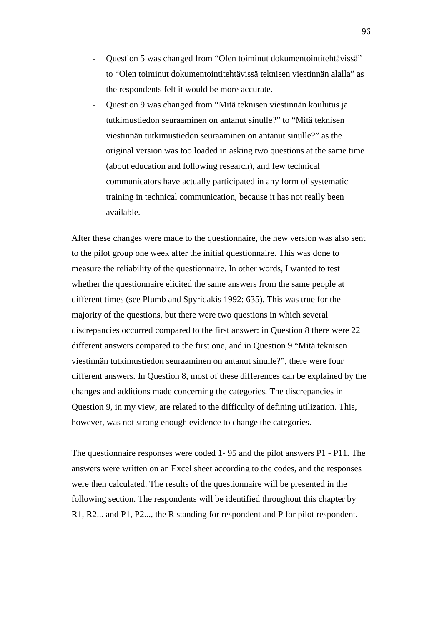- Question 5 was changed from "Olen toiminut dokumentointitehtävissä" to "Olen toiminut dokumentointitehtävissä teknisen viestinnän alalla" as the respondents felt it would be more accurate.
- Question 9 was changed from "Mitä teknisen viestinnän koulutus ja tutkimustiedon seuraaminen on antanut sinulle?" to "Mitä teknisen viestinnän tutkimustiedon seuraaminen on antanut sinulle?" as the original version was too loaded in asking two questions at the same time (about education and following research), and few technical communicators have actually participated in any form of systematic training in technical communication, because it has not really been available.

After these changes were made to the questionnaire, the new version was also sent to the pilot group one week after the initial questionnaire. This was done to measure the reliability of the questionnaire. In other words, I wanted to test whether the questionnaire elicited the same answers from the same people at different times (see Plumb and Spyridakis 1992: 635). This was true for the majority of the questions, but there were two questions in which several discrepancies occurred compared to the first answer: in Question 8 there were 22 different answers compared to the first one, and in Question 9 "Mitä teknisen viestinnän tutkimustiedon seuraaminen on antanut sinulle?", there were four different answers. In Question 8, most of these differences can be explained by the changes and additions made concerning the categories*.* The discrepancies in Question 9, in my view, are related to the difficulty of defining utilization. This, however, was not strong enough evidence to change the categories.

The questionnaire responses were coded 1- 95 and the pilot answers P1 - P11. The answers were written on an Excel sheet according to the codes, and the responses were then calculated. The results of the questionnaire will be presented in the following section. The respondents will be identified throughout this chapter by R1, R2... and P1, P2..., the R standing for respondent and P for pilot respondent.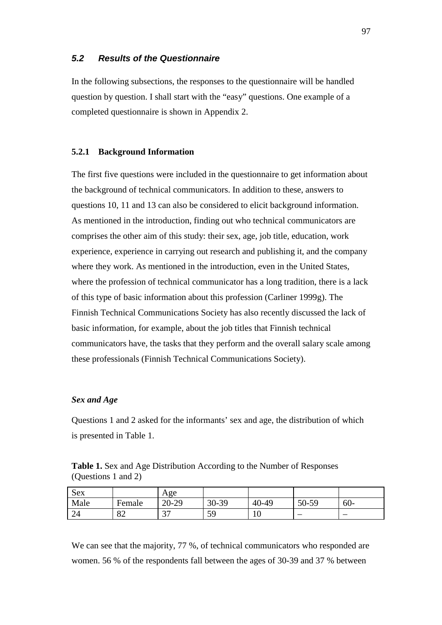## **5.2 Results of the Questionnaire**

In the following subsections, the responses to the questionnaire will be handled question by question. I shall start with the "easy" questions. One example of a completed questionnaire is shown in Appendix 2.

## **5.2.1 Background Information**

The first five questions were included in the questionnaire to get information about the background of technical communicators. In addition to these, answers to questions 10, 11 and 13 can also be considered to elicit background information. As mentioned in the introduction, finding out who technical communicators are comprises the other aim of this study: their sex, age, job title, education, work experience, experience in carrying out research and publishing it, and the company where they work. As mentioned in the introduction, even in the United States, where the profession of technical communicator has a long tradition, there is a lack of this type of basic information about this profession (Carliner 1999g). The Finnish Technical Communications Society has also recently discussed the lack of basic information, for example, about the job titles that Finnish technical communicators have, the tasks that they perform and the overall salary scale among these professionals (Finnish Technical Communications Society).

#### *Sex and Age*

Questions 1 and 2 asked for the informants' sex and age, the distribution of which is presented in Table 1.

**Table 1.** Sex and Age Distribution According to the Number of Responses (Questions 1 and 2)

| Sex  |        | Age                           |       |         |                          |        |
|------|--------|-------------------------------|-------|---------|--------------------------|--------|
| Male | Female | $20 - 29$                     | 30-39 | $40-49$ | 50-59                    | $60 -$ |
| 24   | 82     | $\overline{\phantom{a}}$<br>◡ | 59    | 10      | $\overline{\phantom{a}}$ |        |

We can see that the majority, 77 %, of technical communicators who responded are women. 56 % of the respondents fall between the ages of 30-39 and 37 % between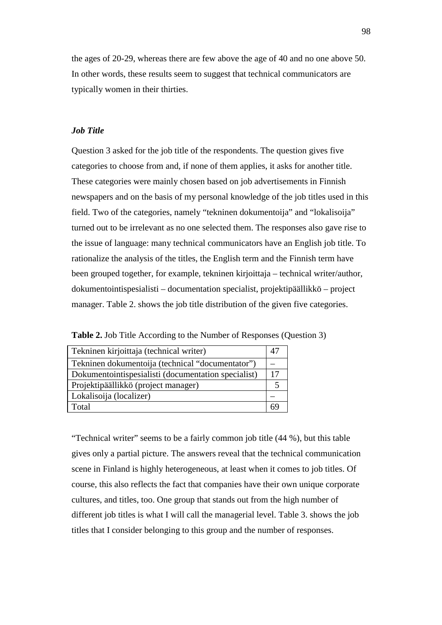the ages of 20-29, whereas there are few above the age of 40 and no one above 50. In other words, these results seem to suggest that technical communicators are typically women in their thirties.

## *Job Title*

Question 3 asked for the job title of the respondents. The question gives five categories to choose from and, if none of them applies, it asks for another title. These categories were mainly chosen based on job advertisements in Finnish newspapers and on the basis of my personal knowledge of the job titles used in this field. Two of the categories, namely "tekninen dokumentoija" and "lokalisoija" turned out to be irrelevant as no one selected them. The responses also gave rise to the issue of language: many technical communicators have an English job title. To rationalize the analysis of the titles, the English term and the Finnish term have been grouped together, for example, tekninen kirjoittaja – technical writer/author, dokumentointispesialisti – documentation specialist, projektipäällikkö – project manager. Table 2. shows the job title distribution of the given five categories.

**Table 2.** Job Title According to the Number of Responses (Question 3)

| Tekninen kirjoittaja (technical writer)             | 4 |
|-----------------------------------------------------|---|
| Tekninen dokumentoija (technical "documentator")    |   |
| Dokumentointispesialisti (documentation specialist) |   |
| Projektipäällikkö (project manager)                 |   |
| Lokalisoija (localizer)                             |   |
| Total                                               |   |

"Technical writer" seems to be a fairly common job title (44 %), but this table gives only a partial picture. The answers reveal that the technical communication scene in Finland is highly heterogeneous, at least when it comes to job titles. Of course, this also reflects the fact that companies have their own unique corporate cultures, and titles, too. One group that stands out from the high number of different job titles is what I will call the managerial level. Table 3. shows the job titles that I consider belonging to this group and the number of responses.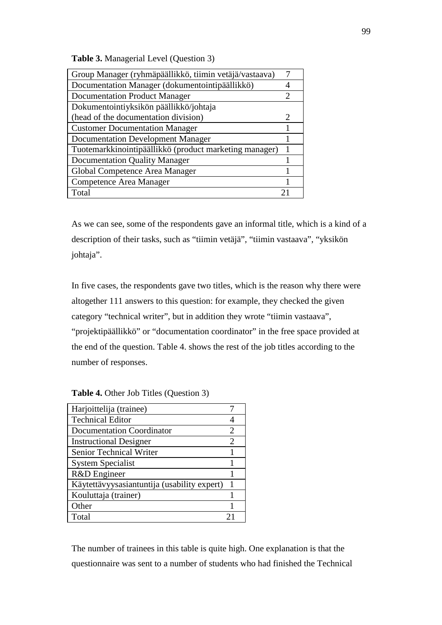**Table 3.** Managerial Level (Question 3)

| Group Manager (ryhmäpäällikkö, tiimin vetäjä/vastaava) | 7 |
|--------------------------------------------------------|---|
| Documentation Manager (dokumentointipäällikkö)         |   |
| <b>Documentation Product Manager</b>                   | 2 |
| Dokumentointiyksikön päällikkö/johtaja                 |   |
| (head of the documentation division)                   |   |
| <b>Customer Documentation Manager</b>                  |   |
| <b>Documentation Development Manager</b>               |   |
| Tuotemarkkinointipäällikkö (product marketing manager) | 1 |
| <b>Documentation Quality Manager</b>                   |   |
| Global Competence Area Manager                         |   |
| Competence Area Manager                                |   |
| Total                                                  |   |
|                                                        |   |

As we can see, some of the respondents gave an informal title, which is a kind of a description of their tasks, such as "tiimin vetäjä", "tiimin vastaava", "yksikön johtaja".

In five cases, the respondents gave two titles, which is the reason why there were altogether 111 answers to this question: for example, they checked the given category "technical writer", but in addition they wrote "tiimin vastaava", "projektipäällikkö" or "documentation coordinator" in the free space provided at the end of the question. Table 4. shows the rest of the job titles according to the number of responses.

# **Table 4.** Other Job Titles (Question 3)

| Harjoittelija (trainee)                     |   |
|---------------------------------------------|---|
| <b>Technical Editor</b>                     |   |
| <b>Documentation Coordinator</b>            | 2 |
| <b>Instructional Designer</b>               | 2 |
| <b>Senior Technical Writer</b>              |   |
| <b>System Specialist</b>                    | 1 |
| R&D Engineer                                |   |
| Käytettävyysasiantuntija (usability expert) | 1 |
| Kouluttaja (trainer)                        |   |
| Other                                       |   |
| Total                                       |   |

The number of trainees in this table is quite high. One explanation is that the questionnaire was sent to a number of students who had finished the Technical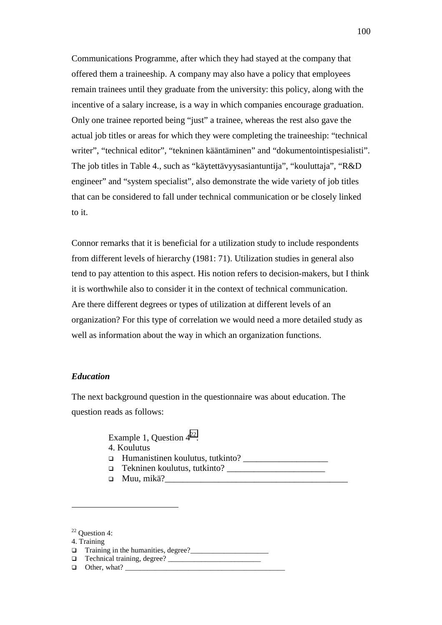Communications Programme, after which they had stayed at the company that offered them a traineeship. A company may also have a policy that employees remain trainees until they graduate from the university: this policy, along with the incentive of a salary increase, is a way in which companies encourage graduation. Only one trainee reported being "just" a trainee, whereas the rest also gave the actual job titles or areas for which they were completing the traineeship: "technical writer", "technical editor", "tekninen kääntäminen" and "dokumentointispesialisti". The job titles in Table 4., such as "käytettävyysasiantuntija", "kouluttaja", "R&D engineer" and "system specialist", also demonstrate the wide variety of job titles that can be considered to fall under technical communication or be closely linked to it.

Connor remarks that it is beneficial for a utilization study to include respondents from different levels of hierarchy (1981: 71). Utilization studies in general also tend to pay attention to this aspect. His notion refers to decision-makers, but I think it is worthwhile also to consider it in the context of technical communication. Are there different degrees or types of utilization at different levels of an organization? For this type of correlation we would need a more detailed study as well as information about the way in which an organization functions.

#### *Education*

The next background question in the questionnaire was about education. The question reads as follows:

Example 1, Ouestion  $4^{22}$ :

- 4. Koulutus
- $\Box$  Humanistinen koulutus, tutkinto?
- $\Box$  Tekninen koulutus, tutkinto?
- $\Box$  Muu, mikä?

 $22$  Ouestion 4:

4. Training

 $\overline{a}$ 

<sup>!</sup> Training in the humanities, degree?\_\_\_\_\_\_\_\_\_\_\_\_\_\_\_\_\_\_\_\_\_

<sup>!</sup> Technical training, degree? \_\_\_\_\_\_\_\_\_\_\_\_\_\_\_\_\_\_\_\_\_\_\_\_\_

 $\Box$  Other, what?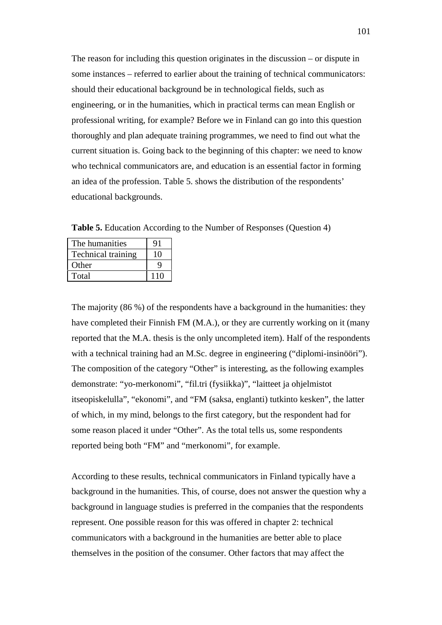The reason for including this question originates in the discussion – or dispute in some instances – referred to earlier about the training of technical communicators: should their educational background be in technological fields, such as engineering, or in the humanities, which in practical terms can mean English or professional writing, for example? Before we in Finland can go into this question thoroughly and plan adequate training programmes, we need to find out what the current situation is. Going back to the beginning of this chapter: we need to know who technical communicators are, and education is an essential factor in forming an idea of the profession. Table 5. shows the distribution of the respondents' educational backgrounds.

**Table 5.** Education According to the Number of Responses (Question 4)

| The humanities            | 91  |
|---------------------------|-----|
| <b>Technical training</b> | 10  |
| Other                     |     |
| Total                     | 110 |

The majority (86 %) of the respondents have a background in the humanities: they have completed their Finnish FM (M.A.), or they are currently working on it (many reported that the M.A. thesis is the only uncompleted item). Half of the respondents with a technical training had an M.Sc. degree in engineering ("diplomi-insinööri"). The composition of the category "Other" is interesting, as the following examples demonstrate: "yo-merkonomi", "fil.tri (fysiikka)", "laitteet ja ohjelmistot itseopiskelulla", "ekonomi", and "FM (saksa, englanti) tutkinto kesken", the latter of which, in my mind, belongs to the first category, but the respondent had for some reason placed it under "Other". As the total tells us, some respondents reported being both "FM" and "merkonomi", for example.

According to these results, technical communicators in Finland typically have a background in the humanities. This, of course, does not answer the question why a background in language studies is preferred in the companies that the respondents represent. One possible reason for this was offered in chapter 2: technical communicators with a background in the humanities are better able to place themselves in the position of the consumer. Other factors that may affect the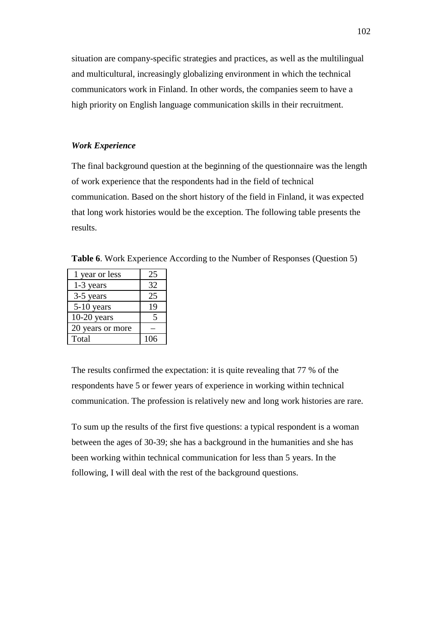situation are company-specific strategies and practices, as well as the multilingual and multicultural, increasingly globalizing environment in which the technical communicators work in Finland. In other words, the companies seem to have a high priority on English language communication skills in their recruitment.

## *Work Experience*

The final background question at the beginning of the questionnaire was the length of work experience that the respondents had in the field of technical communication. Based on the short history of the field in Finland, it was expected that long work histories would be the exception. The following table presents the results.

**Table 6**. Work Experience According to the Number of Responses (Question 5)

| 1 year or less   | 25  |
|------------------|-----|
| 1-3 years        | 32  |
| 3-5 years        | 25  |
| $5-10$ years     | 19  |
| $10-20$ years    | 5   |
| 20 years or more |     |
| Total            | 106 |

The results confirmed the expectation: it is quite revealing that 77 % of the respondents have 5 or fewer years of experience in working within technical communication. The profession is relatively new and long work histories are rare.

To sum up the results of the first five questions: a typical respondent is a woman between the ages of 30-39; she has a background in the humanities and she has been working within technical communication for less than 5 years. In the following, I will deal with the rest of the background questions.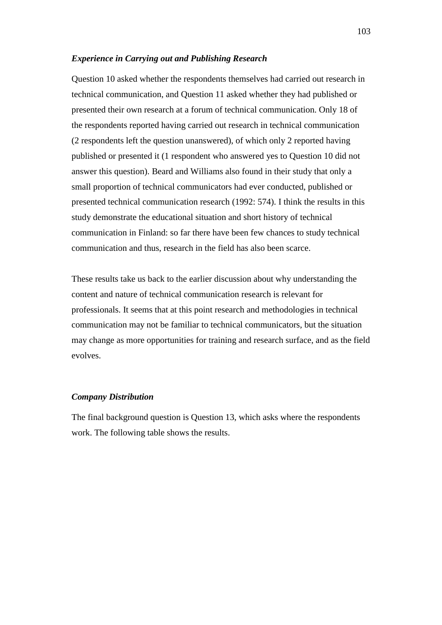## *Experience in Carrying out and Publishing Research*

Question 10 asked whether the respondents themselves had carried out research in technical communication, and Question 11 asked whether they had published or presented their own research at a forum of technical communication. Only 18 of the respondents reported having carried out research in technical communication (2 respondents left the question unanswered), of which only 2 reported having published or presented it (1 respondent who answered yes to Question 10 did not answer this question). Beard and Williams also found in their study that only a small proportion of technical communicators had ever conducted, published or presented technical communication research (1992: 574). I think the results in this study demonstrate the educational situation and short history of technical communication in Finland: so far there have been few chances to study technical communication and thus, research in the field has also been scarce.

These results take us back to the earlier discussion about why understanding the content and nature of technical communication research is relevant for professionals. It seems that at this point research and methodologies in technical communication may not be familiar to technical communicators, but the situation may change as more opportunities for training and research surface, and as the field evolves.

#### *Company Distribution*

The final background question is Question 13, which asks where the respondents work. The following table shows the results.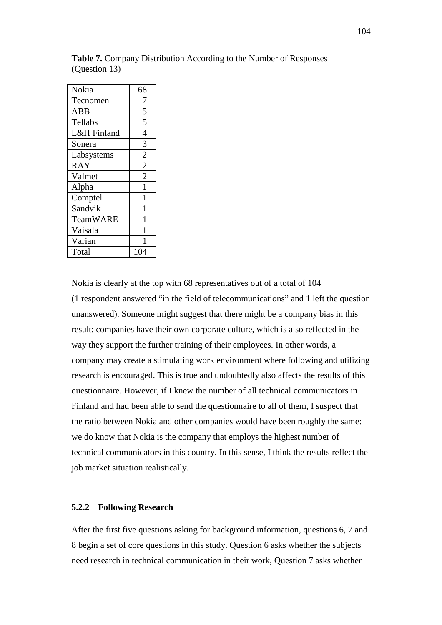| Nokia                  | 68             |
|------------------------|----------------|
| Tecnomen               | 7              |
| <b>ABB</b>             | 5              |
| Tellabs                | 5              |
| <b>L&amp;H</b> Finland | $\overline{4}$ |
| Sonera                 | 3              |
| Labsystems             | $\overline{2}$ |
| <b>RAY</b>             | $\overline{2}$ |
| Valmet                 | $\overline{2}$ |
| Alpha                  | 1              |
| Comptel                | $\mathbf{1}$   |
| Sandvik                | 1              |
| <b>TeamWARE</b>        | 1              |
| Vaisala                | 1              |
| Varian                 |                |
| Total                  | 104            |

**Table 7.** Company Distribution According to the Number of Responses (Question 13)

Nokia is clearly at the top with 68 representatives out of a total of 104 (1 respondent answered "in the field of telecommunications" and 1 left the question unanswered). Someone might suggest that there might be a company bias in this result: companies have their own corporate culture, which is also reflected in the way they support the further training of their employees. In other words, a company may create a stimulating work environment where following and utilizing research is encouraged. This is true and undoubtedly also affects the results of this questionnaire. However, if I knew the number of all technical communicators in Finland and had been able to send the questionnaire to all of them, I suspect that the ratio between Nokia and other companies would have been roughly the same: we do know that Nokia is the company that employs the highest number of technical communicators in this country. In this sense, I think the results reflect the job market situation realistically.

#### **5.2.2 Following Research**

After the first five questions asking for background information, questions 6, 7 and 8 begin a set of core questions in this study. Question 6 asks whether the subjects need research in technical communication in their work, Question 7 asks whether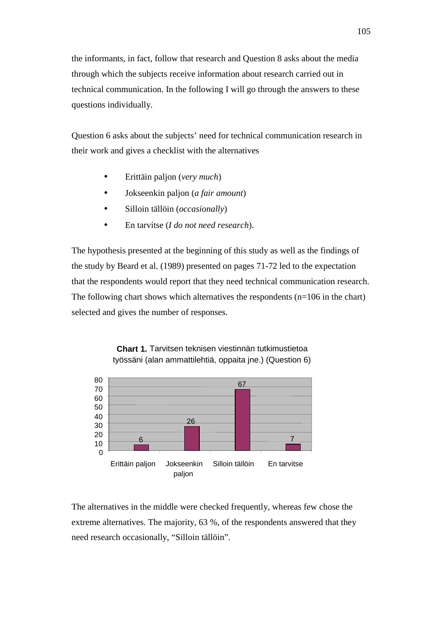the informants, in fact, follow that research and Question 8 asks about the media through which the subjects receive information about research carried out in technical communication. In the following I will go through the answers to these questions individually.

Question 6 asks about the subjects' need for technical communication research in their work and gives a checklist with the alternatives

- Erittäin paljon (*very much*)
- Jokseenkin paljon (*a fair amount*)
- Silloin tällöin (*occasionally*)
- En tarvitse (*I do not need research*).

The hypothesis presented at the beginning of this study as well as the findings of the study by Beard et al. (1989) presented on pages 71-72 led to the expectation that the respondents would report that they need technical communication research. The following chart shows which alternatives the respondents  $(n=106$  in the chart) selected and gives the number of responses.



**Chart 1.** Tarvitsen teknisen viestinnän tutkimustietoa työssäni (alan ammattilehtiä, oppaita jne.) (Question 6)

The alternatives in the middle were checked frequently, whereas few chose the extreme alternatives. The majority, 63 %, of the respondents answered that they need research occasionally, "Silloin tällöin".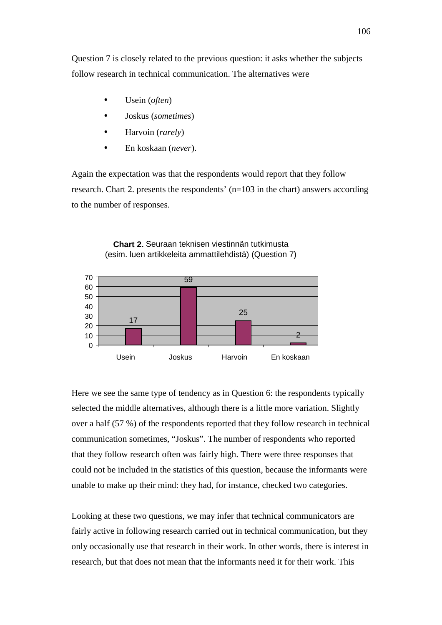Question 7 is closely related to the previous question: it asks whether the subjects follow research in technical communication. The alternatives were

- Usein (*often*)
- Joskus (*sometimes*)
- Harvoin (*rarely*)
- En koskaan (*never*).

Again the expectation was that the respondents would report that they follow research. Chart 2. presents the respondents' (n=103 in the chart) answers according to the number of responses.



### **Chart 2.** Seuraan teknisen viestinnän tutkimusta (esim. luen artikkeleita ammattilehdistä) (Question 7)

Here we see the same type of tendency as in Question 6: the respondents typically selected the middle alternatives, although there is a little more variation. Slightly over a half (57 %) of the respondents reported that they follow research in technical communication sometimes, "Joskus". The number of respondents who reported that they follow research often was fairly high. There were three responses that could not be included in the statistics of this question, because the informants were unable to make up their mind: they had, for instance, checked two categories.

Looking at these two questions, we may infer that technical communicators are fairly active in following research carried out in technical communication, but they only occasionally use that research in their work. In other words, there is interest in research, but that does not mean that the informants need it for their work. This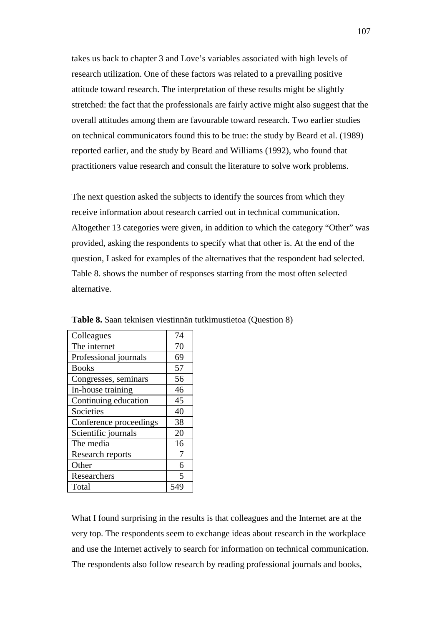takes us back to chapter 3 and Love's variables associated with high levels of research utilization. One of these factors was related to a prevailing positive attitude toward research. The interpretation of these results might be slightly stretched: the fact that the professionals are fairly active might also suggest that the overall attitudes among them are favourable toward research. Two earlier studies on technical communicators found this to be true: the study by Beard et al. (1989) reported earlier, and the study by Beard and Williams (1992), who found that practitioners value research and consult the literature to solve work problems.

The next question asked the subjects to identify the sources from which they receive information about research carried out in technical communication. Altogether 13 categories were given, in addition to which the category "Other" was provided, asking the respondents to specify what that other is. At the end of the question, I asked for examples of the alternatives that the respondent had selected. Table 8. shows the number of responses starting from the most often selected alternative.

| Colleagues             | 74  |
|------------------------|-----|
| The internet           | 70  |
| Professional journals  | 69  |
| <b>Books</b>           | 57  |
| Congresses, seminars   | 56  |
| In-house training      | 46  |
| Continuing education   | 45  |
| Societies              | 40  |
| Conference proceedings | 38  |
| Scientific journals    | 20  |
| The media              | 16  |
| Research reports       | 7   |
| Other                  | 6   |
| Researchers            | 5   |
| Total                  | 549 |

**Table 8.** Saan teknisen viestinnän tutkimustietoa (Question 8)

What I found surprising in the results is that colleagues and the Internet are at the very top. The respondents seem to exchange ideas about research in the workplace and use the Internet actively to search for information on technical communication. The respondents also follow research by reading professional journals and books,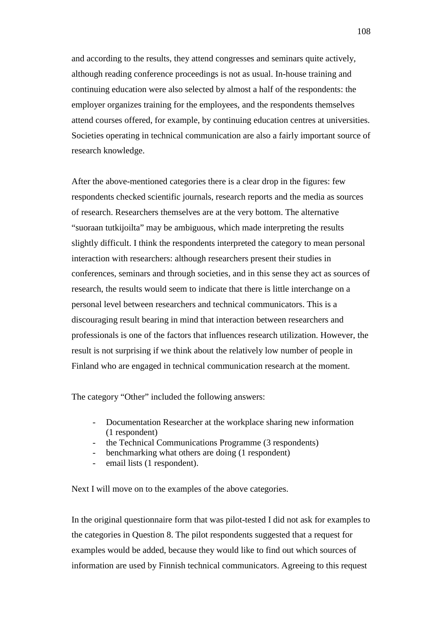and according to the results, they attend congresses and seminars quite actively, although reading conference proceedings is not as usual. In-house training and continuing education were also selected by almost a half of the respondents: the employer organizes training for the employees, and the respondents themselves attend courses offered, for example, by continuing education centres at universities. Societies operating in technical communication are also a fairly important source of research knowledge.

After the above-mentioned categories there is a clear drop in the figures: few respondents checked scientific journals, research reports and the media as sources of research. Researchers themselves are at the very bottom. The alternative "suoraan tutkijoilta" may be ambiguous, which made interpreting the results slightly difficult. I think the respondents interpreted the category to mean personal interaction with researchers: although researchers present their studies in conferences, seminars and through societies, and in this sense they act as sources of research, the results would seem to indicate that there is little interchange on a personal level between researchers and technical communicators. This is a discouraging result bearing in mind that interaction between researchers and professionals is one of the factors that influences research utilization. However, the result is not surprising if we think about the relatively low number of people in Finland who are engaged in technical communication research at the moment.

The category "Other" included the following answers:

- Documentation Researcher at the workplace sharing new information (1 respondent)
- the Technical Communications Programme (3 respondents)
- benchmarking what others are doing (1 respondent)
- email lists (1 respondent).

Next I will move on to the examples of the above categories.

In the original questionnaire form that was pilot-tested I did not ask for examples to the categories in Question 8. The pilot respondents suggested that a request for examples would be added, because they would like to find out which sources of information are used by Finnish technical communicators. Agreeing to this request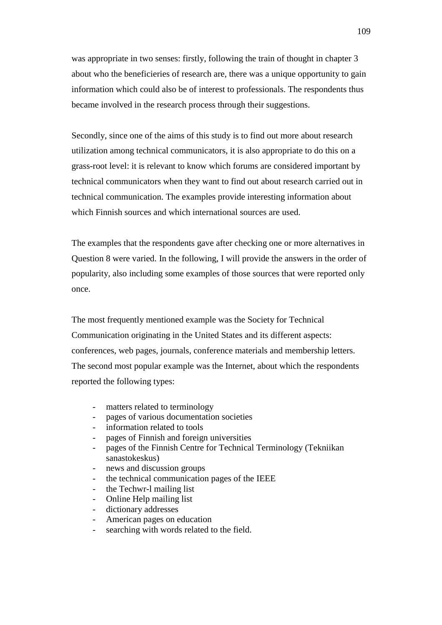was appropriate in two senses: firstly, following the train of thought in chapter 3 about who the beneficieries of research are, there was a unique opportunity to gain information which could also be of interest to professionals. The respondents thus became involved in the research process through their suggestions.

Secondly, since one of the aims of this study is to find out more about research utilization among technical communicators, it is also appropriate to do this on a grass-root level: it is relevant to know which forums are considered important by technical communicators when they want to find out about research carried out in technical communication. The examples provide interesting information about which Finnish sources and which international sources are used.

The examples that the respondents gave after checking one or more alternatives in Question 8 were varied. In the following, I will provide the answers in the order of popularity, also including some examples of those sources that were reported only once.

The most frequently mentioned example was the Society for Technical Communication originating in the United States and its different aspects: conferences, web pages, journals, conference materials and membership letters. The second most popular example was the Internet, about which the respondents reported the following types:

- matters related to terminology
- pages of various documentation societies
- information related to tools
- pages of Finnish and foreign universities
- pages of the Finnish Centre for Technical Terminology (Tekniikan sanastokeskus)
- news and discussion groups
- the technical communication pages of the IEEE
- the Techwr-l mailing list
- Online Help mailing list
- dictionary addresses
- American pages on education
- searching with words related to the field.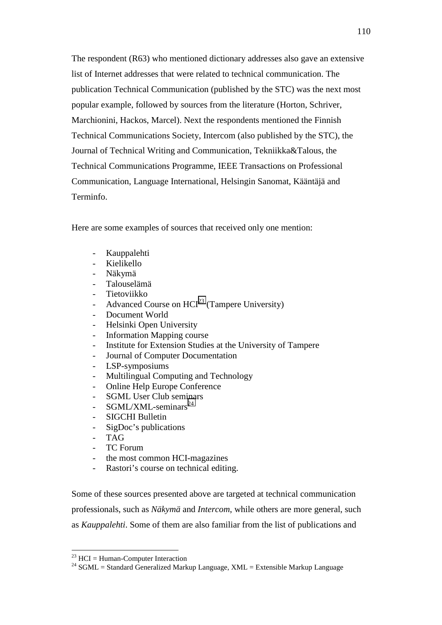The respondent (R63) who mentioned dictionary addresses also gave an extensive list of Internet addresses that were related to technical communication. The publication Technical Communication (published by the STC) was the next most popular example, followed by sources from the literature (Horton, Schriver, Marchionini, Hackos, Marcel). Next the respondents mentioned the Finnish Technical Communications Society, Intercom (also published by the STC), the Journal of Technical Writing and Communication, Tekniikka&Talous, the Technical Communications Programme, IEEE Transactions on Professional Communication, Language International, Helsingin Sanomat, Kääntäjä and Terminfo.

Here are some examples of sources that received only one mention:

- Kauppalehti
- Kielikello
- Näkymä
- Talouselämä
- Tietoviikko
- Advanced Course on  $HCl<sup>23</sup>$  (Tampere University)
- Document World
- Helsinki Open University
- Information Mapping course
- Institute for Extension Studies at the University of Tampere
- Journal of Computer Documentation
- LSP-symposiums
- Multilingual Computing and Technology
- Online Help Europe Conference
- SGML User Club seminars
- $SGML/XML$ -seminars<sup>24</sup>
- SIGCHI Bulletin
- SigDoc's publications
- TAG
- TC Forum
- the most common HCI-magazines
- Rastori's course on technical editing.

Some of these sources presented above are targeted at technical communication professionals, such as *Näkymä* and *Intercom*, while others are more general, such as *Kauppalehti*. Some of them are also familiar from the list of publications and

 $\overline{a}$ 

 $^{23}$  HCI = Human-Computer Interaction

<sup>&</sup>lt;sup>24</sup> SGML = Standard Generalized Markup Language, XML = Extensible Markup Language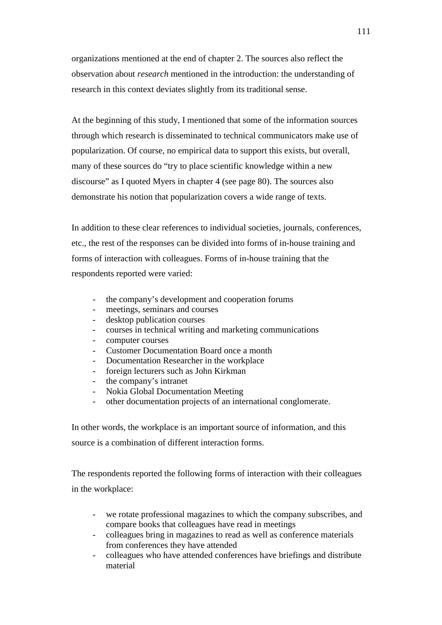organizations mentioned at the end of chapter 2. The sources also reflect the observation about *research* mentioned in the introduction: the understanding of research in this context deviates slightly from its traditional sense.

At the beginning of this study, I mentioned that some of the information sources through which research is disseminated to technical communicators make use of popularization. Of course, no empirical data to support this exists, but overall, many of these sources do "try to place scientific knowledge within a new discourse" as I quoted Myers in chapter 4 (see page 80). The sources also demonstrate his notion that popularization covers a wide range of texts.

In addition to these clear references to individual societies, journals, conferences, etc., the rest of the responses can be divided into forms of in-house training and forms of interaction with colleagues. Forms of in-house training that the respondents reported were varied:

- the company's development and cooperation forums
- meetings, seminars and courses
- desktop publication courses
- courses in technical writing and marketing communications
- computer courses
- Customer Documentation Board once a month
- Documentation Researcher in the workplace
- foreign lecturers such as John Kirkman
- the company's intranet
- Nokia Global Documentation Meeting
- other documentation projects of an international conglomerate.

In other words, the workplace is an important source of information, and this source is a combination of different interaction forms.

The respondents reported the following forms of interaction with their colleagues in the workplace:

- we rotate professional magazines to which the company subscribes, and compare books that colleagues have read in meetings
- colleagues bring in magazines to read as well as conference materials from conferences they have attended
- colleagues who have attended conferences have briefings and distribute material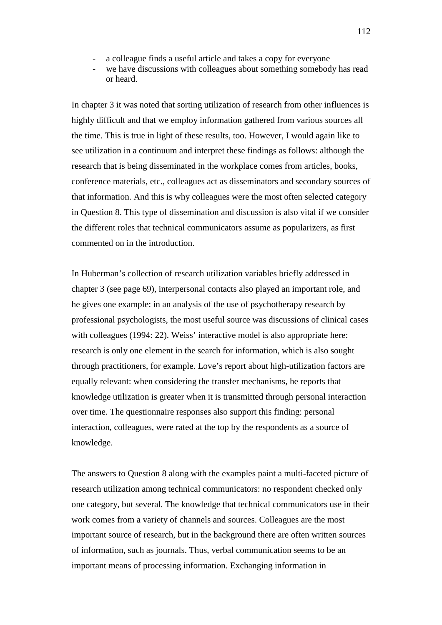- a colleague finds a useful article and takes a copy for everyone
- we have discussions with colleagues about something somebody has read or heard.

In chapter 3 it was noted that sorting utilization of research from other influences is highly difficult and that we employ information gathered from various sources all the time. This is true in light of these results, too. However, I would again like to see utilization in a continuum and interpret these findings as follows: although the research that is being disseminated in the workplace comes from articles, books, conference materials, etc., colleagues act as disseminators and secondary sources of that information. And this is why colleagues were the most often selected category in Question 8. This type of dissemination and discussion is also vital if we consider the different roles that technical communicators assume as popularizers, as first commented on in the introduction.

In Huberman's collection of research utilization variables briefly addressed in chapter 3 (see page 69), interpersonal contacts also played an important role, and he gives one example: in an analysis of the use of psychotherapy research by professional psychologists, the most useful source was discussions of clinical cases with colleagues (1994: 22). Weiss' interactive model is also appropriate here: research is only one element in the search for information, which is also sought through practitioners, for example. Love's report about high-utilization factors are equally relevant: when considering the transfer mechanisms, he reports that knowledge utilization is greater when it is transmitted through personal interaction over time. The questionnaire responses also support this finding: personal interaction, colleagues, were rated at the top by the respondents as a source of knowledge.

The answers to Question 8 along with the examples paint a multi-faceted picture of research utilization among technical communicators: no respondent checked only one category, but several. The knowledge that technical communicators use in their work comes from a variety of channels and sources. Colleagues are the most important source of research, but in the background there are often written sources of information, such as journals. Thus, verbal communication seems to be an important means of processing information. Exchanging information in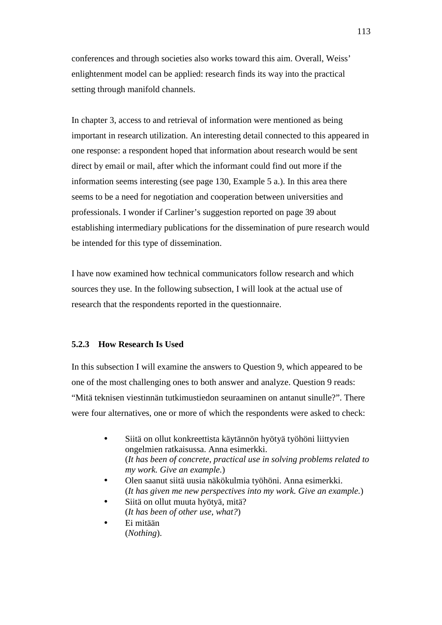conferences and through societies also works toward this aim. Overall, Weiss' enlightenment model can be applied: research finds its way into the practical setting through manifold channels.

In chapter 3, access to and retrieval of information were mentioned as being important in research utilization. An interesting detail connected to this appeared in one response: a respondent hoped that information about research would be sent direct by email or mail, after which the informant could find out more if the information seems interesting (see page 130, Example 5 a.). In this area there seems to be a need for negotiation and cooperation between universities and professionals. I wonder if Carliner's suggestion reported on page 39 about establishing intermediary publications for the dissemination of pure research would be intended for this type of dissemination.

I have now examined how technical communicators follow research and which sources they use. In the following subsection, I will look at the actual use of research that the respondents reported in the questionnaire.

### **5.2.3 How Research Is Used**

In this subsection I will examine the answers to Question 9, which appeared to be one of the most challenging ones to both answer and analyze. Question 9 reads: "Mitä teknisen viestinnän tutkimustiedon seuraaminen on antanut sinulle?". There were four alternatives, one or more of which the respondents were asked to check:

- Siitä on ollut konkreettista käytännön hyötyä työhöni liittyvien ongelmien ratkaisussa. Anna esimerkki. (*It has been of concrete, practical use in solving problems related to my work. Give an example.*)
- Olen saanut siitä uusia näkökulmia työhöni. Anna esimerkki. (*It has given me new perspectives into my work. Give an example.*)
- Siitä on ollut muuta hyötyä, mitä? (*It has been of other use, what?*)
- Ei mitään (*Nothing*).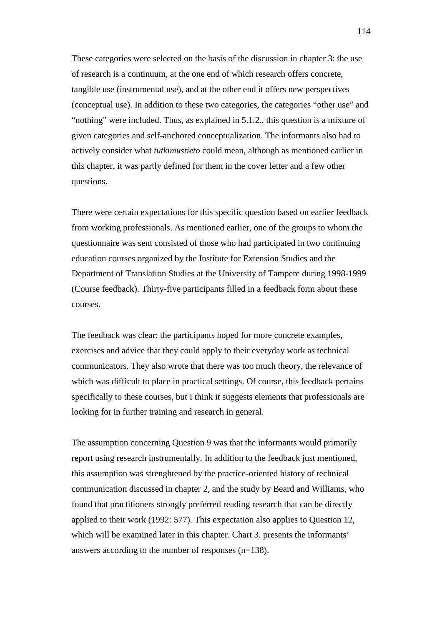These categories were selected on the basis of the discussion in chapter 3: the use of research is a continuum, at the one end of which research offers concrete, tangible use (instrumental use), and at the other end it offers new perspectives (conceptual use). In addition to these two categories, the categories "other use" and "nothing" were included. Thus, as explained in 5.1.2., this question is a mixture of given categories and self-anchored conceptualization. The informants also had to actively consider what *tutkimustieto* could mean, although as mentioned earlier in this chapter, it was partly defined for them in the cover letter and a few other questions.

There were certain expectations for this specific question based on earlier feedback from working professionals. As mentioned earlier, one of the groups to whom the questionnaire was sent consisted of those who had participated in two continuing education courses organized by the Institute for Extension Studies and the Department of Translation Studies at the University of Tampere during 1998-1999 (Course feedback). Thirty-five participants filled in a feedback form about these courses.

The feedback was clear: the participants hoped for more concrete examples, exercises and advice that they could apply to their everyday work as technical communicators. They also wrote that there was too much theory, the relevance of which was difficult to place in practical settings. Of course, this feedback pertains specifically to these courses, but I think it suggests elements that professionals are looking for in further training and research in general.

The assumption concerning Question 9 was that the informants would primarily report using research instrumentally. In addition to the feedback just mentioned, this assumption was strenghtened by the practice-oriented history of technical communication discussed in chapter 2, and the study by Beard and Williams, who found that practitioners strongly preferred reading research that can be directly applied to their work (1992: 577). This expectation also applies to Question 12, which will be examined later in this chapter. Chart 3. presents the informants' answers according to the number of responses (n=138).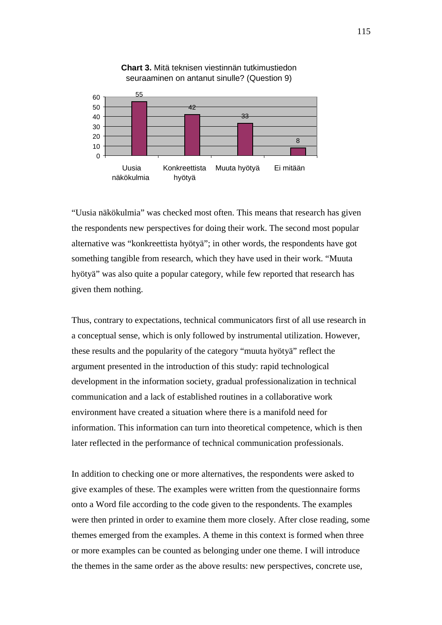



"Uusia näkökulmia" was checked most often. This means that research has given the respondents new perspectives for doing their work. The second most popular alternative was "konkreettista hyötyä"; in other words, the respondents have got something tangible from research, which they have used in their work. "Muuta hyötyä" was also quite a popular category, while few reported that research has given them nothing.

Thus, contrary to expectations, technical communicators first of all use research in a conceptual sense, which is only followed by instrumental utilization. However, these results and the popularity of the category "muuta hyötyä" reflect the argument presented in the introduction of this study: rapid technological development in the information society, gradual professionalization in technical communication and a lack of established routines in a collaborative work environment have created a situation where there is a manifold need for information. This information can turn into theoretical competence, which is then later reflected in the performance of technical communication professionals.

In addition to checking one or more alternatives, the respondents were asked to give examples of these. The examples were written from the questionnaire forms onto a Word file according to the code given to the respondents. The examples were then printed in order to examine them more closely. After close reading, some themes emerged from the examples. A theme in this context is formed when three or more examples can be counted as belonging under one theme. I will introduce the themes in the same order as the above results: new perspectives, concrete use,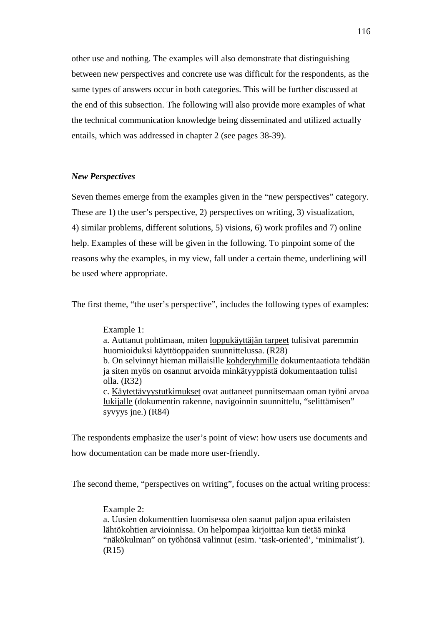other use and nothing. The examples will also demonstrate that distinguishing between new perspectives and concrete use was difficult for the respondents, as the same types of answers occur in both categories. This will be further discussed at the end of this subsection. The following will also provide more examples of what the technical communication knowledge being disseminated and utilized actually entails, which was addressed in chapter 2 (see pages 38-39).

### *New Perspectives*

Seven themes emerge from the examples given in the "new perspectives" category. These are 1) the user's perspective, 2) perspectives on writing, 3) visualization, 4) similar problems, different solutions, 5) visions, 6) work profiles and 7) online help. Examples of these will be given in the following. To pinpoint some of the reasons why the examples, in my view, fall under a certain theme, underlining will be used where appropriate.

The first theme, "the user's perspective", includes the following types of examples:

Example 1: a. Auttanut pohtimaan, miten loppukäyttäjän tarpeet tulisivat paremmin huomioiduksi käyttöoppaiden suunnittelussa. (R28) b. On selvinnyt hieman millaisille kohderyhmille dokumentaatiota tehdään ja siten myös on osannut arvoida minkätyyppistä dokumentaation tulisi olla. (R32) c. Käytettävyystutkimukset ovat auttaneet punnitsemaan oman työni arvoa lukijalle (dokumentin rakenne, navigoinnin suunnittelu, "selittämisen" syvyys jne.) (R84)

The respondents emphasize the user's point of view: how users use documents and how documentation can be made more user-friendly.

The second theme, "perspectives on writing", focuses on the actual writing process:

Example 2: a. Uusien dokumenttien luomisessa olen saanut paljon apua erilaisten lähtökohtien arvioinnissa. On helpompaa kirjoittaa kun tietää minkä "näkökulman" on työhönsä valinnut (esim. 'task-oriented', 'minimalist'). (R15)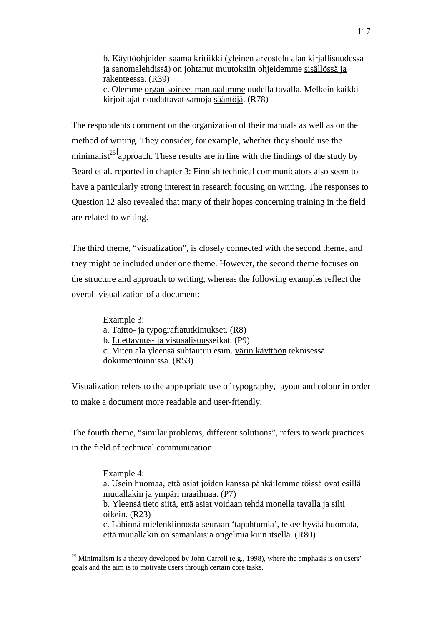b. Käyttöohjeiden saama kritiikki (yleinen arvostelu alan kirjallisuudessa ja sanomalehdissä) on johtanut muutoksiin ohjeidemme sisällössä ja rakenteessa. (R39) c. Olemme organisoineet manuaalimme uudella tavalla. Melkein kaikki kirjoittajat noudattavat samoja sääntöjä. (R78)

The respondents comment on the organization of their manuals as well as on the method of writing. They consider, for example, whether they should use the minimalist<sup>25</sup> approach. These results are in line with the findings of the study by Beard et al. reported in chapter 3: Finnish technical communicators also seem to have a particularly strong interest in research focusing on writing. The responses to Question 12 also revealed that many of their hopes concerning training in the field are related to writing.

The third theme, "visualization", is closely connected with the second theme, and they might be included under one theme. However, the second theme focuses on the structure and approach to writing, whereas the following examples reflect the overall visualization of a document:

> Example 3: a. Taitto- ja typografiatutkimukset. (R8) b. Luettavuus- ja visuaalisuusseikat. (P9) c. Miten ala yleensä suhtautuu esim. värin käyttöön teknisessä dokumentoinnissa. (R53)

Visualization refers to the appropriate use of typography, layout and colour in order to make a document more readable and user-friendly.

The fourth theme, "similar problems, different solutions", refers to work practices in the field of technical communication:

> Example 4: a. Usein huomaa, että asiat joiden kanssa pähkäilemme töissä ovat esillä muuallakin ja ympäri maailmaa. (P7) b. Yleensä tieto siitä, että asiat voidaan tehdä monella tavalla ja silti oikein. (R23) c. Lähinnä mielenkiinnosta seuraan 'tapahtumia', tekee hyvää huomata, että muuallakin on samanlaisia ongelmia kuin itsellä. (R80)

 $\overline{a}$ 

<sup>&</sup>lt;sup>25</sup> Minimalism is a theory developed by John Carroll (e.g., 1998), where the emphasis is on users' goals and the aim is to motivate users through certain core tasks.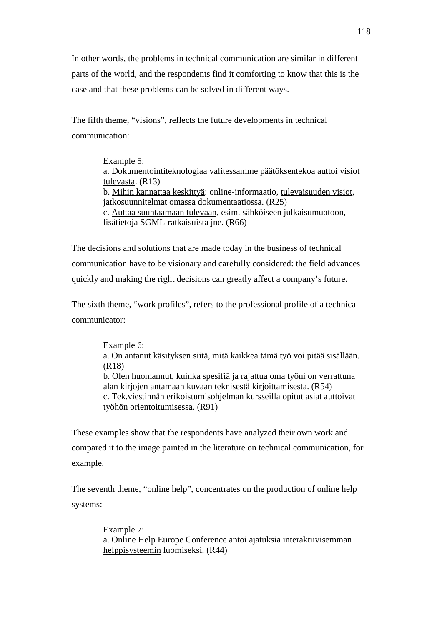In other words, the problems in technical communication are similar in different parts of the world, and the respondents find it comforting to know that this is the case and that these problems can be solved in different ways.

The fifth theme, "visions", reflects the future developments in technical communication:

> Example 5: a. Dokumentointiteknologiaa valitessamme päätöksentekoa auttoi visiot tulevasta. (R13) b. Mihin kannattaa keskittyä: online-informaatio, tulevaisuuden visiot, jatkosuunnitelmat omassa dokumentaatiossa. (R25) c. Auttaa suuntaamaan tulevaan, esim. sähköiseen julkaisumuotoon, lisätietoja SGML-ratkaisuista jne. (R66)

The decisions and solutions that are made today in the business of technical communication have to be visionary and carefully considered: the field advances quickly and making the right decisions can greatly affect a company's future.

The sixth theme, "work profiles", refers to the professional profile of a technical communicator:

> Example 6: a. On antanut käsityksen siitä, mitä kaikkea tämä työ voi pitää sisällään. (R18) b. Olen huomannut, kuinka spesifiä ja rajattua oma työni on verrattuna alan kirjojen antamaan kuvaan teknisestä kirjoittamisesta. (R54) c. Tek.viestinnän erikoistumisohjelman kursseilla opitut asiat auttoivat työhön orientoitumisessa. (R91)

These examples show that the respondents have analyzed their own work and compared it to the image painted in the literature on technical communication, for example.

The seventh theme, "online help", concentrates on the production of online help systems:

> Example 7: a. Online Help Europe Conference antoi ajatuksia interaktiivisemman helppisysteemin luomiseksi. (R44)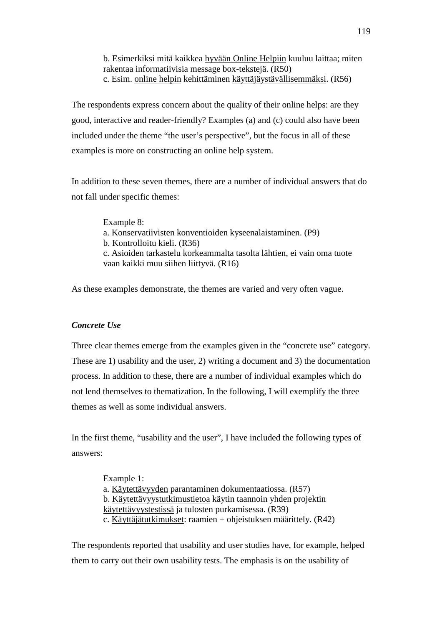b. Esimerkiksi mitä kaikkea hyvään Online Helpiin kuuluu laittaa; miten rakentaa informatiivisia message box-tekstejä. (R50) c. Esim. online helpin kehittäminen käyttäjäystävällisemmäksi. (R56)

The respondents express concern about the quality of their online helps: are they good, interactive and reader-friendly? Examples (a) and (c) could also have been included under the theme "the user's perspective", but the focus in all of these examples is more on constructing an online help system.

In addition to these seven themes, there are a number of individual answers that do not fall under specific themes:

> Example 8: a. Konservatiivisten konventioiden kyseenalaistaminen. (P9) b. Kontrolloitu kieli. (R36) c. Asioiden tarkastelu korkeammalta tasolta lähtien, ei vain oma tuote vaan kaikki muu siihen liittyvä. (R16)

As these examples demonstrate, the themes are varied and very often vague.

## *Concrete Use*

Three clear themes emerge from the examples given in the "concrete use" category. These are 1) usability and the user, 2) writing a document and 3) the documentation process. In addition to these, there are a number of individual examples which do not lend themselves to thematization. In the following, I will exemplify the three themes as well as some individual answers.

In the first theme, "usability and the user", I have included the following types of answers:

> Example 1: a. Käytettävyyden parantaminen dokumentaatiossa. (R57) b. Käytettävyystutkimustietoa käytin taannoin yhden projektin käytettävyystestissä ja tulosten purkamisessa. (R39) c. Käyttäjätutkimukset: raamien + ohjeistuksen määrittely. (R42)

The respondents reported that usability and user studies have, for example, helped them to carry out their own usability tests. The emphasis is on the usability of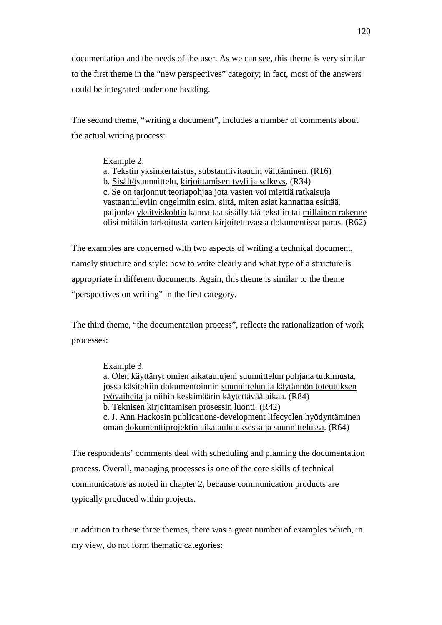documentation and the needs of the user. As we can see, this theme is very similar to the first theme in the "new perspectives" category; in fact, most of the answers could be integrated under one heading.

The second theme, "writing a document", includes a number of comments about the actual writing process:

> Example 2: a. Tekstin yksinkertaistus, substantiivitaudin välttäminen. (R16) b. Sisältösuunnittelu, kirjoittamisen tyyli ja selkeys. (R34) c. Se on tarjonnut teoriapohjaa jota vasten voi miettiä ratkaisuja vastaantuleviin ongelmiin esim. siitä, miten asiat kannattaa esittää, paljonko yksityiskohtia kannattaa sisällyttää tekstiin tai millainen rakenne olisi mitäkin tarkoitusta varten kirjoitettavassa dokumentissa paras. (R62)

The examples are concerned with two aspects of writing a technical document, namely structure and style: how to write clearly and what type of a structure is appropriate in different documents. Again, this theme is similar to the theme "perspectives on writing" in the first category.

The third theme, "the documentation process", reflects the rationalization of work processes:

> Example 3: a. Olen käyttänyt omien aikataulujeni suunnittelun pohjana tutkimusta, jossa käsiteltiin dokumentoinnin suunnittelun ja käytännön toteutuksen työvaiheita ja niihin keskimäärin käytettävää aikaa. (R84) b. Teknisen kirjoittamisen prosessin luonti. (R42) c. J. Ann Hackosin publications-development lifecyclen hyödyntäminen oman dokumenttiprojektin aikataulutuksessa ja suunnittelussa. (R64)

The respondents' comments deal with scheduling and planning the documentation process. Overall, managing processes is one of the core skills of technical communicators as noted in chapter 2, because communication products are typically produced within projects.

In addition to these three themes, there was a great number of examples which, in my view, do not form thematic categories: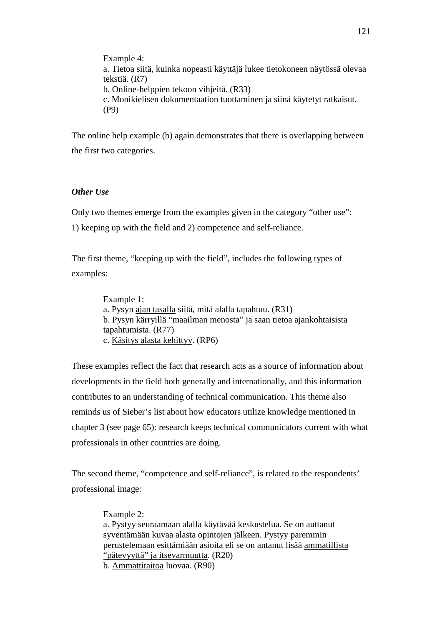Example 4: a. Tietoa siitä, kuinka nopeasti käyttäjä lukee tietokoneen näytössä olevaa tekstiä. (R7) b. Online-helppien tekoon vihjeitä. (R33) c. Monikielisen dokumentaation tuottaminen ja siinä käytetyt ratkaisut. (P9)

The online help example (b) again demonstrates that there is overlapping between the first two categories.

## *Other Use*

Only two themes emerge from the examples given in the category "other use":

1) keeping up with the field and 2) competence and self-reliance.

The first theme, "keeping up with the field", includes the following types of examples:

> Example 1: a. Pysyn ajan tasalla siitä, mitä alalla tapahtuu. (R31) b. Pysyn kärryillä "maailman menosta" ja saan tietoa ajankohtaisista tapahtumista. (R77) c. Käsitys alasta kehittyy. (RP6)

These examples reflect the fact that research acts as a source of information about developments in the field both generally and internationally, and this information contributes to an understanding of technical communication. This theme also reminds us of Sieber's list about how educators utilize knowledge mentioned in chapter 3 (see page 65): research keeps technical communicators current with what professionals in other countries are doing.

The second theme, "competence and self-reliance", is related to the respondents' professional image:

> Example 2: a. Pystyy seuraamaan alalla käytävää keskustelua. Se on auttanut syventämään kuvaa alasta opintojen jälkeen. Pystyy paremmin perustelemaan esittämiään asioita eli se on antanut lisää ammatillista "pätevyyttä" ja itsevarmuutta. (R20) b. Ammattitaitoa luovaa. (R90)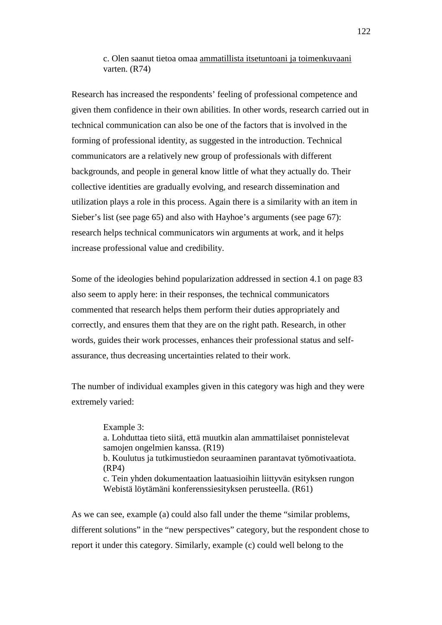c. Olen saanut tietoa omaa ammatillista itsetuntoani ja toimenkuvaani varten. (R74)

Research has increased the respondents' feeling of professional competence and given them confidence in their own abilities. In other words, research carried out in technical communication can also be one of the factors that is involved in the forming of professional identity, as suggested in the introduction. Technical communicators are a relatively new group of professionals with different backgrounds, and people in general know little of what they actually do. Their collective identities are gradually evolving, and research dissemination and utilization plays a role in this process. Again there is a similarity with an item in Sieber's list (see page 65) and also with Hayhoe's arguments (see page 67): research helps technical communicators win arguments at work, and it helps increase professional value and credibility.

Some of the ideologies behind popularization addressed in section 4.1 on page 83 also seem to apply here: in their responses, the technical communicators commented that research helps them perform their duties appropriately and correctly, and ensures them that they are on the right path. Research, in other words, guides their work processes, enhances their professional status and selfassurance, thus decreasing uncertainties related to their work.

The number of individual examples given in this category was high and they were extremely varied:

> Example 3: a. Lohduttaa tieto siitä, että muutkin alan ammattilaiset ponnistelevat samojen ongelmien kanssa. (R19) b. Koulutus ja tutkimustiedon seuraaminen parantavat työmotivaatiota. (RP4) c. Tein yhden dokumentaation laatuasioihin liittyvän esityksen rungon Webistä löytämäni konferenssiesityksen perusteella. (R61)

As we can see, example (a) could also fall under the theme "similar problems, different solutions" in the "new perspectives" category, but the respondent chose to report it under this category. Similarly, example (c) could well belong to the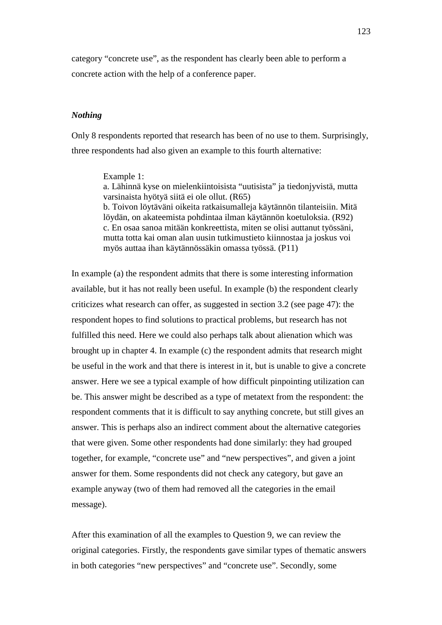category "concrete use", as the respondent has clearly been able to perform a concrete action with the help of a conference paper.

#### *Nothing*

Only 8 respondents reported that research has been of no use to them. Surprisingly, three respondents had also given an example to this fourth alternative:

#### Example 1:

a. Lähinnä kyse on mielenkiintoisista "uutisista" ja tiedonjyvistä, mutta varsinaista hyötyä siitä ei ole ollut. (R65) b. Toivon löytäväni oikeita ratkaisumalleja käytännön tilanteisiin. Mitä löydän, on akateemista pohdintaa ilman käytännön koetuloksia. (R92) c. En osaa sanoa mitään konkreettista, miten se olisi auttanut työssäni, mutta totta kai oman alan uusin tutkimustieto kiinnostaa ja joskus voi myös auttaa ihan käytännössäkin omassa työssä. (P11)

In example (a) the respondent admits that there is some interesting information available, but it has not really been useful. In example (b) the respondent clearly criticizes what research can offer, as suggested in section 3.2 (see page 47): the respondent hopes to find solutions to practical problems, but research has not fulfilled this need. Here we could also perhaps talk about alienation which was brought up in chapter 4. In example (c) the respondent admits that research might be useful in the work and that there is interest in it, but is unable to give a concrete answer. Here we see a typical example of how difficult pinpointing utilization can be. This answer might be described as a type of metatext from the respondent: the respondent comments that it is difficult to say anything concrete, but still gives an answer. This is perhaps also an indirect comment about the alternative categories that were given. Some other respondents had done similarly: they had grouped together, for example, "concrete use" and "new perspectives", and given a joint answer for them. Some respondents did not check any category, but gave an example anyway (two of them had removed all the categories in the email message).

After this examination of all the examples to Question 9, we can review the original categories. Firstly, the respondents gave similar types of thematic answers in both categories "new perspectives" and "concrete use". Secondly, some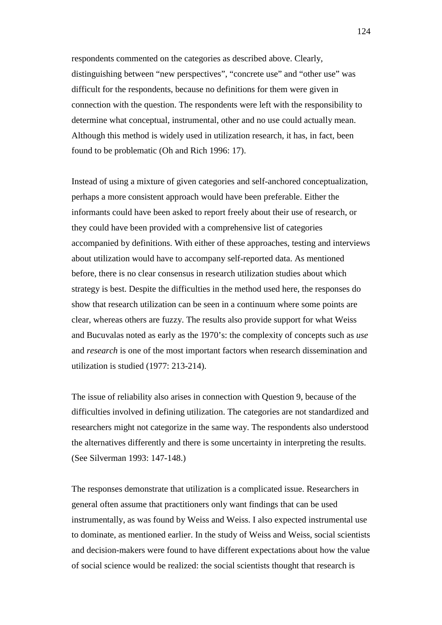respondents commented on the categories as described above. Clearly, distinguishing between "new perspectives", "concrete use" and "other use" was difficult for the respondents, because no definitions for them were given in connection with the question. The respondents were left with the responsibility to determine what conceptual, instrumental, other and no use could actually mean. Although this method is widely used in utilization research, it has, in fact, been found to be problematic (Oh and Rich 1996: 17).

Instead of using a mixture of given categories and self-anchored conceptualization, perhaps a more consistent approach would have been preferable. Either the informants could have been asked to report freely about their use of research, or they could have been provided with a comprehensive list of categories accompanied by definitions. With either of these approaches, testing and interviews about utilization would have to accompany self-reported data. As mentioned before, there is no clear consensus in research utilization studies about which strategy is best. Despite the difficulties in the method used here, the responses do show that research utilization can be seen in a continuum where some points are clear, whereas others are fuzzy. The results also provide support for what Weiss and Bucuvalas noted as early as the 1970's: the complexity of concepts such as *use* and *research* is one of the most important factors when research dissemination and utilization is studied (1977: 213-214).

The issue of reliability also arises in connection with Question 9, because of the difficulties involved in defining utilization. The categories are not standardized and researchers might not categorize in the same way. The respondents also understood the alternatives differently and there is some uncertainty in interpreting the results. (See Silverman 1993: 147-148.)

The responses demonstrate that utilization is a complicated issue. Researchers in general often assume that practitioners only want findings that can be used instrumentally, as was found by Weiss and Weiss. I also expected instrumental use to dominate, as mentioned earlier. In the study of Weiss and Weiss, social scientists and decision-makers were found to have different expectations about how the value of social science would be realized: the social scientists thought that research is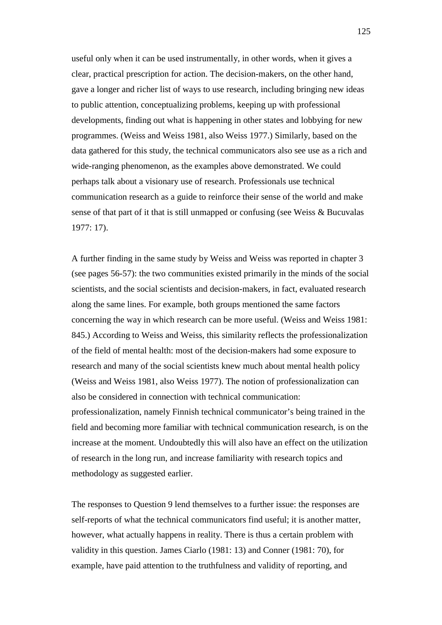useful only when it can be used instrumentally, in other words, when it gives a clear, practical prescription for action. The decision-makers, on the other hand, gave a longer and richer list of ways to use research, including bringing new ideas to public attention, conceptualizing problems, keeping up with professional developments, finding out what is happening in other states and lobbying for new programmes. (Weiss and Weiss 1981, also Weiss 1977.) Similarly, based on the data gathered for this study, the technical communicators also see use as a rich and wide-ranging phenomenon, as the examples above demonstrated. We could perhaps talk about a visionary use of research. Professionals use technical communication research as a guide to reinforce their sense of the world and make sense of that part of it that is still unmapped or confusing (see Weiss & Bucuvalas 1977: 17).

A further finding in the same study by Weiss and Weiss was reported in chapter 3 (see pages 56-57): the two communities existed primarily in the minds of the social scientists, and the social scientists and decision-makers, in fact, evaluated research along the same lines. For example, both groups mentioned the same factors concerning the way in which research can be more useful. (Weiss and Weiss 1981: 845.) According to Weiss and Weiss, this similarity reflects the professionalization of the field of mental health: most of the decision-makers had some exposure to research and many of the social scientists knew much about mental health policy (Weiss and Weiss 1981, also Weiss 1977). The notion of professionalization can also be considered in connection with technical communication: professionalization, namely Finnish technical communicator's being trained in the field and becoming more familiar with technical communication research, is on the increase at the moment. Undoubtedly this will also have an effect on the utilization of research in the long run, and increase familiarity with research topics and methodology as suggested earlier.

The responses to Question 9 lend themselves to a further issue: the responses are self-reports of what the technical communicators find useful; it is another matter, however, what actually happens in reality. There is thus a certain problem with validity in this question. James Ciarlo (1981: 13) and Conner (1981: 70), for example, have paid attention to the truthfulness and validity of reporting, and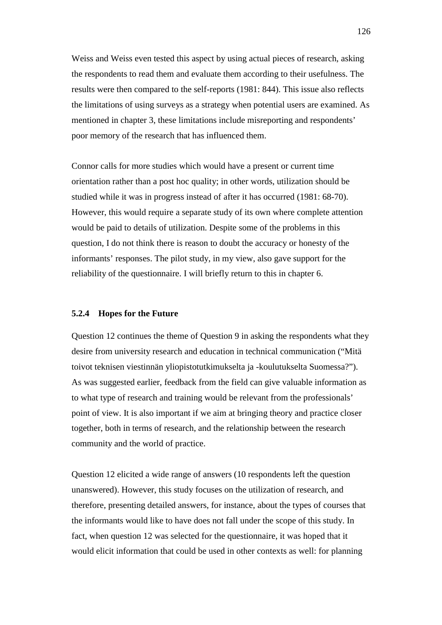Weiss and Weiss even tested this aspect by using actual pieces of research, asking the respondents to read them and evaluate them according to their usefulness. The results were then compared to the self-reports (1981: 844). This issue also reflects the limitations of using surveys as a strategy when potential users are examined. As mentioned in chapter 3, these limitations include misreporting and respondents' poor memory of the research that has influenced them.

Connor calls for more studies which would have a present or current time orientation rather than a post hoc quality; in other words, utilization should be studied while it was in progress instead of after it has occurred (1981: 68-70). However, this would require a separate study of its own where complete attention would be paid to details of utilization. Despite some of the problems in this question, I do not think there is reason to doubt the accuracy or honesty of the informants' responses. The pilot study, in my view, also gave support for the reliability of the questionnaire. I will briefly return to this in chapter 6.

### **5.2.4 Hopes for the Future**

Question 12 continues the theme of Question 9 in asking the respondents what they desire from university research and education in technical communication ("Mitä toivot teknisen viestinnän yliopistotutkimukselta ja -koulutukselta Suomessa?"). As was suggested earlier, feedback from the field can give valuable information as to what type of research and training would be relevant from the professionals' point of view. It is also important if we aim at bringing theory and practice closer together, both in terms of research, and the relationship between the research community and the world of practice.

Question 12 elicited a wide range of answers (10 respondents left the question unanswered). However, this study focuses on the utilization of research, and therefore, presenting detailed answers, for instance, about the types of courses that the informants would like to have does not fall under the scope of this study. In fact, when question 12 was selected for the questionnaire, it was hoped that it would elicit information that could be used in other contexts as well: for planning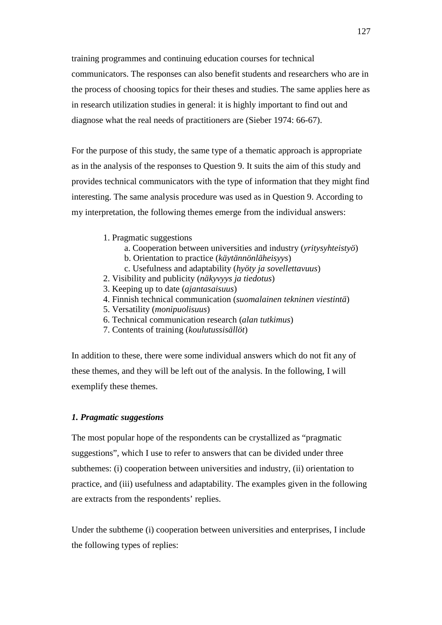training programmes and continuing education courses for technical communicators. The responses can also benefit students and researchers who are in the process of choosing topics for their theses and studies. The same applies here as in research utilization studies in general: it is highly important to find out and diagnose what the real needs of practitioners are (Sieber 1974: 66-67).

For the purpose of this study, the same type of a thematic approach is appropriate as in the analysis of the responses to Question 9. It suits the aim of this study and provides technical communicators with the type of information that they might find interesting. The same analysis procedure was used as in Question 9. According to my interpretation, the following themes emerge from the individual answers:

- 1. Pragmatic suggestions
	- a. Cooperation between universities and industry (*yritysyhteistyö*)
	- b. Orientation to practice (*käytännönläheisyys*)
	- c. Usefulness and adaptability (*hyöty ja sovellettavuus*)
- 2. Visibility and publicity (*näkyvyys ja tiedotus*)
- 3. Keeping up to date (*ajantasaisuus*)
- 4. Finnish technical communication (*suomalainen tekninen viestintä*)
- 5. Versatility (*monipuolisuus*)
- 6. Technical communication research (*alan tutkimus*)
- 7. Contents of training (*koulutussisällöt*)

In addition to these, there were some individual answers which do not fit any of these themes, and they will be left out of the analysis. In the following, I will exemplify these themes.

### *1. Pragmatic suggestions*

The most popular hope of the respondents can be crystallized as "pragmatic suggestions", which I use to refer to answers that can be divided under three subthemes: (i) cooperation between universities and industry, (ii) orientation to practice, and (iii) usefulness and adaptability. The examples given in the following are extracts from the respondents' replies.

Under the subtheme (i) cooperation between universities and enterprises, I include the following types of replies: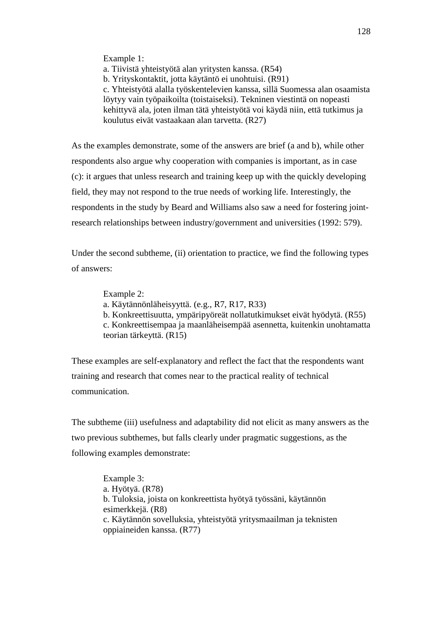Example 1:

a. Tiivistä yhteistyötä alan yritysten kanssa. (R54) b. Yrityskontaktit, jotta käytäntö ei unohtuisi. (R91) c. Yhteistyötä alalla työskentelevien kanssa, sillä Suomessa alan osaamista löytyy vain työpaikoilta (toistaiseksi). Tekninen viestintä on nopeasti kehittyvä ala, joten ilman tätä yhteistyötä voi käydä niin, että tutkimus ja koulutus eivät vastaakaan alan tarvetta. (R27)

As the examples demonstrate, some of the answers are brief (a and b), while other respondents also argue why cooperation with companies is important, as in case (c): it argues that unless research and training keep up with the quickly developing field, they may not respond to the true needs of working life. Interestingly, the respondents in the study by Beard and Williams also saw a need for fostering jointresearch relationships between industry/government and universities (1992: 579).

Under the second subtheme, (ii) orientation to practice, we find the following types of answers:

> Example 2: a. Käytännönläheisyyttä. (e.g., R7, R17, R33) b. Konkreettisuutta, ympäripyöreät nollatutkimukset eivät hyödytä. (R55) c. Konkreettisempaa ja maanläheisempää asennetta, kuitenkin unohtamatta teorian tärkeyttä. (R15)

These examples are self-explanatory and reflect the fact that the respondents want training and research that comes near to the practical reality of technical communication.

The subtheme (iii) usefulness and adaptability did not elicit as many answers as the two previous subthemes, but falls clearly under pragmatic suggestions, as the following examples demonstrate:

> Example 3: a. Hyötyä. (R78) b. Tuloksia, joista on konkreettista hyötyä työssäni, käytännön esimerkkejä. (R8) c. Käytännön sovelluksia, yhteistyötä yritysmaailman ja teknisten oppiaineiden kanssa. (R77)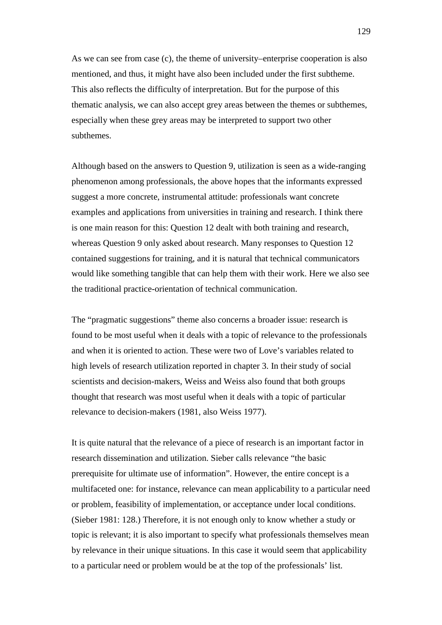As we can see from case (c), the theme of university–enterprise cooperation is also mentioned, and thus, it might have also been included under the first subtheme. This also reflects the difficulty of interpretation. But for the purpose of this thematic analysis, we can also accept grey areas between the themes or subthemes, especially when these grey areas may be interpreted to support two other subthemes.

Although based on the answers to Question 9, utilization is seen as a wide-ranging phenomenon among professionals, the above hopes that the informants expressed suggest a more concrete, instrumental attitude: professionals want concrete examples and applications from universities in training and research. I think there is one main reason for this: Question 12 dealt with both training and research, whereas Question 9 only asked about research. Many responses to Question 12 contained suggestions for training, and it is natural that technical communicators would like something tangible that can help them with their work. Here we also see the traditional practice-orientation of technical communication.

The "pragmatic suggestions" theme also concerns a broader issue: research is found to be most useful when it deals with a topic of relevance to the professionals and when it is oriented to action. These were two of Love's variables related to high levels of research utilization reported in chapter 3. In their study of social scientists and decision-makers, Weiss and Weiss also found that both groups thought that research was most useful when it deals with a topic of particular relevance to decision-makers (1981, also Weiss 1977).

It is quite natural that the relevance of a piece of research is an important factor in research dissemination and utilization. Sieber calls relevance "the basic prerequisite for ultimate use of information". However, the entire concept is a multifaceted one: for instance, relevance can mean applicability to a particular need or problem, feasibility of implementation, or acceptance under local conditions. (Sieber 1981: 128.) Therefore, it is not enough only to know whether a study or topic is relevant; it is also important to specify what professionals themselves mean by relevance in their unique situations. In this case it would seem that applicability to a particular need or problem would be at the top of the professionals' list.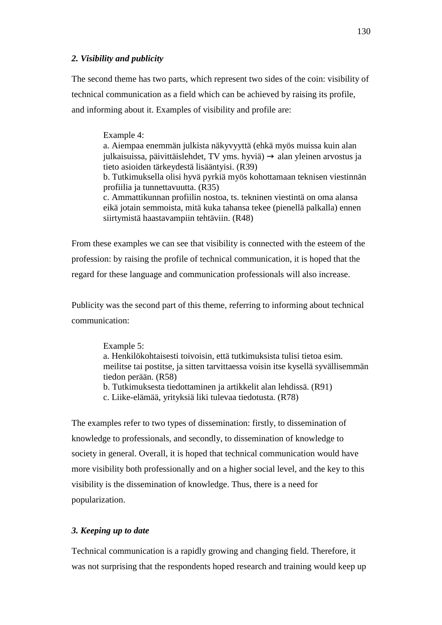### *2. Visibility and publicity*

The second theme has two parts, which represent two sides of the coin: visibility of technical communication as a field which can be achieved by raising its profile, and informing about it. Examples of visibility and profile are:

> Example 4: a. Aiempaa enemmän julkista näkyvyyttä (ehkä myös muissa kuin alan julkaisuissa, päivittäislehdet, TV yms. hyviä)  $\rightarrow$  alan yleinen arvostus ja tieto asioiden tärkeydestä lisääntyisi. (R39) b. Tutkimuksella olisi hyvä pyrkiä myös kohottamaan teknisen viestinnän profiilia ja tunnettavuutta. (R35) c. Ammattikunnan profiilin nostoa, ts. tekninen viestintä on oma alansa eikä jotain semmoista, mitä kuka tahansa tekee (pienellä palkalla) ennen siirtymistä haastavampiin tehtäviin. (R48)

From these examples we can see that visibility is connected with the esteem of the profession: by raising the profile of technical communication, it is hoped that the regard for these language and communication professionals will also increase.

Publicity was the second part of this theme, referring to informing about technical communication:

# Example 5: a. Henkilökohtaisesti toivoisin, että tutkimuksista tulisi tietoa esim. meilitse tai postitse, ja sitten tarvittaessa voisin itse kysellä syvällisemmän tiedon perään. (R58) b. Tutkimuksesta tiedottaminen ja artikkelit alan lehdissä. (R91) c. Liike-elämää, yrityksiä liki tulevaa tiedotusta. (R78)

The examples refer to two types of dissemination: firstly, to dissemination of knowledge to professionals, and secondly, to dissemination of knowledge to society in general. Overall, it is hoped that technical communication would have more visibility both professionally and on a higher social level, and the key to this visibility is the dissemination of knowledge. Thus, there is a need for popularization.

## *3. Keeping up to date*

Technical communication is a rapidly growing and changing field. Therefore, it was not surprising that the respondents hoped research and training would keep up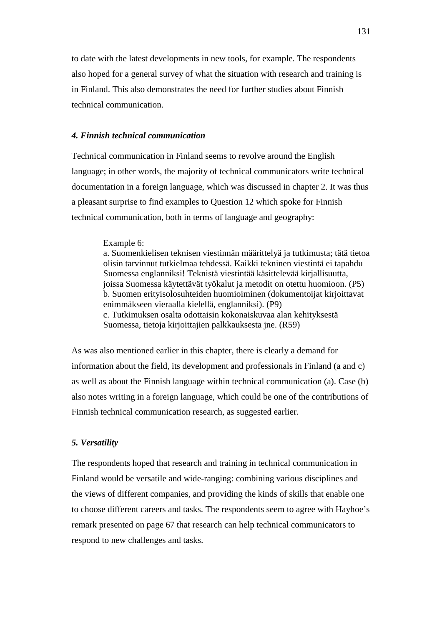to date with the latest developments in new tools, for example. The respondents also hoped for a general survey of what the situation with research and training is in Finland. This also demonstrates the need for further studies about Finnish technical communication.

### *4. Finnish technical communication*

Technical communication in Finland seems to revolve around the English language; in other words, the majority of technical communicators write technical documentation in a foreign language, which was discussed in chapter 2. It was thus a pleasant surprise to find examples to Question 12 which spoke for Finnish technical communication, both in terms of language and geography:

#### Example 6:

a. Suomenkielisen teknisen viestinnän määrittelyä ja tutkimusta; tätä tietoa olisin tarvinnut tutkielmaa tehdessä. Kaikki tekninen viestintä ei tapahdu Suomessa englanniksi! Teknistä viestintää käsittelevää kirjallisuutta, joissa Suomessa käytettävät työkalut ja metodit on otettu huomioon. (P5) b. Suomen erityisolosuhteiden huomioiminen (dokumentoijat kirjoittavat enimmäkseen vieraalla kielellä, englanniksi). (P9) c. Tutkimuksen osalta odottaisin kokonaiskuvaa alan kehityksestä Suomessa, tietoja kirjoittajien palkkauksesta jne. (R59)

As was also mentioned earlier in this chapter, there is clearly a demand for information about the field, its development and professionals in Finland (a and c) as well as about the Finnish language within technical communication (a). Case (b) also notes writing in a foreign language, which could be one of the contributions of Finnish technical communication research, as suggested earlier.

### *5. Versatility*

The respondents hoped that research and training in technical communication in Finland would be versatile and wide-ranging: combining various disciplines and the views of different companies, and providing the kinds of skills that enable one to choose different careers and tasks. The respondents seem to agree with Hayhoe's remark presented on page 67 that research can help technical communicators to respond to new challenges and tasks.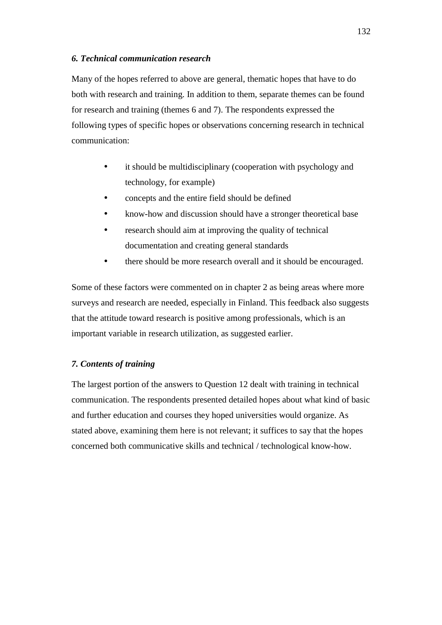## *6. Technical communication research*

Many of the hopes referred to above are general, thematic hopes that have to do both with research and training. In addition to them, separate themes can be found for research and training (themes 6 and 7). The respondents expressed the following types of specific hopes or observations concerning research in technical communication:

- it should be multidisciplinary (cooperation with psychology and technology, for example)
- concepts and the entire field should be defined
- know-how and discussion should have a stronger theoretical base
- research should aim at improving the quality of technical documentation and creating general standards
- there should be more research overall and it should be encouraged.

Some of these factors were commented on in chapter 2 as being areas where more surveys and research are needed, especially in Finland. This feedback also suggests that the attitude toward research is positive among professionals, which is an important variable in research utilization, as suggested earlier.

# *7. Contents of training*

The largest portion of the answers to Question 12 dealt with training in technical communication. The respondents presented detailed hopes about what kind of basic and further education and courses they hoped universities would organize. As stated above, examining them here is not relevant; it suffices to say that the hopes concerned both communicative skills and technical / technological know-how.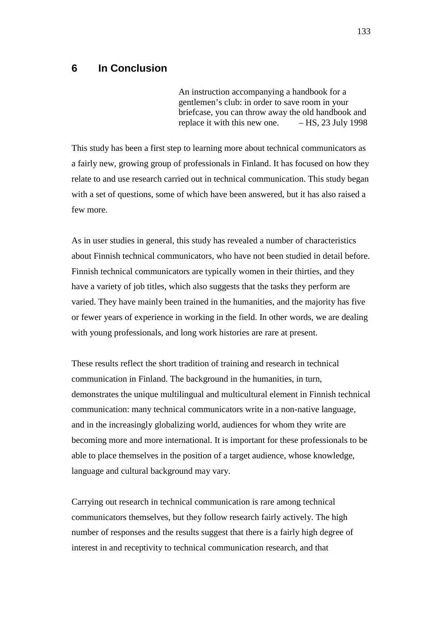# **6 In Conclusion**

An instruction accompanying a handbook for a gentlemen's club: in order to save room in your briefcase, you can throw away the old handbook and replace it with this new one.  $-$  HS, 23 July 1998

This study has been a first step to learning more about technical communicators as a fairly new, growing group of professionals in Finland. It has focused on how they relate to and use research carried out in technical communication. This study began with a set of questions, some of which have been answered, but it has also raised a few more.

As in user studies in general, this study has revealed a number of characteristics about Finnish technical communicators, who have not been studied in detail before. Finnish technical communicators are typically women in their thirties, and they have a variety of job titles, which also suggests that the tasks they perform are varied. They have mainly been trained in the humanities, and the majority has five or fewer years of experience in working in the field. In other words, we are dealing with young professionals, and long work histories are rare at present.

These results reflect the short tradition of training and research in technical communication in Finland. The background in the humanities, in turn, demonstrates the unique multilingual and multicultural element in Finnish technical communication: many technical communicators write in a non-native language, and in the increasingly globalizing world, audiences for whom they write are becoming more and more international. It is important for these professionals to be able to place themselves in the position of a target audience, whose knowledge, language and cultural background may vary.

Carrying out research in technical communication is rare among technical communicators themselves, but they follow research fairly actively. The high number of responses and the results suggest that there is a fairly high degree of interest in and receptivity to technical communication research, and that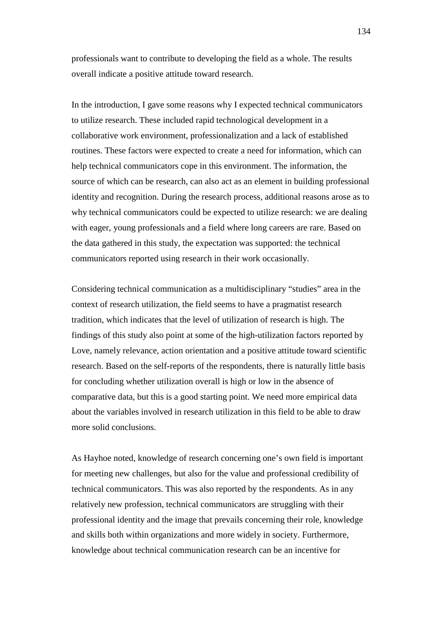professionals want to contribute to developing the field as a whole. The results overall indicate a positive attitude toward research.

In the introduction, I gave some reasons why I expected technical communicators to utilize research. These included rapid technological development in a collaborative work environment, professionalization and a lack of established routines. These factors were expected to create a need for information, which can help technical communicators cope in this environment. The information, the source of which can be research, can also act as an element in building professional identity and recognition. During the research process, additional reasons arose as to why technical communicators could be expected to utilize research: we are dealing with eager, young professionals and a field where long careers are rare. Based on the data gathered in this study, the expectation was supported: the technical communicators reported using research in their work occasionally.

Considering technical communication as a multidisciplinary "studies" area in the context of research utilization, the field seems to have a pragmatist research tradition, which indicates that the level of utilization of research is high. The findings of this study also point at some of the high-utilization factors reported by Love, namely relevance, action orientation and a positive attitude toward scientific research. Based on the self-reports of the respondents, there is naturally little basis for concluding whether utilization overall is high or low in the absence of comparative data, but this is a good starting point. We need more empirical data about the variables involved in research utilization in this field to be able to draw more solid conclusions.

As Hayhoe noted, knowledge of research concerning one's own field is important for meeting new challenges, but also for the value and professional credibility of technical communicators. This was also reported by the respondents. As in any relatively new profession, technical communicators are struggling with their professional identity and the image that prevails concerning their role, knowledge and skills both within organizations and more widely in society. Furthermore, knowledge about technical communication research can be an incentive for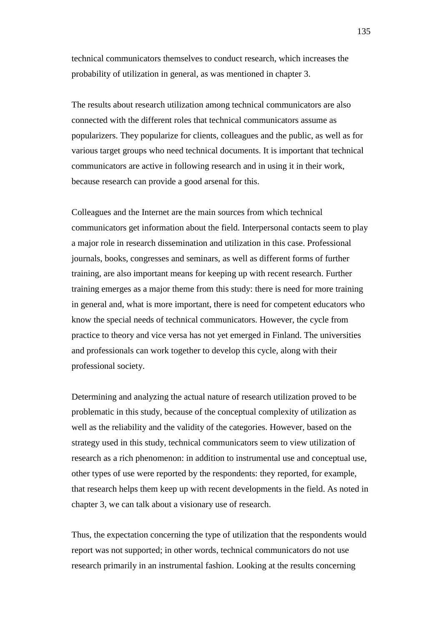technical communicators themselves to conduct research, which increases the probability of utilization in general, as was mentioned in chapter 3.

The results about research utilization among technical communicators are also connected with the different roles that technical communicators assume as popularizers. They popularize for clients, colleagues and the public, as well as for various target groups who need technical documents. It is important that technical communicators are active in following research and in using it in their work, because research can provide a good arsenal for this.

Colleagues and the Internet are the main sources from which technical communicators get information about the field. Interpersonal contacts seem to play a major role in research dissemination and utilization in this case. Professional journals, books, congresses and seminars, as well as different forms of further training, are also important means for keeping up with recent research. Further training emerges as a major theme from this study: there is need for more training in general and, what is more important, there is need for competent educators who know the special needs of technical communicators. However, the cycle from practice to theory and vice versa has not yet emerged in Finland. The universities and professionals can work together to develop this cycle, along with their professional society.

Determining and analyzing the actual nature of research utilization proved to be problematic in this study, because of the conceptual complexity of utilization as well as the reliability and the validity of the categories. However, based on the strategy used in this study, technical communicators seem to view utilization of research as a rich phenomenon: in addition to instrumental use and conceptual use, other types of use were reported by the respondents: they reported, for example, that research helps them keep up with recent developments in the field. As noted in chapter 3, we can talk about a visionary use of research.

Thus, the expectation concerning the type of utilization that the respondents would report was not supported; in other words, technical communicators do not use research primarily in an instrumental fashion. Looking at the results concerning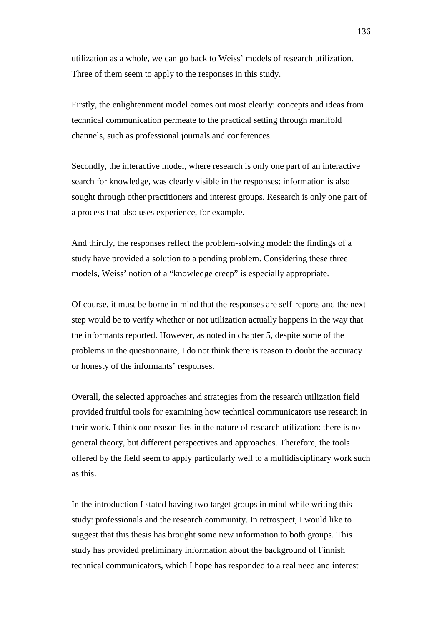utilization as a whole, we can go back to Weiss' models of research utilization. Three of them seem to apply to the responses in this study.

Firstly, the enlightenment model comes out most clearly: concepts and ideas from technical communication permeate to the practical setting through manifold channels, such as professional journals and conferences.

Secondly, the interactive model, where research is only one part of an interactive search for knowledge, was clearly visible in the responses: information is also sought through other practitioners and interest groups. Research is only one part of a process that also uses experience, for example.

And thirdly, the responses reflect the problem-solving model: the findings of a study have provided a solution to a pending problem. Considering these three models, Weiss' notion of a "knowledge creep" is especially appropriate.

Of course, it must be borne in mind that the responses are self-reports and the next step would be to verify whether or not utilization actually happens in the way that the informants reported. However, as noted in chapter 5, despite some of the problems in the questionnaire, I do not think there is reason to doubt the accuracy or honesty of the informants' responses.

Overall, the selected approaches and strategies from the research utilization field provided fruitful tools for examining how technical communicators use research in their work. I think one reason lies in the nature of research utilization: there is no general theory, but different perspectives and approaches. Therefore, the tools offered by the field seem to apply particularly well to a multidisciplinary work such as this.

In the introduction I stated having two target groups in mind while writing this study: professionals and the research community. In retrospect, I would like to suggest that this thesis has brought some new information to both groups. This study has provided preliminary information about the background of Finnish technical communicators, which I hope has responded to a real need and interest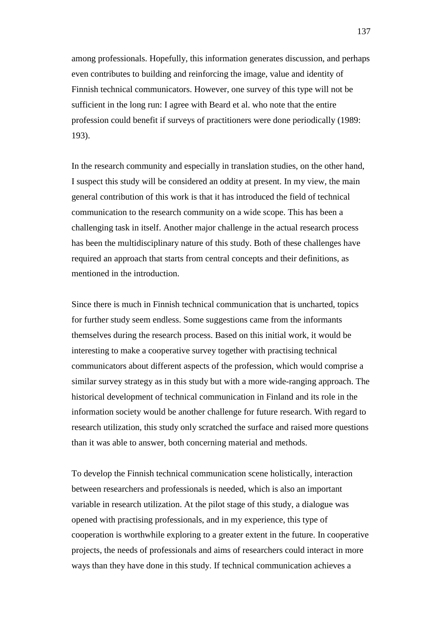among professionals. Hopefully, this information generates discussion, and perhaps even contributes to building and reinforcing the image, value and identity of Finnish technical communicators. However, one survey of this type will not be sufficient in the long run: I agree with Beard et al. who note that the entire profession could benefit if surveys of practitioners were done periodically (1989: 193).

In the research community and especially in translation studies, on the other hand, I suspect this study will be considered an oddity at present. In my view, the main general contribution of this work is that it has introduced the field of technical communication to the research community on a wide scope. This has been a challenging task in itself. Another major challenge in the actual research process has been the multidisciplinary nature of this study. Both of these challenges have required an approach that starts from central concepts and their definitions, as mentioned in the introduction.

Since there is much in Finnish technical communication that is uncharted, topics for further study seem endless. Some suggestions came from the informants themselves during the research process. Based on this initial work, it would be interesting to make a cooperative survey together with practising technical communicators about different aspects of the profession, which would comprise a similar survey strategy as in this study but with a more wide-ranging approach. The historical development of technical communication in Finland and its role in the information society would be another challenge for future research. With regard to research utilization, this study only scratched the surface and raised more questions than it was able to answer, both concerning material and methods.

To develop the Finnish technical communication scene holistically, interaction between researchers and professionals is needed, which is also an important variable in research utilization. At the pilot stage of this study, a dialogue was opened with practising professionals, and in my experience, this type of cooperation is worthwhile exploring to a greater extent in the future. In cooperative projects, the needs of professionals and aims of researchers could interact in more ways than they have done in this study. If technical communication achieves a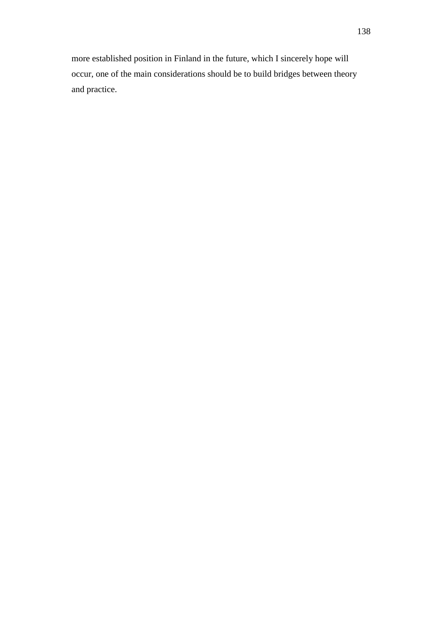more established position in Finland in the future, which I sincerely hope will occur, one of the main considerations should be to build bridges between theory and practice.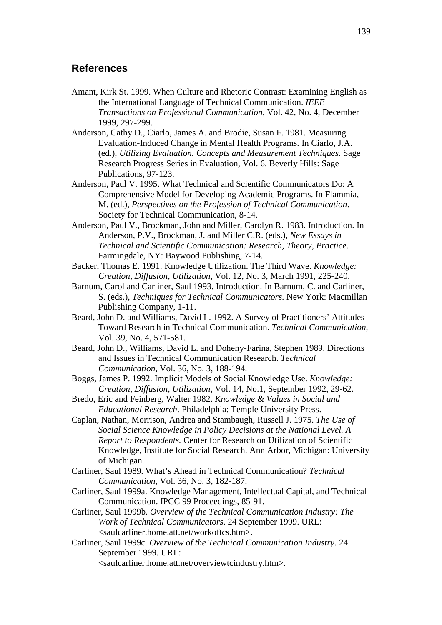# **References**

- Amant, Kirk St. 1999. When Culture and Rhetoric Contrast: Examining English as the International Language of Technical Communication. *IEEE Transactions on Professional Communication*, Vol. 42, No. 4, December 1999, 297-299.
- Anderson, Cathy D., Ciarlo, James A. and Brodie, Susan F. 1981. Measuring Evaluation-Induced Change in Mental Health Programs. In Ciarlo, J.A. (ed.), *Utilizing Evaluation. Concepts and Measurement Techniques*. Sage Research Progress Series in Evaluation, Vol. 6. Beverly Hills: Sage Publications, 97-123.
- Anderson, Paul V. 1995. What Technical and Scientific Communicators Do: A Comprehensive Model for Developing Academic Programs. In Flammia, M. (ed.), *Perspectives on the Profession of Technical Communication*. Society for Technical Communication, 8-14.
- Anderson, Paul V., Brockman, John and Miller, Carolyn R. 1983. Introduction. In Anderson, P.V., Brockman, J. and Miller C.R. (eds.), *New Essays in Technical and Scientific Communication: Research, Theory, Practice*. Farmingdale, NY: Baywood Publishing, 7-14.
- Backer, Thomas E. 1991. Knowledge Utilization. The Third Wave. *Knowledge: Creation, Diffusion, Utilization*, Vol. 12, No. 3, March 1991, 225-240.
- Barnum, Carol and Carliner, Saul 1993. Introduction. In Barnum, C. and Carliner, S. (eds.), *Techniques for Technical Communicators*. New York: Macmillan Publishing Company, 1-11.
- Beard, John D. and Williams, David L. 1992. A Survey of Practitioners' Attitudes Toward Research in Technical Communication. *Technical Communication*, Vol. 39, No. 4, 571-581.
- Beard, John D., Williams, David L. and Doheny-Farina, Stephen 1989. Directions and Issues in Technical Communication Research. *Technical Communication*, Vol. 36, No. 3, 188-194.
- Boggs, James P. 1992. Implicit Models of Social Knowledge Use. *Knowledge: Creation, Diffusion, Utilization*, Vol. 14, No.1, September 1992, 29-62.
- Bredo, Eric and Feinberg, Walter 1982. *Knowledge & Values in Social and Educational Research*. Philadelphia: Temple University Press.
- Caplan, Nathan, Morrison, Andrea and Stambaugh, Russell J. 1975. *The Use of Social Science Knowledge in Policy Decisions at the National Level. A Report to Respondents.* Center for Research on Utilization of Scientific Knowledge, Institute for Social Research. Ann Arbor, Michigan: University of Michigan.
- Carliner, Saul 1989. What's Ahead in Technical Communication? *Technical Communication*, Vol. 36, No. 3, 182-187.
- Carliner, Saul 1999a. Knowledge Management, Intellectual Capital, and Technical Communication. IPCC 99 Proceedings, 85-91.
- Carliner, Saul 1999b. *Overview of the Technical Communication Industry: The Work of Technical Communicators*. 24 September 1999. URL: <saulcarliner.home.att.net/workoftcs.htm>.
- Carliner, Saul 1999c. *Overview of the Technical Communication Industry*. 24 September 1999. URL: <saulcarliner.home.att.net/overviewtcindustry.htm>.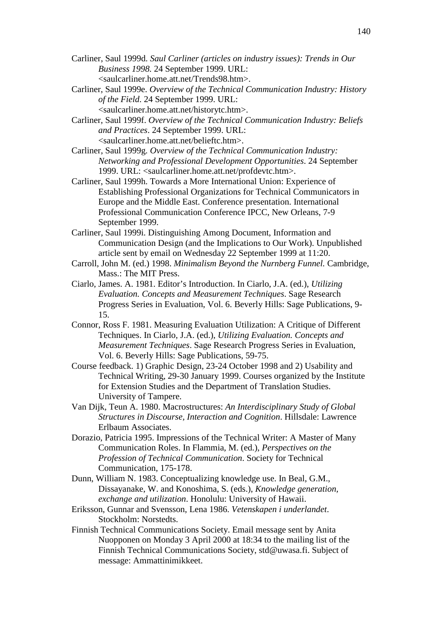- Carliner, Saul 1999d. *Saul Carliner (articles on industry issues): Trends in Our Business 1998.* 24 September 1999. URL: <saulcarliner.home.att.net/Trends98.htm>.
- Carliner, Saul 1999e. *Overview of the Technical Communication Industry: History of the Field*. 24 September 1999. URL: <saulcarliner.home.att.net/historytc.htm>.
- Carliner, Saul 1999f. *Overview of the Technical Communication Industry: Beliefs and Practices*. 24 September 1999. URL: <saulcarliner.home.att.net/belieftc.htm>.
- Carliner, Saul 1999g. *Overview of the Technical Communication Industry: Networking and Professional Development Opportunities*. 24 September 1999. URL: <saulcarliner.home.att.net/profdevtc.htm>.
- Carliner, Saul 1999h. Towards a More International Union: Experience of Establishing Professional Organizations for Technical Communicators in Europe and the Middle East. Conference presentation. International Professional Communication Conference IPCC, New Orleans, 7-9 September 1999.
- Carliner, Saul 1999i. Distinguishing Among Document, Information and Communication Design (and the Implications to Our Work). Unpublished article sent by email on Wednesday 22 September 1999 at 11:20.
- Carroll, John M. (ed.) 1998. *Minimalism Beyond the Nurnberg Funnel.* Cambridge, Mass.: The MIT Press.
- Ciarlo, James. A. 1981. Editor's Introduction. In Ciarlo, J.A. (ed.), *Utilizing Evaluation. Concepts and Measurement Techniques*. Sage Research Progress Series in Evaluation, Vol. 6. Beverly Hills: Sage Publications, 9- 15.
- Connor, Ross F. 1981. Measuring Evaluation Utilization: A Critique of Different Techniques. In Ciarlo, J.A. (ed.), *Utilizing Evaluation. Concepts and Measurement Techniques*. Sage Research Progress Series in Evaluation, Vol. 6. Beverly Hills: Sage Publications, 59-75.
- Course feedback. 1) Graphic Design, 23-24 October 1998 and 2) Usability and Technical Writing, 29-30 January 1999. Courses organized by the Institute for Extension Studies and the Department of Translation Studies. University of Tampere.
- Van Dijk, Teun A. 1980. Macrostructures: *An Interdisciplinary Study of Global Structures in Discourse, Interaction and Cognition*. Hillsdale: Lawrence Erlbaum Associates.
- Dorazio, Patricia 1995. Impressions of the Technical Writer: A Master of Many Communication Roles. In Flammia, M. (ed.), *Perspectives on the Profession of Technical Communication*. Society for Technical Communication, 175-178.
- Dunn, William N. 1983. Conceptualizing knowledge use. In Beal, G.M., Dissayanake, W. and Konoshima, S. (eds.), *Knowledge generation, exchange and utilization*. Honolulu: University of Hawaii.
- Eriksson, Gunnar and Svensson, Lena 1986. *Vetenskapen i underlandet*. Stockholm: Norstedts.
- Finnish Technical Communications Society. Email message sent by Anita Nuopponen on Monday 3 April 2000 at 18:34 to the mailing list of the Finnish Technical Communications Society, std@uwasa.fi. Subject of message: Ammattinimikkeet.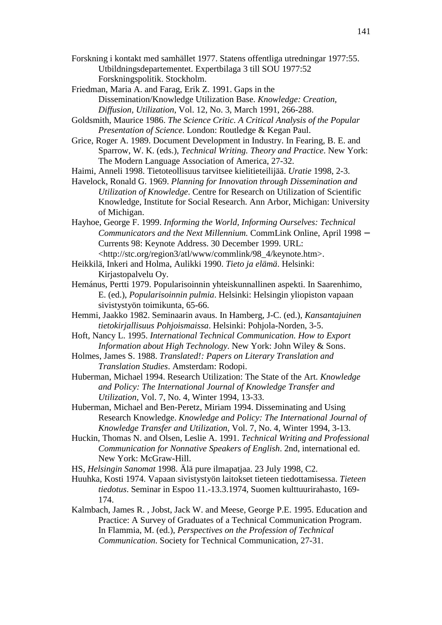- Forskning i kontakt med samhället 1977. Statens offentliga utredningar 1977:55. Utbildningsdepartementet. Expertbilaga 3 till SOU 1977:52 Forskningspolitik. Stockholm.
- Friedman, Maria A. and Farag, Erik Z. 1991. Gaps in the Dissemination/Knowledge Utilization Base. *Knowledge: Creation, Diffusion, Utilization*, Vol. 12, No. 3, March 1991, 266-288.
- Goldsmith, Maurice 1986. *The Science Critic. A Critical Analysis of the Popular Presentation of Science*. London: Routledge & Kegan Paul.
- Grice, Roger A. 1989. Document Development in Industry. In Fearing, B. E. and Sparrow, W. K. (eds.), *Technical Writing. Theory and Practice*. New York: The Modern Language Association of America, 27-32.
- Haimi, Anneli 1998. Tietoteollisuus tarvitsee kielitieteilijää. *Uratie* 1998, 2-3.
- Havelock, Ronald G. 1969. *Planning for Innovation through Dissemination and Utilization of Knowledge*. Centre for Research on Utilization of Scientific Knowledge, Institute for Social Research. Ann Arbor, Michigan: University of Michigan.
- Hayhoe, George F. 1999. *Informing the World, Informing Ourselves: Technical Communicators and the Next Millennium.* CommLink Online, April 1998 − Currents 98: Keynote Address. 30 December 1999. URL: <http://stc.org/region3/atl/www/commlink/98\_4/keynote.htm>.
- Heikkilä, Inkeri and Holma, Aulikki 1990. *Tieto ja elämä*. Helsinki: Kirjastopalvelu Oy.
- Hemánus, Pertti 1979. Popularisoinnin yhteiskunnallinen aspekti. In Saarenhimo, E. (ed.), *Popularisoinnin pulmia*. Helsinki: Helsingin yliopiston vapaan sivistystyön toimikunta, 65-66.
- Hemmi, Jaakko 1982. Seminaarin avaus. In Hamberg, J-C. (ed.), *Kansantajuinen tietokirjallisuus Pohjoismaissa*. Helsinki: Pohjola-Norden, 3-5.
- Hoft, Nancy L. 1995. *International Technical Communication. How to Export Information about High Technology*. New York: John Wiley & Sons.
- Holmes, James S. 1988. *Translated!: Papers on Literary Translation and Translation Studies*. Amsterdam: Rodopi.
- Huberman, Michael 1994. Research Utilization: The State of the Art. *Knowledge and Policy: The International Journal of Knowledge Transfer and Utilization*, Vol. 7, No. 4, Winter 1994, 13-33.
- Huberman, Michael and Ben-Peretz, Miriam 1994. Disseminating and Using Research Knowledge. *Knowledge and Policy: The International Journal of Knowledge Transfer and Utilization*, Vol. 7, No. 4, Winter 1994, 3-13.
- Huckin, Thomas N. and Olsen, Leslie A. 1991. *Technical Writing and Professional Communication for Nonnative Speakers of English*. 2nd, international ed. New York: McGraw-Hill.
- HS, *Helsingin Sanomat* 1998. Älä pure ilmapatjaa. 23 July 1998, C2.
- Huuhka, Kosti 1974. Vapaan sivistystyön laitokset tieteen tiedottamisessa. *Tieteen tiedotus*. Seminar in Espoo 11.-13.3.1974, Suomen kulttuurirahasto, 169- 174.
- Kalmbach, James R. , Jobst, Jack W. and Meese, George P.E. 1995. Education and Practice: A Survey of Graduates of a Technical Communication Program. In Flammia, M. (ed.), *Perspectives on the Profession of Technical Communication*. Society for Technical Communication, 27-31.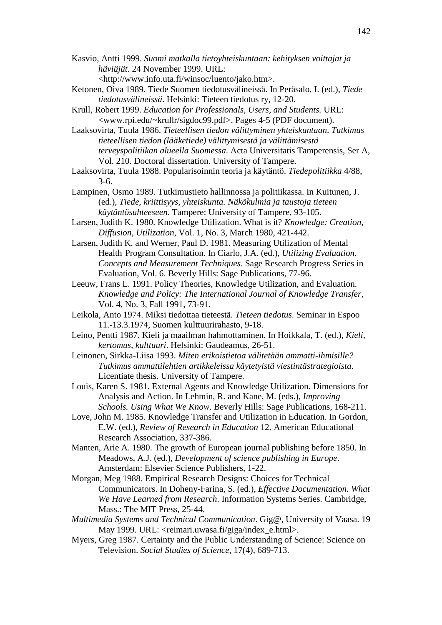- Kasvio, Antti 1999. *Suomi matkalla tietoyhteiskuntaan: kehityksen voittajat ja häviäjät*. 24 November 1999. URL: <http://www.info.uta.fi/winsoc/luento/jako.htm>.
- Ketonen, Oiva 1989. Tiede Suomen tiedotusvälineissä. In Peräsalo, I. (ed.), *Tiede tiedotusvälineissä*. Helsinki: Tieteen tiedotus ry, 12-20.
- Krull, Robert 1999. *Education for Professionals, Users, and Students.* URL: <www.rpi.edu/~krullr/sigdoc99.pdf>. Pages 4-5 (PDF document).
- Laaksovirta, Tuula 1986. *Tieteellisen tiedon välittyminen yhteiskuntaan*. *Tutkimus tieteellisen tiedon (lääketiede) välittymisestä ja välittämisestä terveyspolitiikan alueella Suomessa*. Acta Universitatis Tamperensis, Ser A, Vol. 210. Doctoral dissertation. University of Tampere.

Laaksovirta, Tuula 1988. Popularisoinnin teoria ja käytäntö. *Tiedepolitiikka* 4/88, 3-6.

- Lampinen, Osmo 1989. Tutkimustieto hallinnossa ja politiikassa. In Kuitunen, J. (ed.), *Tiede, kriittisyys, yhteiskunta. Näkökulmia ja taustoja tieteen käytäntösuhteeseen*. Tampere: University of Tampere, 93-105.
- Larsen, Judith K. 1980. Knowledge Utilization. What is it? *Knowledge: Creation, Diffusion, Utilization*, Vol. 1, No. 3, March 1980, 421-442.
- Larsen, Judith K. and Werner, Paul D. 1981. Measuring Utilization of Mental Health Program Consultation. In Ciarlo, J.A. (ed.), *Utilizing Evaluation. Concepts and Measurement Techniques*. Sage Research Progress Series in Evaluation, Vol. 6. Beverly Hills: Sage Publications, 77-96.
- Leeuw, Frans L. 1991. Policy Theories, Knowledge Utilization, and Evaluation. *Knowledge and Policy: The International Journal of Knowledge Transfer*, Vol. 4, No. 3, Fall 1991, 73-91.
- Leikola, Anto 1974. Miksi tiedottaa tieteestä. *Tieteen tiedotus*. Seminar in Espoo 11.-13.3.1974, Suomen kulttuurirahasto, 9-18.
- Leino, Pentti 1987. Kieli ja maailman hahmottaminen. In Hoikkala, T. (ed.), *Kieli, kertomus, kulttuuri*. Helsinki: Gaudeamus, 26-51.
- Leinonen, Sirkka-Liisa 1993. *Miten erikoistietoa välitetään ammatti-ihmisille? Tutkimus ammattilehtien artikkeleissa käytetyistä viestintästrategioista*. Licentiate thesis. University of Tampere.
- Louis, Karen S. 1981. External Agents and Knowledge Utilization. Dimensions for Analysis and Action. In Lehmin, R. and Kane, M. (eds.), *Improving Schools. Using What We Know*. Beverly Hills: Sage Publications, 168-211.
- Love, John M. 1985. Knowledge Transfer and Utilization in Education. In Gordon, E.W. (ed.), *Review of Research in Education* 12. American Educational Research Association, 337-386.
- Manten, Arie A. 1980. The growth of European journal publishing before 1850. In Meadows, A.J. (ed.), *Development of science publishing in Europe*. Amsterdam: Elsevier Science Publishers, 1-22.
- Morgan, Meg 1988. Empirical Research Designs: Choices for Technical Communicators. In Doheny-Farina, S. (ed.), *Effective Documentation. What We Have Learned from Research*. Information Systems Series. Cambridge, Mass.: The MIT Press, 25-44.
- *Multimedia Systems and Technical Communication*. Gig@, University of Vaasa. 19 May 1999. URL: <reimari.uwasa.fi/giga/index\_e.html>.
- Myers, Greg 1987. Certainty and the Public Understanding of Science: Science on Television. *Social Studies of Science*, 17(4), 689-713.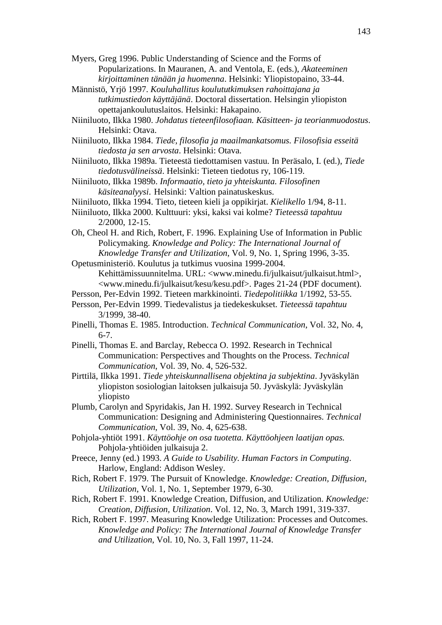- Myers, Greg 1996. Public Understanding of Science and the Forms of Popularizations. In Mauranen, A. and Ventola, E. (eds.), *Akateeminen kirjoittaminen tänään ja huomenna*. Helsinki: Yliopistopaino, 33-44.
- Männistö, Yrjö 1997. *Kouluhallitus koulututkimuksen rahoittajana ja tutkimustiedon käyttäjänä*. Doctoral dissertation. Helsingin yliopiston opettajankoulutuslaitos. Helsinki: Hakapaino.
- Niiniluoto, Ilkka 1980. *Johdatus tieteenfilosofiaan. Käsitteen- ja teorianmuodostus*. Helsinki: Otava.
- Niiniluoto, Ilkka 1984. *Tiede, filosofia ja maailmankatsomus. Filosofisia esseitä tiedosta ja sen arvosta*. Helsinki: Otava.
- Niiniluoto, Ilkka 1989a. Tieteestä tiedottamisen vastuu. In Peräsalo, I. (ed.), *Tiede tiedotusvälineissä*. Helsinki: Tieteen tiedotus ry, 106-119.
- Niiniluoto, Ilkka 1989b. *Informaatio, tieto ja yhteiskunta. Filosofinen käsiteanalyysi*. Helsinki: Valtion painatuskeskus.
- Niiniluoto, Ilkka 1994. Tieto, tieteen kieli ja oppikirjat. *Kielikello* 1/94, 8-11.
- Niiniluoto, Ilkka 2000. Kulttuuri: yksi, kaksi vai kolme? *Tieteessä tapahtuu* 2/2000, 12-15.
- Oh, Cheol H. and Rich, Robert, F. 1996. Explaining Use of Information in Public Policymaking. *Knowledge and Policy: The International Journal of Knowledge Transfer and Utilization*, Vol. 9, No. 1, Spring 1996, 3-35.
- Opetusministeriö. Koulutus ja tutkimus vuosina 1999-2004. Kehittämissuunnitelma. URL: <www.minedu.fi/julkaisut/julkaisut.html>, <www.minedu.fi/julkaisut/kesu/kesu.pdf>. Pages 21-24 (PDF document).
- Persson, Per-Edvin 1992. Tieteen markkinointi. *Tiedepolitiikka* 1/1992, 53-55.
- Persson, Per-Edvin 1999. Tiedevalistus ja tiedekeskukset. *Tieteessä tapahtuu* 3/1999, 38-40.
- Pinelli, Thomas E. 1985. Introduction. *Technical Communication*, Vol. 32, No. 4, 6-7.
- Pinelli, Thomas E. and Barclay, Rebecca O. 1992. Research in Technical Communication: Perspectives and Thoughts on the Process. *Technical Communication*, Vol. 39, No. 4, 526-532.
- Pirttilä, Ilkka 1991. *Tiede yhteiskunnallisena objektina ja subjektina*. Jyväskylän yliopiston sosiologian laitoksen julkaisuja 50. Jyväskylä: Jyväskylän yliopisto
- Plumb, Carolyn and Spyridakis, Jan H. 1992. Survey Research in Technical Communication: Designing and Administering Questionnaires. *Technical Communication*, Vol. 39, No. 4, 625-638.
- Pohjola-yhtiöt 1991. *Käyttöohje on osa tuotetta. Käyttöohjeen laatijan opas.* Pohjola-yhtiöiden julkaisuja 2.
- Preece, Jenny (ed.) 1993. *A Guide to Usability. Human Factors in Computing*. Harlow, England: Addison Wesley.
- Rich, Robert F. 1979. The Pursuit of Knowledge. *Knowledge: Creation, Diffusion, Utilization*, Vol. 1, No. 1, September 1979, 6-30.
- Rich, Robert F. 1991. Knowledge Creation, Diffusion, and Utilization. *Knowledge: Creation, Diffusion, Utilization*. Vol. 12, No. 3, March 1991, 319-337.
- Rich, Robert F. 1997. Measuring Knowledge Utilization: Processes and Outcomes. *Knowledge and Policy: The International Journal of Knowledge Transfer and Utilization*, Vol. 10, No. 3, Fall 1997, 11-24.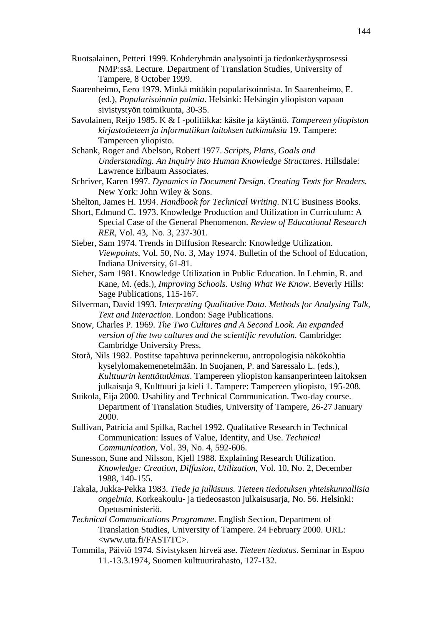- Ruotsalainen, Petteri 1999. Kohderyhmän analysointi ja tiedonkeräysprosessi NMP:ssä. Lecture. Department of Translation Studies, University of Tampere, 8 October 1999.
- Saarenheimo, Eero 1979. Minkä mitäkin popularisoinnista. In Saarenheimo, E. (ed.), *Popularisoinnin pulmia*. Helsinki: Helsingin yliopiston vapaan sivistystyön toimikunta, 30-35.
- Savolainen, Reijo 1985. K & I -politiikka: käsite ja käytäntö. *Tampereen yliopiston kirjastotieteen ja informatiikan laitoksen tutkimuksia* 19. Tampere: Tampereen yliopisto.
- Schank, Roger and Abelson, Robert 1977. *Scripts, Plans, Goals and Understanding. An Inquiry into Human Knowledge Structures*. Hillsdale: Lawrence Erlbaum Associates.
- Schriver, Karen 1997. *Dynamics in Document Design. Creating Texts for Readers.* New York: John Wiley & Sons.
- Shelton, James H. 1994. *Handbook for Technical Writing*. NTC Business Books.
- Short, Edmund C. 1973. Knowledge Production and Utilization in Curriculum: A Special Case of the General Phenomenon. *Review of Educational Research RER*, Vol. 43, No. 3, 237-301.
- Sieber, Sam 1974. Trends in Diffusion Research: Knowledge Utilization. *Viewpoints*, Vol. 50, No. 3, May 1974. Bulletin of the School of Education, Indiana University, 61-81.
- Sieber, Sam 1981. Knowledge Utilization in Public Education. In Lehmin, R. and Kane, M. (eds.), *Improving Schools. Using What We Know*. Beverly Hills: Sage Publications, 115-167.
- Silverman, David 1993. *Interpreting Qualitative Data. Methods for Analysing Talk, Text and Interaction*. London: Sage Publications.
- Snow, Charles P. 1969. *The Two Cultures and A Second Look. An expanded version of the two cultures and the scientific revolution.* Cambridge: Cambridge University Press.
- Storå, Nils 1982. Postitse tapahtuva perinnekeruu, antropologisia näkökohtia kyselylomakemenetelmään. In Suojanen, P. and Saressalo L. (eds.), *Kulttuurin kenttätutkimus*. Tampereen yliopiston kansanperinteen laitoksen julkaisuja 9, Kulttuuri ja kieli 1. Tampere: Tampereen yliopisto, 195-208.
- Suikola, Eija 2000. Usability and Technical Communication. Two-day course. Department of Translation Studies, University of Tampere, 26-27 January 2000.
- Sullivan, Patricia and Spilka, Rachel 1992. Qualitative Research in Technical Communication: Issues of Value, Identity, and Use. *Technical Communication*, Vol. 39, No. 4, 592-606.
- Sunesson, Sune and Nilsson, Kjell 1988. Explaining Research Utilization. *Knowledge: Creation, Diffusion, Utilization*, Vol. 10, No. 2, December 1988, 140-155.
- Takala, Jukka-Pekka 1983. *Tiede ja julkisuus. Tieteen tiedotuksen yhteiskunnallisia ongelmia*. Korkeakoulu- ja tiedeosaston julkaisusarja, No. 56. Helsinki: Opetusministeriö.
- *Technical Communications Programme*. English Section, Department of Translation Studies, University of Tampere. 24 February 2000. URL: <www.uta.fi/FAST/TC>.
- Tommila, Päiviö 1974. Sivistyksen hirveä ase. *Tieteen tiedotus*. Seminar in Espoo 11.-13.3.1974, Suomen kulttuurirahasto, 127-132.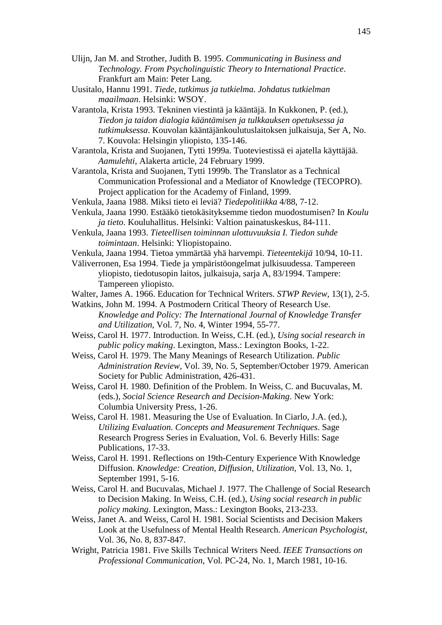- Ulijn, Jan M. and Strother, Judith B. 1995. *Communicating in Business and Technology. From Psycholinguistic Theory to International Practice*. Frankfurt am Main: Peter Lang.
- Uusitalo, Hannu 1991. *Tiede, tutkimus ja tutkielma. Johdatus tutkielman maailmaan*. Helsinki: WSOY.
- Varantola, Krista 1993. Tekninen viestintä ja kääntäjä. In Kukkonen, P. (ed.), *Tiedon ja taidon dialogia kääntämisen ja tulkkauksen opetuksessa ja tutkimuksessa*. Kouvolan kääntäjänkoulutuslaitoksen julkaisuja, Ser A, No. 7. Kouvola: Helsingin yliopisto, 135-146.
- Varantola, Krista and Suojanen, Tytti 1999a. Tuoteviestissä ei ajatella käyttäjää. *Aamulehti*, Alakerta article, 24 February 1999.
- Varantola, Krista and Suojanen, Tytti 1999b. The Translator as a Technical Communication Professional and a Mediator of Knowledge (TECOPRO). Project application for the Academy of Finland, 1999.
- Venkula, Jaana 1988. Miksi tieto ei leviä? *Tiedepolitiikka* 4/88, 7-12.
- Venkula, Jaana 1990. Estääkö tietokäsityksemme tiedon muodostumisen? In *Koulu ja tieto*. Kouluhallitus. Helsinki: Valtion painatuskeskus, 84-111.
- Venkula, Jaana 1993. *Tieteellisen toiminnan ulottuvuuksia I. Tiedon suhde toimintaan*. Helsinki: Yliopistopaino.
- Venkula, Jaana 1994. Tietoa ymmärtää yhä harvempi. *Tieteentekijä* 10/94, 10-11.
- Väliverronen, Esa 1994. Tiede ja ympäristöongelmat julkisuudessa. Tampereen yliopisto, tiedotusopin laitos, julkaisuja, sarja A, 83/1994. Tampere: Tampereen yliopisto.
- Walter, James A. 1966. Education for Technical Writers. *STWP Review*, 13(1), 2-5.

Watkins, John M. 1994. A Postmodern Critical Theory of Research Use. *Knowledge and Policy: The International Journal of Knowledge Transfer and Utilization*, Vol. 7, No. 4, Winter 1994, 55-77.

- Weiss, Carol H. 1977. Introduction. In Weiss, C.H. (ed.), *Using social research in public policy making*. Lexington, Mass.: Lexington Books, 1-22.
- Weiss, Carol H. 1979. The Many Meanings of Research Utilization. *Public Administration Review*, Vol. 39, No. 5, September/October 1979. American Society for Public Administration, 426-431.
- Weiss, Carol H. 1980. Definition of the Problem. In Weiss, C. and Bucuvalas, M. (eds.), *Social Science Research and Decision-Making*. New York: Columbia University Press, 1-26.
- Weiss, Carol H. 1981. Measuring the Use of Evaluation. In Ciarlo, J.A. (ed.), *Utilizing Evaluation. Concepts and Measurement Techniques*. Sage Research Progress Series in Evaluation, Vol. 6. Beverly Hills: Sage Publications, 17-33.
- Weiss, Carol H. 1991. Reflections on 19th-Century Experience With Knowledge Diffusion. *Knowledge: Creation, Diffusion, Utilization*, Vol. 13, No. 1, September 1991, 5-16.
- Weiss, Carol H. and Bucuvalas, Michael J. 1977. The Challenge of Social Research to Decision Making. In Weiss, C.H. (ed.), *Using social research in public policy making*. Lexington, Mass.: Lexington Books, 213-233.
- Weiss, Janet A. and Weiss, Carol H. 1981. Social Scientists and Decision Makers Look at the Usefulness of Mental Health Research. *American Psychologist*, Vol. 36, No. 8, 837-847.
- Wright, Patricia 1981. Five Skills Technical Writers Need. *IEEE Transactions on Professional Communication*, Vol. PC-24, No. 1, March 1981, 10-16.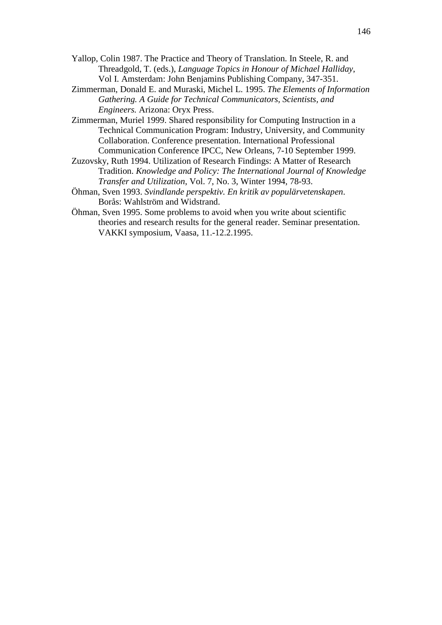- Yallop, Colin 1987. The Practice and Theory of Translation. In Steele, R. and Threadgold, T. (eds.), *Language Topics in Honour of Michael Halliday*, Vol I. Amsterdam: John Benjamins Publishing Company, 347-351.
- Zimmerman, Donald E. and Muraski, Michel L. 1995. *The Elements of Information Gathering. A Guide for Technical Communicators, Scientists, and Engineers.* Arizona: Oryx Press.
- Zimmerman, Muriel 1999. Shared responsibility for Computing Instruction in a Technical Communication Program: Industry, University, and Community Collaboration. Conference presentation. International Professional Communication Conference IPCC, New Orleans, 7-10 September 1999.
- Zuzovsky, Ruth 1994. Utilization of Research Findings: A Matter of Research Tradition. *Knowledge and Policy: The International Journal of Knowledge Transfer and Utilization*, Vol. 7, No. 3, Winter 1994, 78-93.
- Öhman, Sven 1993. *Svindlande perspektiv. En kritik av populärvetenskapen*. Borås: Wahlström and Widstrand.
- Öhman, Sven 1995. Some problems to avoid when you write about scientific theories and research results for the general reader. Seminar presentation. VAKKI symposium, Vaasa, 11.-12.2.1995.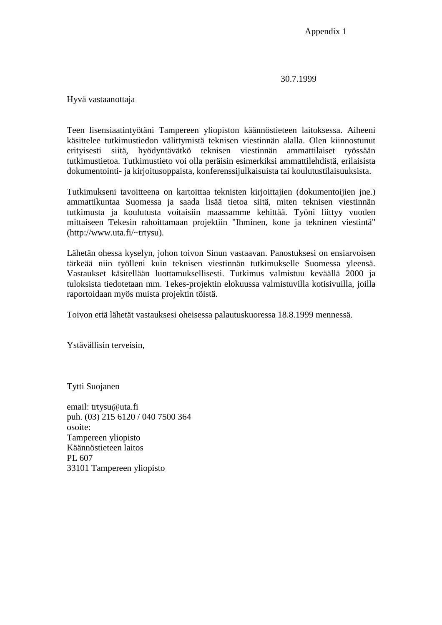30.7.1999

Hyvä vastaanottaja

Teen lisensiaatintyötäni Tampereen yliopiston käännöstieteen laitoksessa. Aiheeni käsittelee tutkimustiedon välittymistä teknisen viestinnän alalla. Olen kiinnostunut erityisesti siitä, hyödyntävätkö teknisen viestinnän ammattilaiset työssään tutkimustietoa. Tutkimustieto voi olla peräisin esimerkiksi ammattilehdistä, erilaisista dokumentointi- ja kirjoitusoppaista, konferenssijulkaisuista tai koulutustilaisuuksista.

Tutkimukseni tavoitteena on kartoittaa teknisten kirjoittajien (dokumentoijien jne.) ammattikuntaa Suomessa ja saada lisää tietoa siitä, miten teknisen viestinnän tutkimusta ja koulutusta voitaisiin maassamme kehittää. Työni liittyy vuoden mittaiseen Tekesin rahoittamaan projektiin "Ihminen, kone ja tekninen viestintä" (http://www.uta.fi/~trtysu).

Lähetän ohessa kyselyn, johon toivon Sinun vastaavan. Panostuksesi on ensiarvoisen tärkeää niin työlleni kuin teknisen viestinnän tutkimukselle Suomessa yleensä. Vastaukset käsitellään luottamuksellisesti. Tutkimus valmistuu keväällä 2000 ja tuloksista tiedotetaan mm. Tekes-projektin elokuussa valmistuvilla kotisivuilla, joilla raportoidaan myös muista projektin töistä.

Toivon että lähetät vastauksesi oheisessa palautuskuoressa 18.8.1999 mennessä.

Ystävällisin terveisin,

Tytti Suojanen

email: trtysu@uta.fi puh. (03) 215 6120 / 040 7500 364 osoite: Tampereen yliopisto Käännöstieteen laitos PL 607 33101 Tampereen yliopisto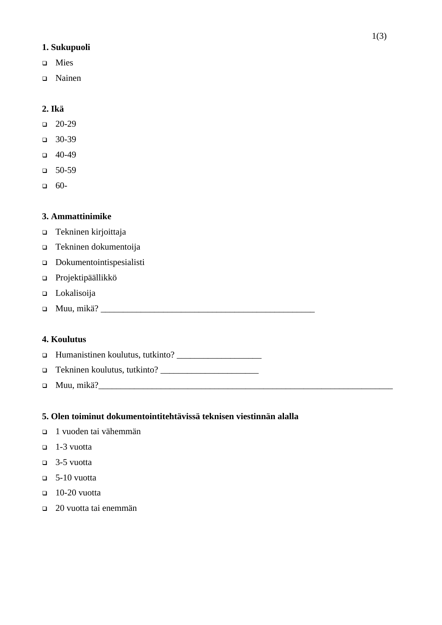#### **1. Sukupuoli**

- o Mies
- □ Nainen

## **2. Ikä**

- $\Box$  20-29
- $\Box$  30-39
- $\Box$  40-49
- $-50-59$
- $-60-$

## **3. Ammattinimike**

- □ Tekninen kirjoittaja
- □ Tekninen dokumentoija
- ! Dokumentointispesialisti
- ! Projektipäällikkö
- □ Lokalisoija
- ! Muu, mikä? \_\_\_\_\_\_\_\_\_\_\_\_\_\_\_\_\_\_\_\_\_\_\_\_\_\_\_\_\_\_\_\_\_\_\_\_\_\_\_\_\_\_\_\_\_\_\_\_

# **4. Koulutus**

- $\Box$  Humanistinen koulutus, tutkinto?
- ! Tekninen koulutus, tutkinto? \_\_\_\_\_\_\_\_\_\_\_\_\_\_\_\_\_\_\_\_\_\_
- ! Muu, mikä?\_\_\_\_\_\_\_\_\_\_\_\_\_\_\_\_\_\_\_\_\_\_\_\_\_\_\_\_\_\_\_\_\_\_\_\_\_\_\_\_\_\_\_\_\_\_\_\_\_\_\_\_\_\_\_\_\_\_\_\_\_\_\_\_\_\_

#### **5. Olen toiminut dokumentointitehtävissä teknisen viestinnän alalla**

- ! 1 vuoden tai vähemmän
- $\Box$  1-3 vuotta
- $\Box$  3-5 vuotta
- $\Box$  5-10 vuotta
- $\Box$  10-20 vuotta
- ! 20 vuotta tai enemmän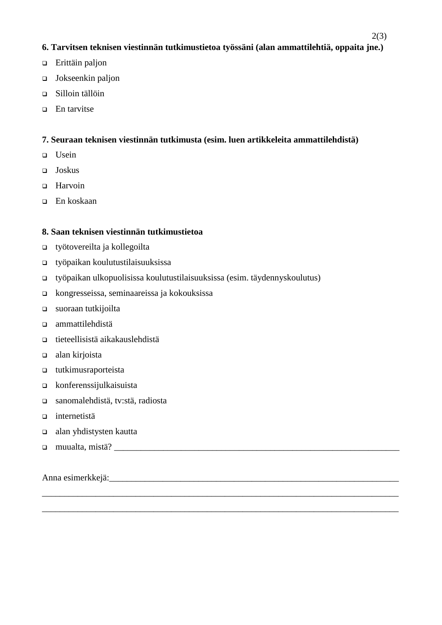## **6. Tarvitsen teknisen viestinnän tutkimustietoa työssäni (alan ammattilehtiä, oppaita jne.)**

- □ Erittäin paljon
- □ Jokseenkin paljon
- ! Silloin tällöin
- $\Box$  En tarvitse

#### **7. Seuraan teknisen viestinnän tutkimusta (esim. luen artikkeleita ammattilehdistä)**

- $\Box$  Usein
- ! Joskus
- □ Harvoin
- □ En koskaan

#### **8. Saan teknisen viestinnän tutkimustietoa**

- ! työtovereilta ja kollegoilta
- ! työpaikan koulutustilaisuuksissa
- ! työpaikan ulkopuolisissa koulutustilaisuuksissa (esim. täydennyskoulutus)

\_\_\_\_\_\_\_\_\_\_\_\_\_\_\_\_\_\_\_\_\_\_\_\_\_\_\_\_\_\_\_\_\_\_\_\_\_\_\_\_\_\_\_\_\_\_\_\_\_\_\_\_\_\_\_\_\_\_\_\_\_\_\_\_\_\_\_\_\_\_\_\_\_\_\_\_\_\_\_\_

\_\_\_\_\_\_\_\_\_\_\_\_\_\_\_\_\_\_\_\_\_\_\_\_\_\_\_\_\_\_\_\_\_\_\_\_\_\_\_\_\_\_\_\_\_\_\_\_\_\_\_\_\_\_\_\_\_\_\_\_\_\_\_\_\_\_\_\_\_\_\_\_\_\_\_\_\_\_\_\_

- ! kongresseissa, seminaareissa ja kokouksissa
- $\Box$  suoraan tutkijoilta
- ammattilehdistä
- ! tieteellisistä aikakauslehdistä
- $\Box$  alan kirjoista
- utkimusraporteista
- $\Box$  konferenssijulkaisuista
- □ sanomalehdistä, tv:stä, radiosta
- nternetistä
- $\Box$  alan yhdistysten kautta
- $\Box$  muualta, mistä?  $\Box$

Anna esimerkkejä: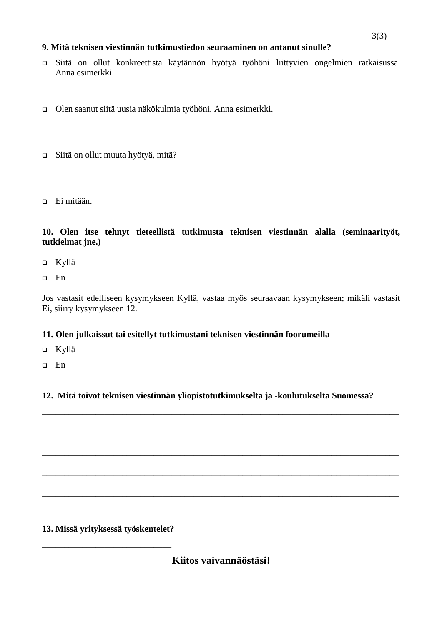# **9. Mitä teknisen viestinnän tutkimustiedon seuraaminen on antanut sinulle?**

- ! Siitä on ollut konkreettista käytännön hyötyä työhöni liittyvien ongelmien ratkaisussa. Anna esimerkki.
- ! Olen saanut siitä uusia näkökulmia työhöni. Anna esimerkki.
- □ Siitä on ollut muuta hyötyä, mitä?
- **D** Ei mitään.

# **10. Olen itse tehnyt tieteellistä tutkimusta teknisen viestinnän alalla (seminaarityöt, tutkielmat jne.)**

- □ Kyllä
- $\neg$  En

Jos vastasit edelliseen kysymykseen Kyllä, vastaa myös seuraavaan kysymykseen; mikäli vastasit Ei, siirry kysymykseen 12.

# **11. Olen julkaissut tai esitellyt tutkimustani teknisen viestinnän foorumeilla**

- □ Kyllä
- $n$  En

# **12. Mitä toivot teknisen viestinnän yliopistotutkimukselta ja -koulutukselta Suomessa?**

\_\_\_\_\_\_\_\_\_\_\_\_\_\_\_\_\_\_\_\_\_\_\_\_\_\_\_\_\_\_\_\_\_\_\_\_\_\_\_\_\_\_\_\_\_\_\_\_\_\_\_\_\_\_\_\_\_\_\_\_\_\_\_\_\_\_\_\_\_\_\_\_\_\_\_\_\_\_\_\_

\_\_\_\_\_\_\_\_\_\_\_\_\_\_\_\_\_\_\_\_\_\_\_\_\_\_\_\_\_\_\_\_\_\_\_\_\_\_\_\_\_\_\_\_\_\_\_\_\_\_\_\_\_\_\_\_\_\_\_\_\_\_\_\_\_\_\_\_\_\_\_\_\_\_\_\_\_\_\_\_

\_\_\_\_\_\_\_\_\_\_\_\_\_\_\_\_\_\_\_\_\_\_\_\_\_\_\_\_\_\_\_\_\_\_\_\_\_\_\_\_\_\_\_\_\_\_\_\_\_\_\_\_\_\_\_\_\_\_\_\_\_\_\_\_\_\_\_\_\_\_\_\_\_\_\_\_\_\_\_\_

\_\_\_\_\_\_\_\_\_\_\_\_\_\_\_\_\_\_\_\_\_\_\_\_\_\_\_\_\_\_\_\_\_\_\_\_\_\_\_\_\_\_\_\_\_\_\_\_\_\_\_\_\_\_\_\_\_\_\_\_\_\_\_\_\_\_\_\_\_\_\_\_\_\_\_\_\_\_\_\_

\_\_\_\_\_\_\_\_\_\_\_\_\_\_\_\_\_\_\_\_\_\_\_\_\_\_\_\_\_\_\_\_\_\_\_\_\_\_\_\_\_\_\_\_\_\_\_\_\_\_\_\_\_\_\_\_\_\_\_\_\_\_\_\_\_\_\_\_\_\_\_\_\_\_\_\_\_\_\_\_

**13. Missä yrityksessä työskentelet?**

\_\_\_\_\_\_\_\_\_\_\_\_\_\_\_\_\_\_\_\_\_\_\_\_\_\_\_\_\_

**Kiitos vaivannäöstäsi!**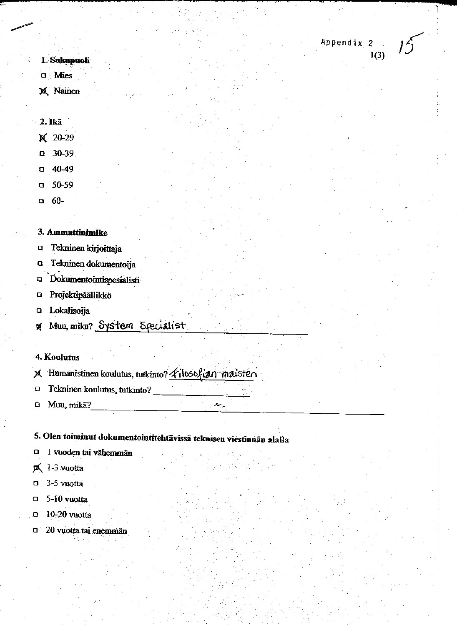1. Sukupuoli  $\Box$  Mies **X** Nainen

2. Ikä  $X = 20 - 29$ 30-39  $\mathbf \Omega$ 40-49  $\Box$ 50-59 O 60- $\mathbf{G}$ 

# 3. Ammattinimike

- Tekninen kirjoittaja  $\mathbf{a}$
- Tekninen dokumentoija  $\mathbf \Omega$
- Dokumentointispesialisti  $\mathbf \Omega$
- $\blacksquare$ Projektipäällikkö
- Lokalisoija  $\Box$
- Muu, mikä? System Specialist Ñ

# 4. Koulutus

- ¤ Humanistinen koulutus, tutkinto? *Kilosofian maisteri*
- Tekninen koulutus, tutkinto?  $\mathbf \Omega$
- Muu, mikä?  $\Omega$

# 5. Olen toiminut dokumentointitehtävissä teknisen viestinnän alalla

 $\mathcal{F}_{\mathcal{F},\mathcal{F}}$ 

Appendix 2

 $1(3)$ 

- I vuoden tai vähemmän  $\Omega$
- p 1-3 vuotta
- 3-5 vuotta  $\Box$
- 5-10 vuotta  $\Box$
- 10-20 vuotta  $\Omega$
- n 20 vuotta tai enemmän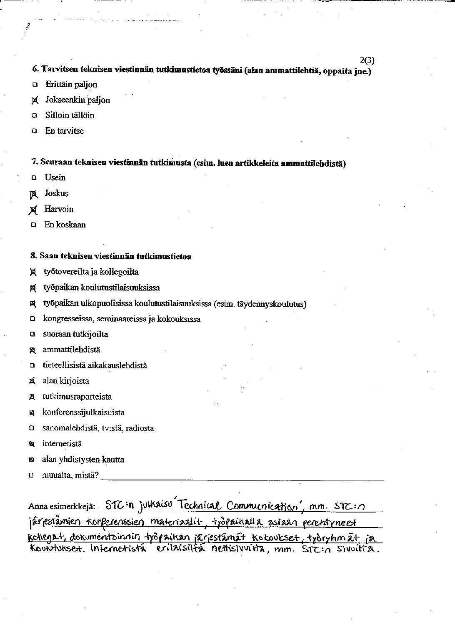6. Tarvitsen teknisen viestinnän tutkimustietoa työssäni (alan ammattilehtiä, oppaita jne.)

- Erittäin paljon  $\Omega$
- Jokseenkin paljon X
- Silloin tällöin n
- $\Omega$ En tarvitse

7. Seuraan teknisen viestinnän tutkimusta (esim. luen artikkeleita ammattilehdistä)

- Usein  $\mathbf{Q}$
- Joskus 网
- Harvoin Ŕ
- En koskaan  $\Omega$

#### 8. Saan teknisen viestinnän tutkimustietoa

- työtovereilta ja kollegoilta Ă
- työpaikan koulutustilaisuuksissa И
- työpaikan ulkopuolisissa koulutustilaisuuksissa (esim. täydennyskoulutus) 賲

kongresseissa, seminaareissa ja kokouksissa O

- suoraan tutkijoilta Q
- ammattilehdistä 図
- tieteellisistä aikakauslehdistä  $\Omega$
- alan kirjoista ΔÍ
- tutkimusraporteista 囟
- konferenssijulkaisuista 國
- sanomalehdistä, tv:stä, radiosta O
- internetistä 匈
- alan yhdistysten kautta 図
- muualta, mistä?  $\Box$

Anna esimerkkejä: STC:n julkaisu Technical Communication, mm. STC:n järestämien konferenssien materiaalit, tropaikalla asiaan perentyneet kollegat, dokumentainnin tröpaikan järjestämät kokoukset, tröryhmät ja Kouwtukset. Infernetistà erilaisiltà nettisluvita, mm. STC:n sivuitta.